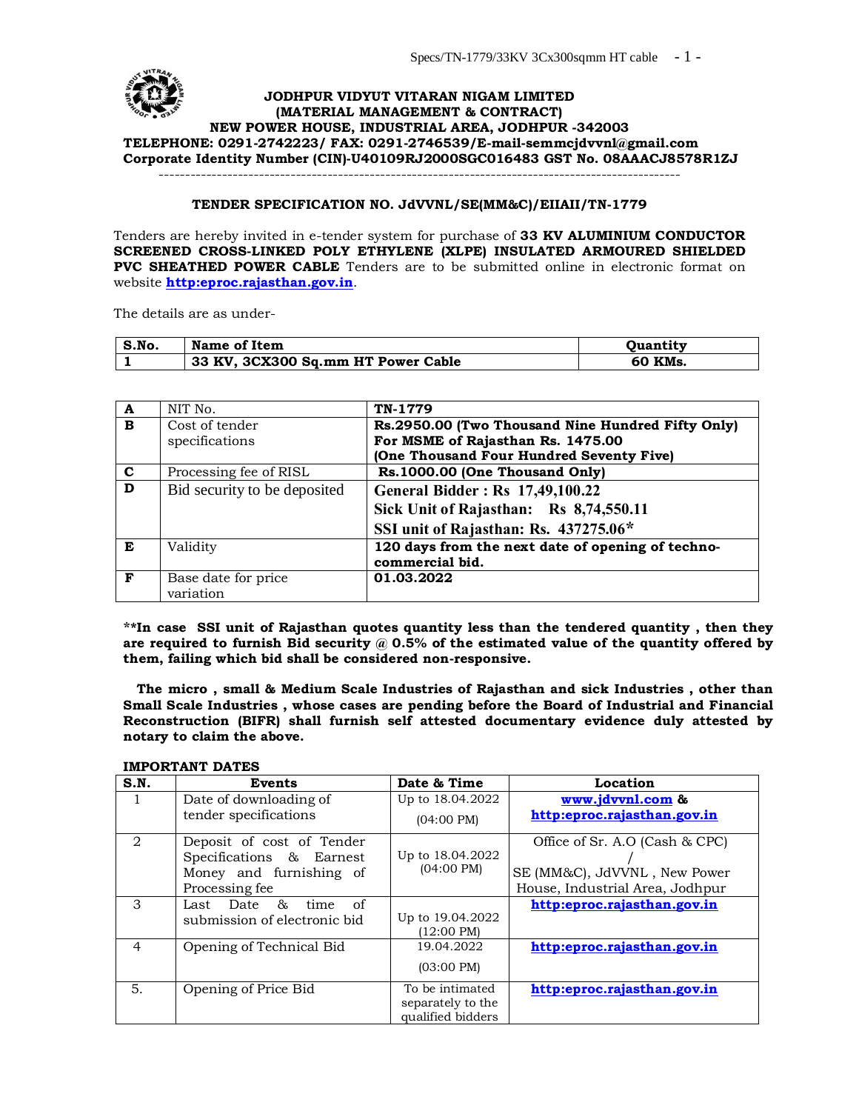#### **JODHPUR VIDYUT VITARAN NIGAM LIMITED (MATERIAL MANAGEMENT & CONTRACT) NEW POWER HOUSE, INDUSTRIAL AREA, JODHPUR -342003 TELEPHONE: 0291-2742223/ FAX: 0291-2746539/E-mail-semmcjdvvnl@gmail.com Corporate Identity Number (CIN)-U40109RJ2000SGC016[483 GST No. 08AAACJ8578R](mailto:semmcjdvvnl@gmail.com)1ZJ** ---------------------------------------------------------------------------------------------------

#### **TENDER SPECIFICATION NO. JdVVNL/SE(MM&C)/EIIAII/TN-1779**

Tenders are hereby invited in e-tender system for purchase of **33 KV ALUMINIUM CONDUCTOR SCREENED CROSS-LINKED POLY ETHYLENE (XLPE) INSULATED ARMOURED SHIELDED PVC SHEATHED POWER CABLE** Tenders are to be submitted online in electronic format on website **http:eproc.rajasthan.gov.in**.

The details are as under-

| S.No. | Name of Item                       | <b>Ouantity</b> |
|-------|------------------------------------|-----------------|
|       | 33 KV, 3CX300 Sq.mm HT Power Cable | ` KMs.<br>60    |

| A           | NIT No.                      | TN-1779                                           |
|-------------|------------------------------|---------------------------------------------------|
| B           | Cost of tender               | Rs.2950.00 (Two Thousand Nine Hundred Fifty Only) |
|             | specifications               | For MSME of Rajasthan Rs. 1475.00                 |
|             |                              | (One Thousand Four Hundred Seventy Five)          |
| $\mathbf c$ | Processing fee of RISL       | Rs.1000.00 (One Thousand Only)                    |
| D           | Bid security to be deposited | <b>General Bidder: Rs 17,49,100.22</b>            |
|             |                              | Sick Unit of Rajasthan: Rs 8,74,550.11            |
|             |                              | SSI unit of Rajasthan: Rs. 437275.06*             |
| E           | Validity                     | 120 days from the next date of opening of techno- |
|             |                              | commercial bid.                                   |
| F           | Base date for price          | 01.03.2022                                        |
|             | variation                    |                                                   |

**\*\*In case SSI unit of Rajasthan quotes quantity less than the tendered quantity , then they are required to furnish Bid security @ 0.5% of the estimated value of the quantity offered by them, failing which bid shall be considered non-responsive.**

 **The micro , small & Medium Scale Industries of Rajasthan and sick Industries , other than Small Scale Industries , whose cases are pending before the Board of Industrial and Financial Reconstruction (BIFR) shall furnish self attested documentary evidence duly attested by notary to claim the above.**

#### **IMPORTANT DATES**

| S.N.           | <b>Events</b>                  | Date & Time                            | Location                        |
|----------------|--------------------------------|----------------------------------------|---------------------------------|
| $\perp$        | Date of downloading of         | Up to 18.04.2022                       | www.jdvvnl.com &                |
|                | tender specifications          | $(04:00 \text{ PM})$                   | http:eproc.rajasthan.gov.in     |
| $\overline{2}$ | Deposit of cost of Tender      |                                        | Office of Sr. A.O (Cash & CPC)  |
|                | Specifications & Earnest       | Up to 18.04.2022                       |                                 |
|                | Money and furnishing of        | $(04:00 \text{ PM})$                   | SE (MM&C), JdVVNL, New Power    |
|                | Processing fee                 |                                        | House, Industrial Area, Jodhpur |
| 3              | 87,<br>Last Date<br>time<br>of |                                        | http:eproc.rajasthan.gov.in     |
|                | submission of electronic bid   | Up to 19.04.2022                       |                                 |
|                |                                | $(12:00 \text{ PM})$                   |                                 |
| $\overline{4}$ | Opening of Technical Bid       | 19.04.2022                             | http:eproc.rajasthan.gov.in     |
|                |                                | $(03:00 \text{ PM})$                   |                                 |
| 5.             | Opening of Price Bid           | To be intimated                        | http:eproc.rajasthan.gov.in     |
|                |                                | separately to the<br>qualified bidders |                                 |
|                |                                |                                        |                                 |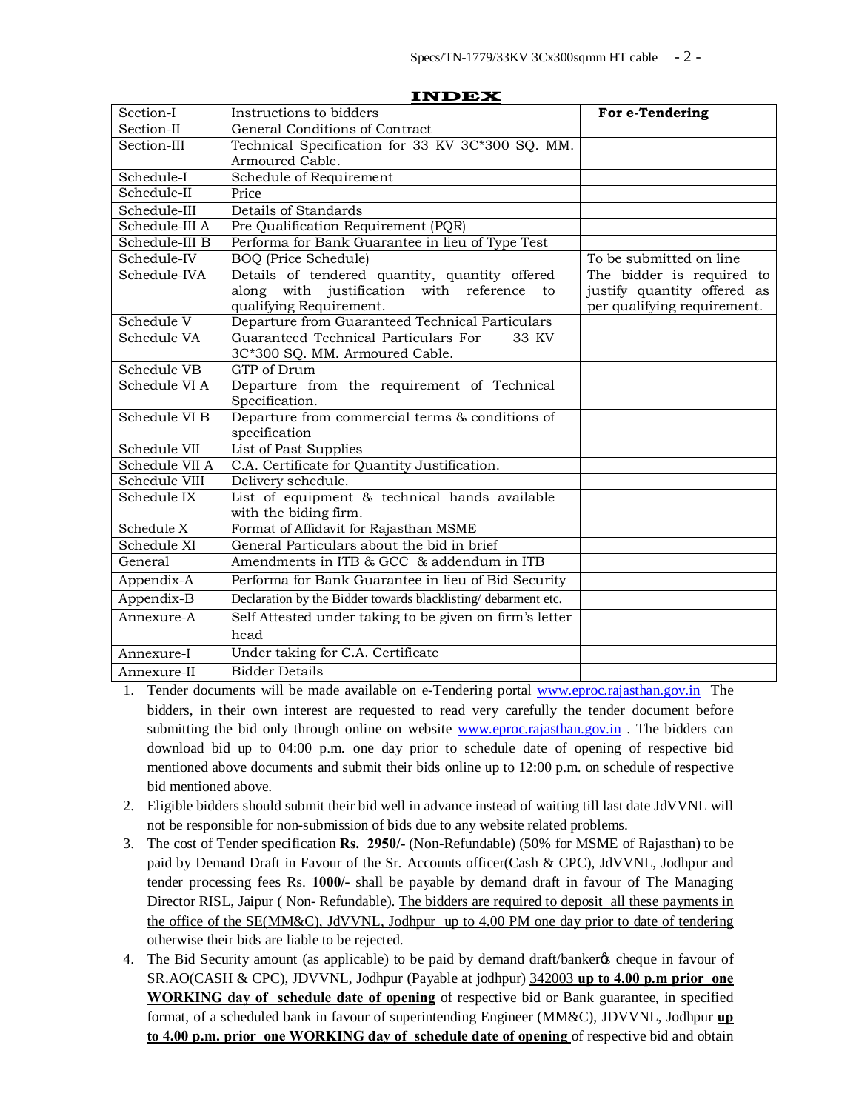| Section-I      | Instructions to bidders                                                                                                    | For e-Tendering                                                                         |  |
|----------------|----------------------------------------------------------------------------------------------------------------------------|-----------------------------------------------------------------------------------------|--|
| Section-II     | General Conditions of Contract                                                                                             |                                                                                         |  |
| Section-III    | Technical Specification for 33 KV 3C*300 SQ. MM.                                                                           |                                                                                         |  |
|                | Armoured Cable.                                                                                                            |                                                                                         |  |
| Schedule-I     | Schedule of Requirement                                                                                                    |                                                                                         |  |
| Schedule-II    | Price                                                                                                                      |                                                                                         |  |
| Schedule-III   | Details of Standards                                                                                                       |                                                                                         |  |
| Schedule-III A | Pre Qualification Requirement (PQR)                                                                                        |                                                                                         |  |
| Schedule-III B | Performa for Bank Guarantee in lieu of Type Test                                                                           |                                                                                         |  |
| Schedule-IV    | <b>BOQ</b> (Price Schedule)                                                                                                | To be submitted on line                                                                 |  |
| Schedule-IVA   | Details of tendered quantity, quantity offered<br>along with justification with reference<br>to<br>qualifying Requirement. | The bidder is required to<br>justify quantity offered as<br>per qualifying requirement. |  |
| Schedule V     | Departure from Guaranteed Technical Particulars                                                                            |                                                                                         |  |
| Schedule VA    | Guaranteed Technical Particulars For<br>33 KV<br>3C*300 SQ. MM. Armoured Cable.                                            |                                                                                         |  |
| Schedule VB    | GTP of Drum                                                                                                                |                                                                                         |  |
| Schedule VI A  | Departure from the requirement of Technical<br>Specification.                                                              |                                                                                         |  |
| Schedule VI B  | Departure from commercial terms & conditions of<br>specification                                                           |                                                                                         |  |
| Schedule VII   | List of Past Supplies                                                                                                      |                                                                                         |  |
| Schedule VII A | C.A. Certificate for Quantity Justification.                                                                               |                                                                                         |  |
| Schedule VIII  | Delivery schedule.                                                                                                         |                                                                                         |  |
| Schedule IX    | List of equipment & technical hands available<br>with the biding firm.                                                     |                                                                                         |  |
| Schedule X     | Format of Affidavit for Rajasthan MSME                                                                                     |                                                                                         |  |
| Schedule XI    | General Particulars about the bid in brief                                                                                 |                                                                                         |  |
| General        | Amendments in ITB & GCC & addendum in ITB                                                                                  |                                                                                         |  |
| Appendix-A     | Performa for Bank Guarantee in lieu of Bid Security                                                                        |                                                                                         |  |
| Appendix-B     | Declaration by the Bidder towards blacklisting/debarment etc.                                                              |                                                                                         |  |
| Annexure-A     | Self Attested under taking to be given on firm's letter                                                                    |                                                                                         |  |
|                | head                                                                                                                       |                                                                                         |  |
| Annexure-I     | Under taking for C.A. Certificate                                                                                          |                                                                                         |  |
| Annexure-II    | <b>Bidder Details</b>                                                                                                      |                                                                                         |  |

**INDEX**

- 1. Tender documents will be made available on e-Tendering portal www.eproc.rajasthan.gov.in The bidders, in their own interest are requested to read very carefully the tender document before submitting the bid only through online on website www.epro[c.rajasthan.gov.in](http://www.eproc.rajasthan.gov.in/) . The bidders can download bid up to 04:00 p.m. one day prior to schedule date of opening of respective bid mentioned above documents and submit their bids [online up to 12:00 p.m. on sche](http://www.eproc.rajasthan.gov.in/)dule of respective bid mentioned above.
- 2. Eligible bidders should submit their bid well in advance instead of waiting till last date JdVVNL will not be responsible for non-submission of bids due to any website related problems.
- 3. The cost of Tender specification **Rs. 2950/-** (Non-Refundable) (50% for MSME of Rajasthan) to be paid by Demand Draft in Favour of the Sr. Accounts officer(Cash & CPC), JdVVNL, Jodhpur and tender processing fees Rs. **1000/-** shall be payable by demand draft in favour of The Managing Director RISL, Jaipur ( Non- Refundable). The bidders are required to deposit all these payments in the office of the SE(MM&C), JdVVNL, Jodhpur up to 4.00 PM one day prior to date of tendering otherwise their bids are liable to be rejected.
- 4. The Bid Security amount (as applicable) to be paid by demand draft/banker the scheque in favour of SR.AO(CASH & CPC), JDVVNL, Jodhpur (Payable at jodhpur) 342003 **up to 4.00 p.m prior one WORKING day of schedule date of opening** of respective bid or Bank guarantee, in specified format, of a scheduled bank in favour of superintending Engineer (MM&C), JDVVNL, Jodhpur **up to 4.00 p.m. prior one WORKING day of schedule date of opening** of respective bid and obtain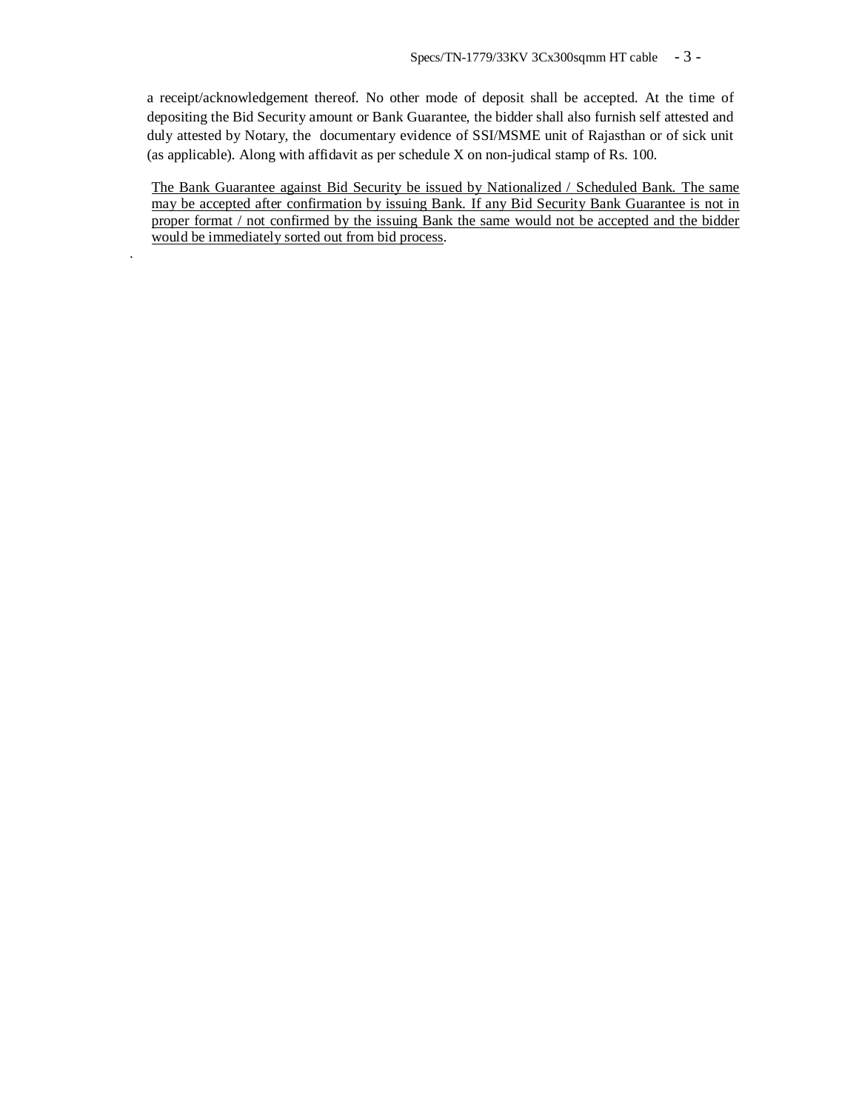a receipt/acknowledgement thereof. No other mode of deposit shall be accepted. At the time of depositing the Bid Security amount or Bank Guarantee, the bidder shall also furnish self attested and duly attested by Notary, the documentary evidence of SSI/MSME unit of Rajasthan or of sick unit (as applicable). Along with affidavit as per schedule X on non-judical stamp of Rs. 100.

The Bank Guarantee against Bid Security be issued by Nationalized / Scheduled Bank. The same may be accepted after confirmation by issuing Bank. If any Bid Security Bank Guarantee is not in proper format / not confirmed by the issuing Bank the same would not be accepted and the bidder would be immediately sorted out from bid process.

.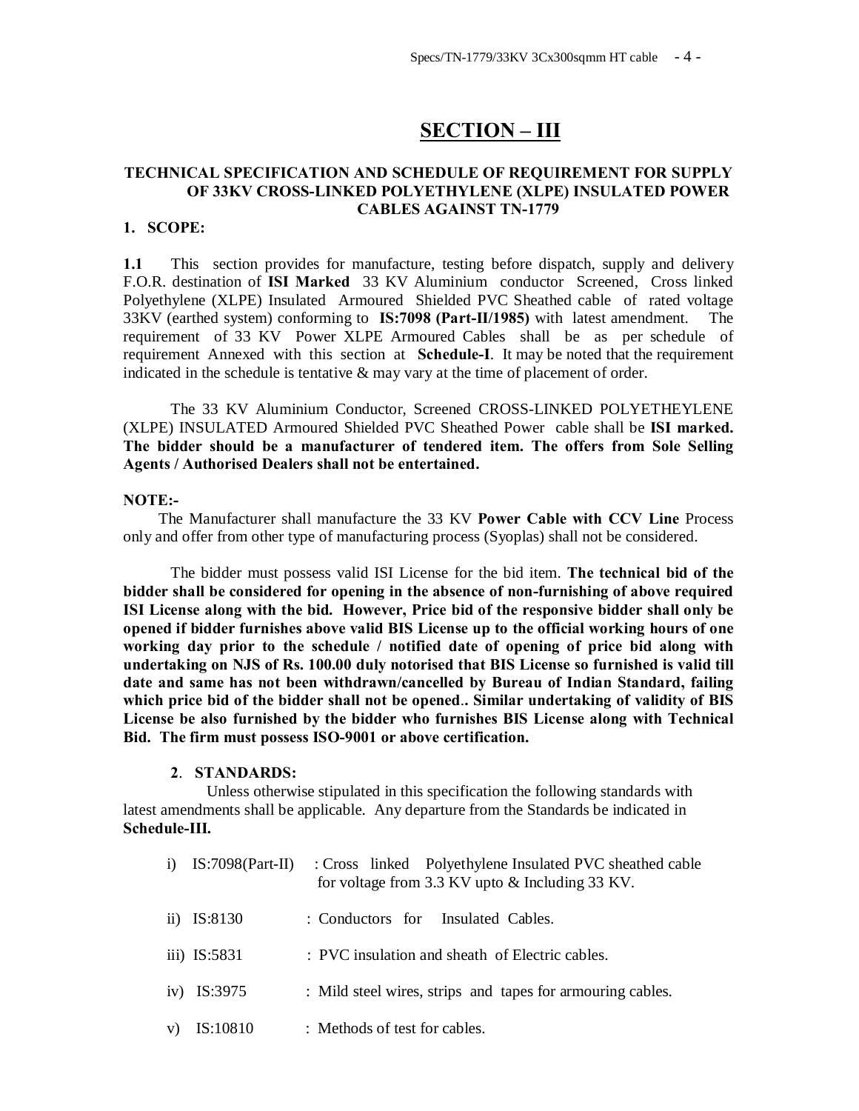# **SECTION – III**

## **TECHNICAL SPECIFICATION AND SCHEDULE OF REQUIREMENT FOR SUPPLY OF 33KV CROSS-LINKED POLYETHYLENE (XLPE) INSULATED POWER CABLES AGAINST TN-1779**

## **1. SCOPE:**

**1.1** This section provides for manufacture, testing before dispatch, supply and delivery F.O.R. destination of **ISI Marked** 33 KV Aluminium conductor Screened, Cross linked Polyethylene (XLPE) Insulated Armoured Shielded PVC Sheathed cable of rated voltage 33KV (earthed system) conforming to **IS:7098 (Part-II/1985)** with latest amendment. The requirement of 33 KV Power XLPE Armoured Cables shall be as per schedule of requirement Annexed with this section at **Schedule-I**. It may be noted that the requirement indicated in the schedule is tentative  $\&$  may vary at the time of placement of order.

The 33 KV Aluminium Conductor, Screened CROSS-LINKED POLYETHEYLENE (XLPE) INSULATED Armoured Shielded PVC Sheathed Power cable shall be **ISI marked. The bidder should be a manufacturer of tendered item. The offers from Sole Selling Agents / Authorised Dealers shall not be entertained.**

#### **NOTE:-**

 The Manufacturer shall manufacture the 33 KV **Power Cable with CCV Line** Process only and offer from other type of manufacturing process (Syoplas) shall not be considered.

The bidder must possess valid ISI License for the bid item. **The technical bid of the bidder shall be considered for opening in the absence of non-furnishing of above required ISI License along with the bid. However, Price bid of the responsive bidder shall only be opened if bidder furnishes above valid BIS License up to the official working hours of one working day prior to the schedule / notified date of opening of price bid along with undertaking on NJS of Rs. 100.00 duly notorised that BIS License so furnished is valid till date and same has not been withdrawn/cancelled by Bureau of Indian Standard, failing which price bid of the bidder shall not be opened**.**. Similar undertaking of validity of BIS License be also furnished by the bidder who furnishes BIS License along with Technical Bid. The firm must possess ISO-9001 or above certification.**

#### **2**. **STANDARDS:**

 Unless otherwise stipulated in this specification the following standards with latest amendments shall be applicable. Any departure from the Standards be indicated in **Schedule-III.**

|    | i) $IS:7098(Part-II)$ | : Cross linked Polyethylene Insulated PVC sheathed cable<br>for voltage from 3.3 KV upto & Including 33 KV. |
|----|-----------------------|-------------------------------------------------------------------------------------------------------------|
|    | ii) $IS:8130$         | : Conductors for Insulated Cables.                                                                          |
|    | iii) IS:5831          | : PVC insulation and sheath of Electric cables.                                                             |
|    | iv) IS:3975           | : Mild steel wires, strips and tapes for armouring cables.                                                  |
| V) | IS:10810              | : Methods of test for cables.                                                                               |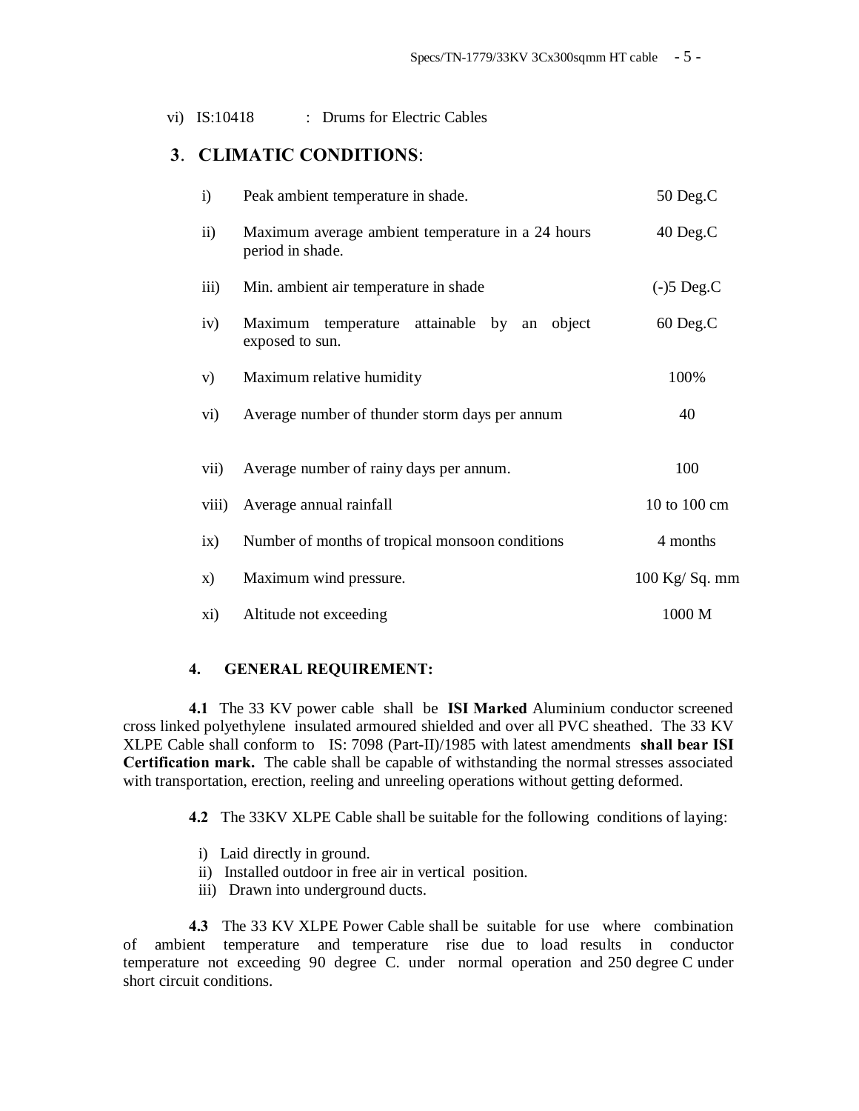vi) IS:10418 : Drums for Electric Cables

## **3**. **CLIMATIC CONDITIONS**:

| i)            | Peak ambient temperature in shade.                                    | 50 Deg.C       |
|---------------|-----------------------------------------------------------------------|----------------|
| $\mathbf{ii}$ | Maximum average ambient temperature in a 24 hours<br>period in shade. | 40 Deg.C       |
| iii)          | Min. ambient air temperature in shade                                 | $(-)5$ Deg.C   |
| iv)           | attainable<br>Maximum temperature<br>by an object<br>exposed to sun.  | 60 Deg.C       |
| V)            | Maximum relative humidity                                             | 100%           |
| vi)           | Average number of thunder storm days per annum                        | 40             |
| vii)          | Average number of rainy days per annum.                               | 100            |
| viii)         | Average annual rainfall                                               | 10 to 100 cm   |
| ix)           | Number of months of tropical monsoon conditions                       | 4 months       |
| X)            | Maximum wind pressure.                                                | 100 Kg/ Sq. mm |
| xi)           | Altitude not exceeding                                                | 1000 M         |

#### **4. GENERAL REQUIREMENT:**

**4.1** The 33 KV power cable shall be **ISI Marked** Aluminium conductor screened cross linked polyethylene insulated armoured shielded and over all PVC sheathed. The 33 KV XLPE Cable shall conform to IS: 7098 (Part-II)/1985 with latest amendments **shall bear ISI Certification mark.** The cable shall be capable of withstanding the normal stresses associated with transportation, erection, reeling and unreeling operations without getting deformed.

**4.2** The 33KV XLPE Cable shall be suitable for the following conditions of laying:

- i) Laid directly in ground.
- ii) Installed outdoor in free air in vertical position.
- iii) Drawn into underground ducts.

**4.3** The 33 KV XLPE Power Cable shall be suitable for use where combination of ambient temperature and temperature rise due to load results in conductor temperature not exceeding 90 degree C. under normal operation and 250 degree C under short circuit conditions.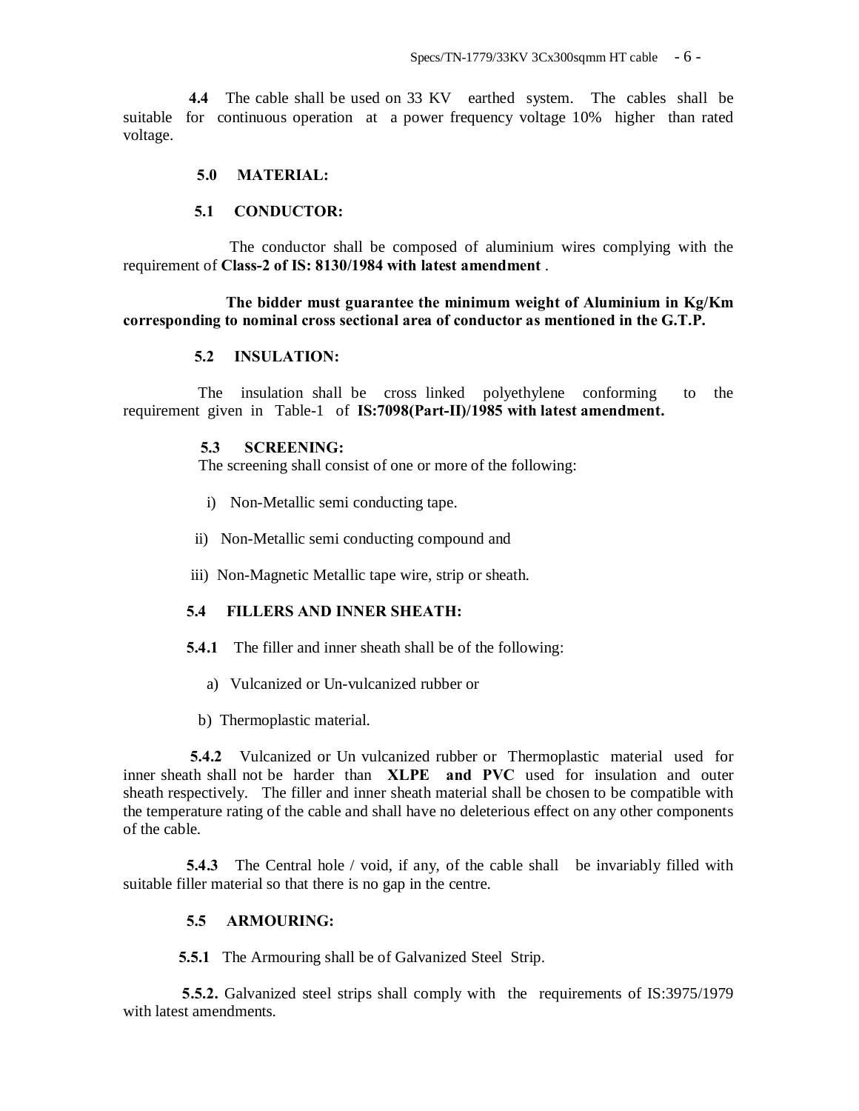**4.4** The cable shall be used on 33 KV earthed system. The cables shall be suitable for continuous operation at a power frequency voltage 10% higher than rated voltage.

## **5.0 MATERIAL:**

## **5.1 CONDUCTOR:**

 The conductor shall be composed of aluminium wires complying with the requirement of **Class-2 of IS: 8130/1984 with latest amendment** .

## **The bidder must guarantee the minimum weight of Aluminium in Kg/Km corresponding to nominal cross sectional area of conductor as mentioned in the G.T.P.**

#### **5.2 INSULATION:**

 The insulation shall be cross linked polyethylene conforming to the requirement given in Table-1 of **IS:7098(Part-II)/1985 with latest amendment.**

## **5.3 SCREENING:**

The screening shall consist of one or more of the following:

- i) Non-Metallic semi conducting tape.
- ii) Non-Metallic semi conducting compound and
- iii) Non-Magnetic Metallic tape wire, strip or sheath.

#### **5.4 FILLERS AND INNER SHEATH:**

- **5.4.1** The filler and inner sheath shall be of the following:
	- a) Vulcanized or Un-vulcanized rubber or
	- b) Thermoplastic material.

 **5.4.2** Vulcanized or Un vulcanized rubber or Thermoplastic material used for inner sheath shall not be harder than **XLPE and PVC** used for insulation and outer sheath respectively. The filler and inner sheath material shall be chosen to be compatible with the temperature rating of the cable and shall have no deleterious effect on any other components of the cable.

**5.4.3** The Central hole / void, if any, of the cable shall be invariably filled with suitable filler material so that there is no gap in the centre.

#### **5.5 ARMOURING:**

**5.5.1** The Armouring shall be of Galvanized Steel Strip.

**5.5.2.** Galvanized steel strips shall comply with the requirements of IS:3975/1979 with latest amendments.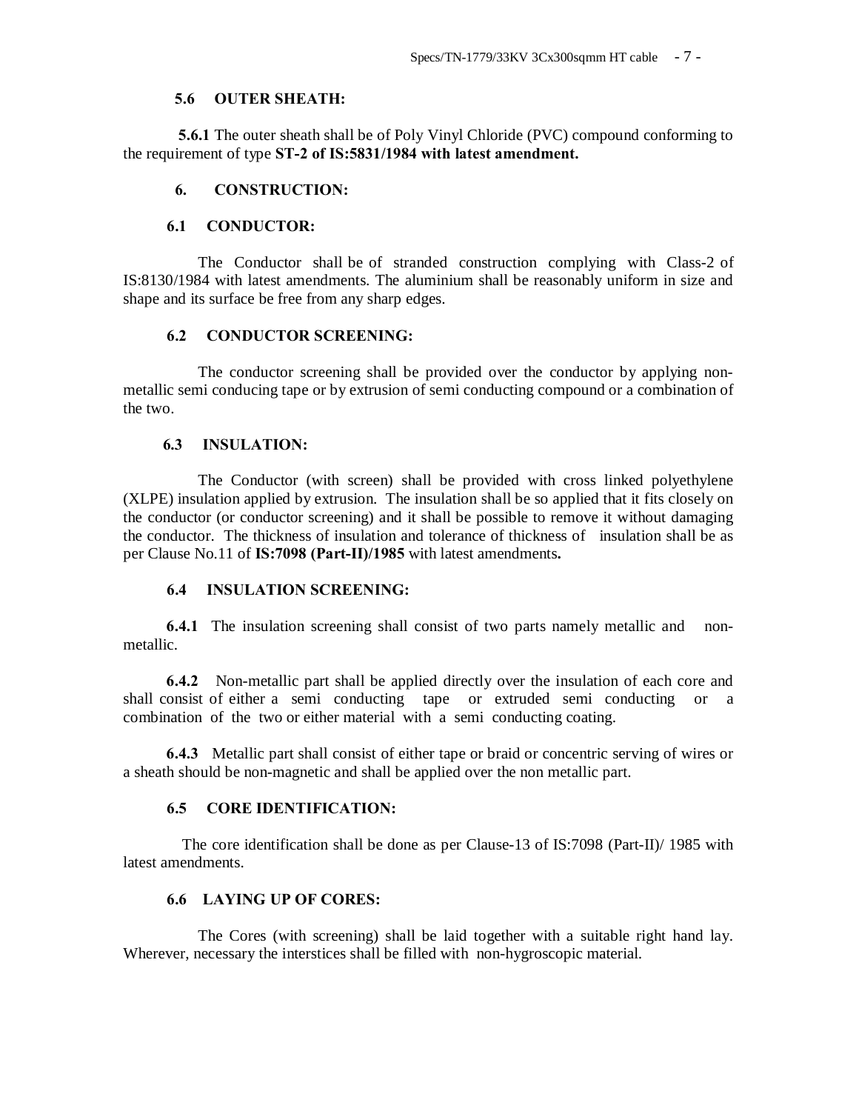#### **5.6 OUTER SHEATH:**

 **5.6.1** The outer sheath shall be of Poly Vinyl Chloride (PVC) compound conforming to the requirement of type **ST-2 of IS:5831/1984 with latest amendment.**

#### **6. CONSTRUCTION:**

#### **6.1 CONDUCTOR:**

 The Conductor shall be of stranded construction complying with Class-2 of IS:8130/1984 with latest amendments. The aluminium shall be reasonably uniform in size and shape and its surface be free from any sharp edges.

## **6.2 CONDUCTOR SCREENING:**

 The conductor screening shall be provided over the conductor by applying nonmetallic semi conducing tape or by extrusion of semi conducting compound or a combination of the two.

#### **6.3 INSULATION:**

 The Conductor (with screen) shall be provided with cross linked polyethylene (XLPE) insulation applied by extrusion. The insulation shall be so applied that it fits closely on the conductor (or conductor screening) and it shall be possible to remove it without damaging the conductor. The thickness of insulation and tolerance of thickness of insulation shall be as per Clause No.11 of **IS:7098 (Part-II)/1985** with latest amendments**.**

## **6.4 INSULATION SCREENING:**

 **6.4.1** The insulation screening shall consist of two parts namely metallic and nonmetallic.

 **6.4.2** Non-metallic part shall be applied directly over the insulation of each core and shall consist of either a semi conducting tape or extruded semi conducting or a combination of the two or either material with a semi conducting coating.

 **6.4.3** Metallic part shall consist of either tape or braid or concentric serving of wires or a sheath should be non-magnetic and shall be applied over the non metallic part.

#### **6.5 CORE IDENTIFICATION:**

 The core identification shall be done as per Clause-13 of IS:7098 (Part-II)/ 1985 with latest amendments.

## **6.6 LAYING UP OF CORES:**

 The Cores (with screening) shall be laid together with a suitable right hand lay. Wherever, necessary the interstices shall be filled with non-hygroscopic material.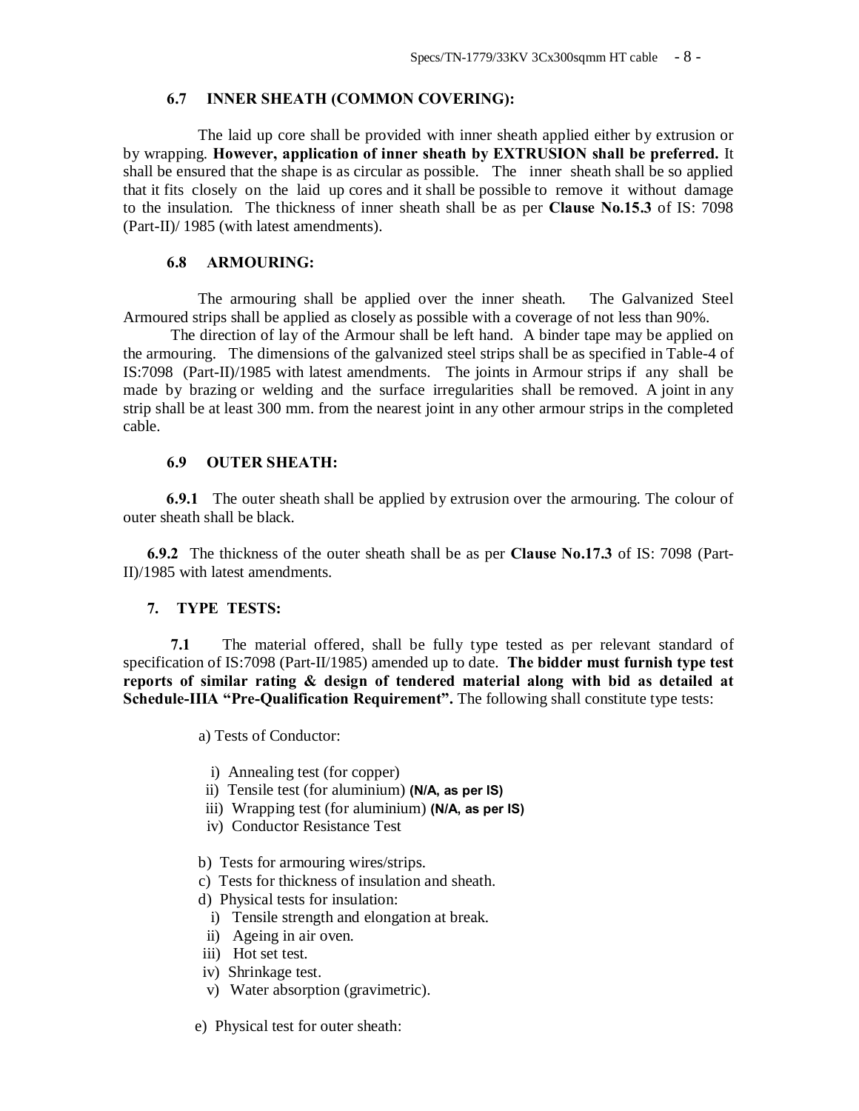#### **6.7 INNER SHEATH (COMMON COVERING):**

 The laid up core shall be provided with inner sheath applied either by extrusion or by wrapping. **However, application of inner sheath by EXTRUSION shall be preferred.** It shall be ensured that the shape is as circular as possible. The inner sheath shall be so applied that it fits closely on the laid up cores and it shall be possible to remove it without damage to the insulation. The thickness of inner sheath shall be as per **Clause No.15.3** of IS: 7098 (Part-II)/ 1985 (with latest amendments).

#### **6.8 ARMOURING:**

The armouring shall be applied over the inner sheath. The Galvanized Steel Armoured strips shall be applied as closely as possible with a coverage of not less than 90%.

The direction of lay of the Armour shall be left hand. A binder tape may be applied on the armouring. The dimensions of the galvanized steel strips shall be as specified in Table-4 of IS:7098 (Part-II)/1985 with latest amendments. The joints in Armour strips if any shall be made by brazing or welding and the surface irregularities shall be removed. A joint in any strip shall be at least 300 mm. from the nearest joint in any other armour strips in the completed cable.

## **6.9 OUTER SHEATH:**

 **6.9.1** The outer sheath shall be applied by extrusion over the armouring. The colour of outer sheath shall be black.

**6.9.2** The thickness of the outer sheath shall be as per **Clause No.17.3** of IS: 7098 (Part-II)/1985 with latest amendments.

#### **7. TYPE TESTS:**

**7.1** The material offered, shall be fully type tested as per relevant standard of specification of IS:7098 (Part-II/1985) amended up to date. **The bidder must furnish type test reports of similar rating & design of tendered material along with bid as detailed at Schedule-IIIA "Pre-Qualification Requirement".** The following shall constitute type tests:

a) Tests of Conductor:

- i) Annealing test (for copper)
- ii) Tensile test (for aluminium) **(N/A, as per IS)**
- iii) Wrapping test (for aluminium) **(N/A, as per IS)**
- iv) Conductor Resistance Test
- b) Tests for armouring wires/strips.
- c) Tests for thickness of insulation and sheath.
- d) Physical tests for insulation:
- i) Tensile strength and elongation at break.
- ii) Ageing in air oven.
- iii) Hot set test.
- iv) Shrinkage test.
- v) Water absorption (gravimetric).
- e) Physical test for outer sheath: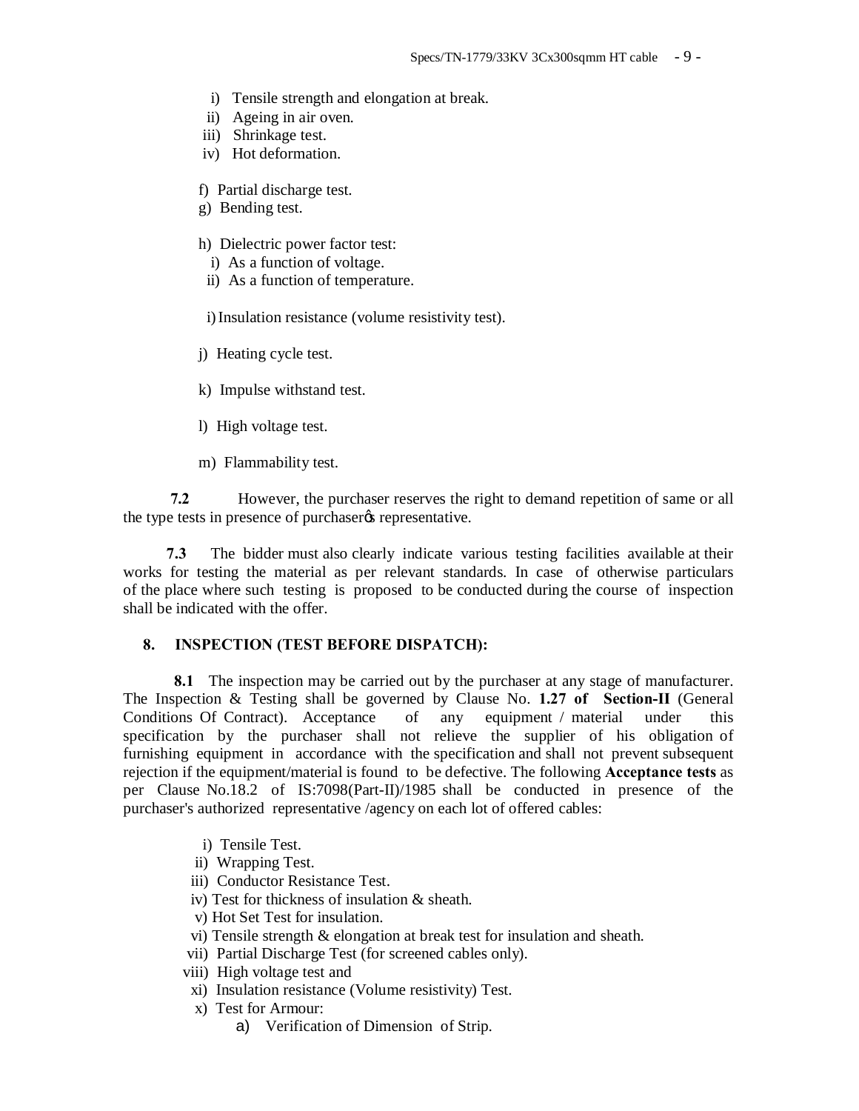- i) Tensile strength and elongation at break.
- ii) Ageing in air oven.
- iii) Shrinkage test.
- iv) Hot deformation.
- f) Partial discharge test.
- g) Bending test.
- h) Dielectric power factor test:
	- i) As a function of voltage.
	- ii) As a function of temperature.

i) Insulation resistance (volume resistivity test).

- j) Heating cycle test.
- k) Impulse withstand test.
- l) High voltage test.
- m) Flammability test.

**7.2** However, the purchaser reserves the right to demand repetition of same or all the type tests in presence of purchaser  $\alpha$  representative.

 **7.3** The bidder must also clearly indicate various testing facilities available at their works for testing the material as per relevant standards. In case of otherwise particulars of the place where such testing is proposed to be conducted during the course of inspection shall be indicated with the offer.

#### **8. INSPECTION (TEST BEFORE DISPATCH):**

**8.1** The inspection may be carried out by the purchaser at any stage of manufacturer. The Inspection & Testing shall be governed by Clause No. **1.27 of Section-II** (General Conditions Of Contract). Acceptance of any equipment / material under this specification by the purchaser shall not relieve the supplier of his obligation of furnishing equipment in accordance with the specification and shall not prevent subsequent rejection if the equipment/material is found to be defective. The following **Acceptance tests** as per Clause No.18.2 of IS:7098(Part-II)/1985 shall be conducted in presence of the purchaser's authorized representative /agency on each lot of offered cables:

- i) Tensile Test.
- ii) Wrapping Test.
- iii) Conductor Resistance Test.
- iv) Test for thickness of insulation & sheath.
- v) Hot Set Test for insulation.
- vi) Tensile strength & elongation at break test for insulation and sheath.
- vii) Partial Discharge Test (for screened cables only).
- viii) High voltage test and
- xi) Insulation resistance (Volume resistivity) Test.
- x) Test for Armour:
	- a) Verification of Dimension of Strip.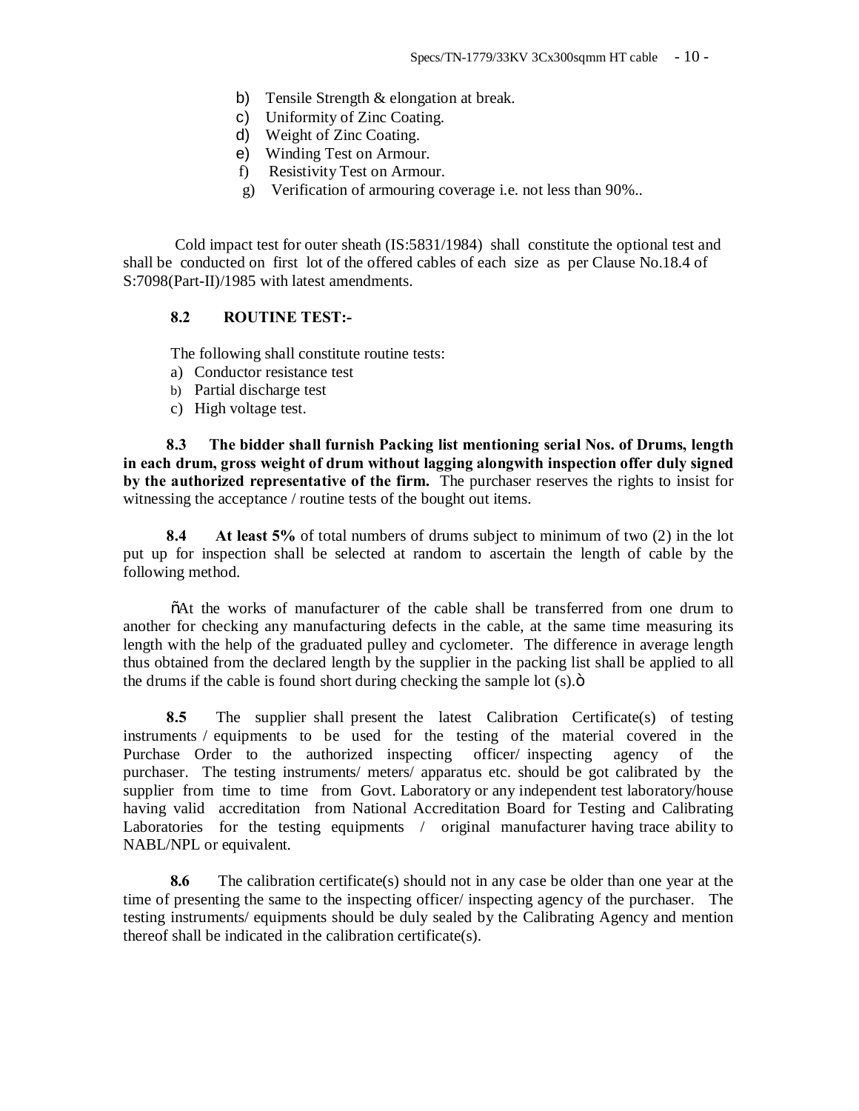- b) Tensile Strength & elongation at break.
- c) Uniformity of Zinc Coating.
- d) Weight of Zinc Coating.
- e) Winding Test on Armour.
- f) Resistivity Test on Armour.
- g) Verification of armouring coverage i.e. not less than 90%..

 Cold impact test for outer sheath (IS:5831/1984) shall constitute the optional test and shall be conducted on first lot of the offered cables of each size as per Clause No.18.4 of S:7098(Part-II)/1985 with latest amendments.

## **8.2 ROUTINE TEST:-**

The following shall constitute routine tests:

- a) Conductor resistance test
- b) Partial discharge test
- c) High voltage test.

 **8.3 The bidder shall furnish Packing list mentioning serial Nos. of Drums, length in each drum, gross weight of drum without lagging alongwith inspection offer duly signed by the authorized representative of the firm.** The purchaser reserves the rights to insist for witnessing the acceptance / routine tests of the bought out items.

 **8.4 At least 5%** of total numbers of drums subject to minimum of two (2) in the lot put up for inspection shall be selected at random to ascertain the length of cable by the following method.

 $\delta$ At the works of manufacturer of the cable shall be transferred from one drum to another for checking any manufacturing defects in the cable, at the same time measuring its length with the help of the graduated pulley and cyclometer. The difference in average length thus obtained from the declared length by the supplier in the packing list shall be applied to all the drums if the cable is found short during checking the sample lot  $(s)$ . $\ddot{o}$ 

 **8.5** The supplier shall present the latest Calibration Certificate(s) of testing instruments / equipments to be used for the testing of the material covered in the Purchase Order to the authorized inspecting officer/ inspecting agency of the purchaser. The testing instruments/ meters/ apparatus etc. should be got calibrated by the supplier from time to time from Govt. Laboratory or any independent test laboratory/house having valid accreditation from National Accreditation Board for Testing and Calibrating Laboratories for the testing equipments / original manufacturer having trace ability to NABL/NPL or equivalent.

**8.6** The calibration certificate(s) should not in any case be older than one year at the time of presenting the same to the inspecting officer/ inspecting agency of the purchaser. The testing instruments/ equipments should be duly sealed by the Calibrating Agency and mention thereof shall be indicated in the calibration certificate(s).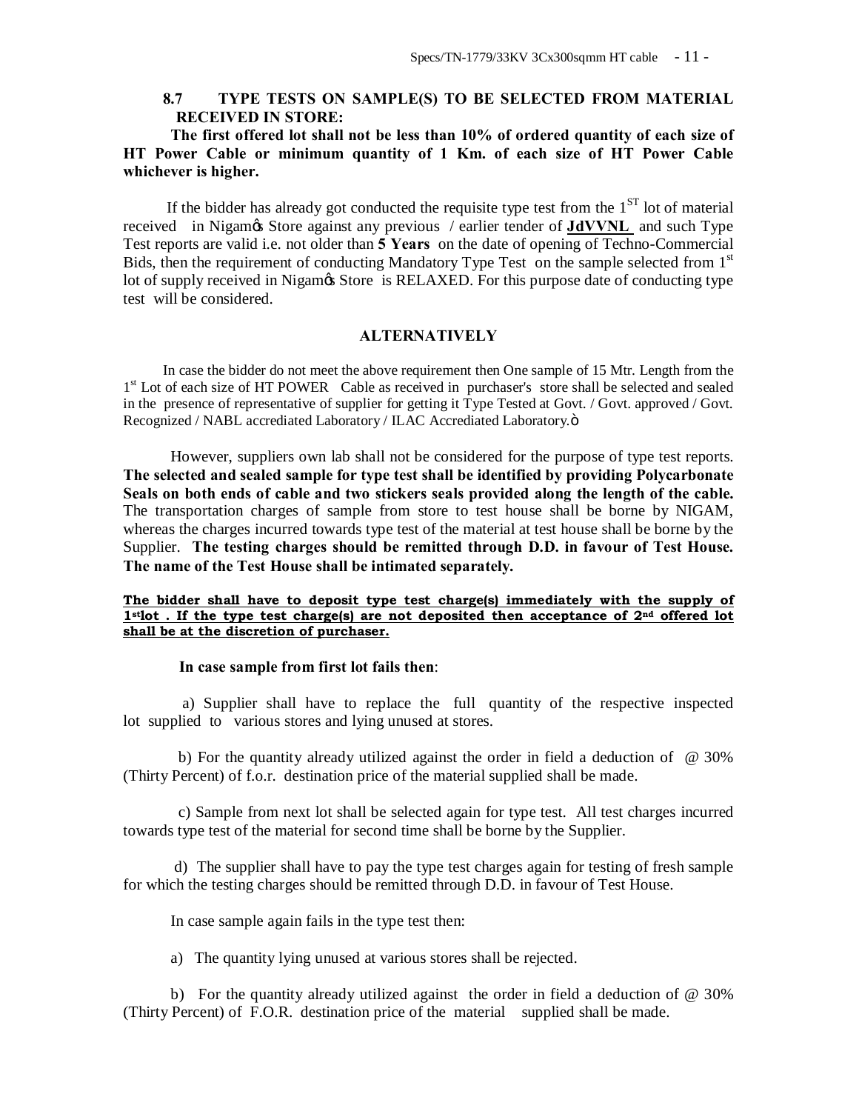## **8.7 TYPE TESTS ON SAMPLE(S) TO BE SELECTED FROM MATERIAL RECEIVED IN STORE:**

**The first offered lot shall not be less than 10% of ordered quantity of each size of HT Power Cable or minimum quantity of 1 Km. of each size of HT Power Cable whichever is higher.**

If the bidder has already got conducted the requisite type test from the  $1<sup>ST</sup>$  lot of material received in Nigam's Store against any previous / earlier tender of **JdVVNL** and such Type Test reports are valid i.e. not older than **5 Years** on the date of opening of Techno-Commercial Bids, then the requirement of conducting Mandatory Type Test on the sample selected from 1<sup>st</sup> lot of supply received in Nigamos Store is RELAXED. For this purpose date of conducting type test will be considered.

## **ALTERNATIVELY**

 In case the bidder do not meet the above requirement then One sample of 15 Mtr. Length from the 1<sup>st</sup> Lot of each size of HT POWER Cable as received in purchaser's store shall be selected and sealed in the presence of representative of supplier for getting it Type Tested at Govt. / Govt. approved / Govt. Recognized / NABL accrediated Laboratory / ILAC Accrediated Laboratory.ö

However, suppliers own lab shall not be considered for the purpose of type test reports. **The selected and sealed sample for type test shall be identified by providing Polycarbonate Seals on both ends of cable and two stickers seals provided along the length of the cable.**  The transportation charges of sample from store to test house shall be borne by NIGAM, whereas the charges incurred towards type test of the material at test house shall be borne by the Supplier. **The testing charges should be remitted through D.D. in favour of Test House. The name of the Test House shall be intimated separately.**

#### **The bidder shall have to deposit type test charge(s) immediately with the supply of 1stlot . If the type test charge(s) are not deposited then acceptance of 2nd offered lot shall be at the discretion of purchaser.**

#### **In case sample from first lot fails then**:

 a) Supplier shall have to replace the full quantity of the respective inspected lot supplied to various stores and lying unused at stores.

b) For the quantity already utilized against the order in field a deduction of  $\omega$  30% (Thirty Percent) of f.o.r. destination price of the material supplied shall be made.

 c) Sample from next lot shall be selected again for type test. All test charges incurred towards type test of the material for second time shall be borne by the Supplier.

 d) The supplier shall have to pay the type test charges again for testing of fresh sample for which the testing charges should be remitted through D.D. in favour of Test House.

In case sample again fails in the type test then:

a) The quantity lying unused at various stores shall be rejected.

b) For the quantity already utilized against the order in field a deduction of @ 30% (Thirty Percent) of F.O.R. destination price of the material supplied shall be made.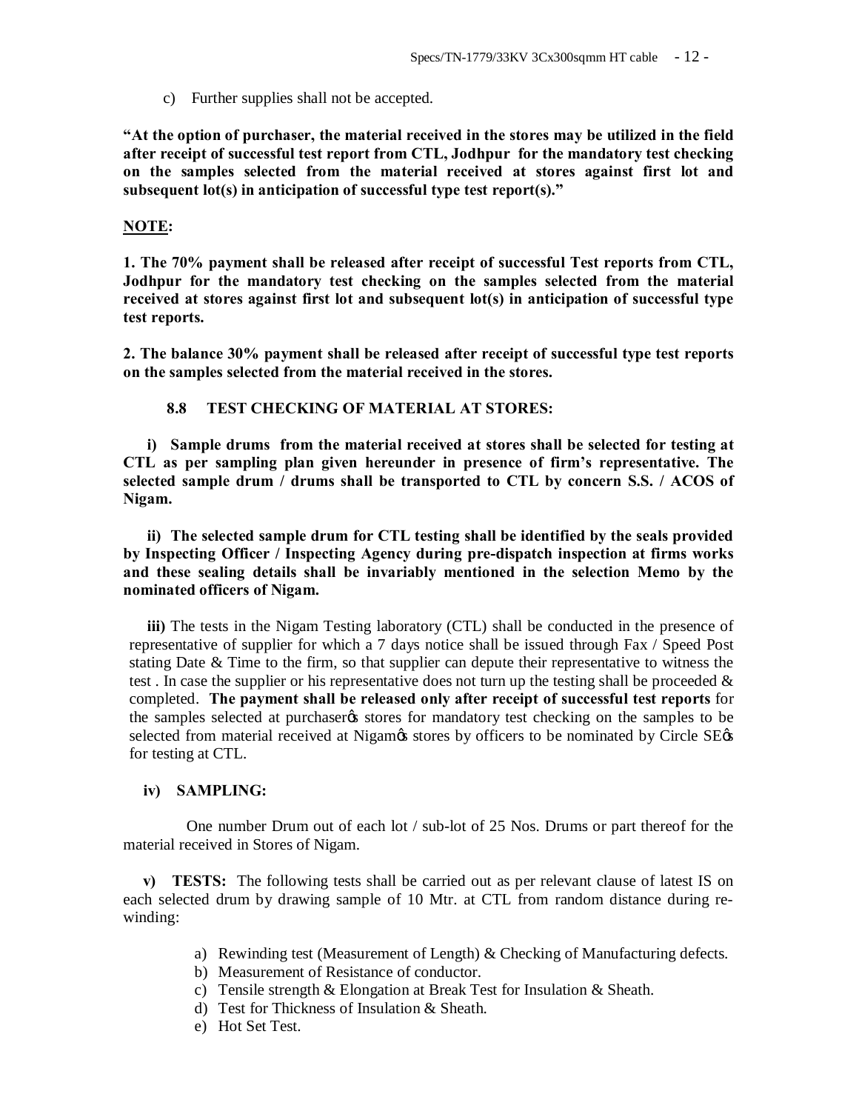c) Further supplies shall not be accepted.

**"At the option of purchaser, the material received in the stores may be utilized in the field after receipt of successful test report from CTL, Jodhpur for the mandatory test checking on the samples selected from the material received at stores against first lot and subsequent lot(s) in anticipation of successful type test report(s)."**

#### **NOTE:**

**1. The 70% payment shall be released after receipt of successful Test reports from CTL, Jodhpur for the mandatory test checking on the samples selected from the material received at stores against first lot and subsequent lot(s) in anticipation of successful type test reports.**

**2. The balance 30% payment shall be released after receipt of successful type test reports on the samples selected from the material received in the stores.**

## **8.8 TEST CHECKING OF MATERIAL AT STORES:**

**i) Sample drums from the material received at stores shall be selected for testing at CTL as per sampling plan given hereunder in presence of firm's representative. The selected sample drum / drums shall be transported to CTL by concern S.S. / ACOS of Nigam.**

**ii) The selected sample drum for CTL testing shall be identified by the seals provided by Inspecting Officer / Inspecting Agency during pre-dispatch inspection at firms works and these sealing details shall be invariably mentioned in the selection Memo by the nominated officers of Nigam.**

**iii)** The tests in the Nigam Testing laboratory (CTL) shall be conducted in the presence of representative of supplier for which a 7 days notice shall be issued through Fax / Speed Post stating Date & Time to the firm, so that supplier can depute their representative to witness the test. In case the supplier or his representative does not turn up the testing shall be proceeded  $\&$ completed. **The payment shall be released only after receipt of successful test reports** for the samples selected at purchaser to stores for mandatory test checking on the samples to be selected from material received at Nigam& stores by officers to be nominated by Circle SE& for testing at CTL.

#### **iv) SAMPLING:**

 One number Drum out of each lot / sub-lot of 25 Nos. Drums or part thereof for the material received in Stores of Nigam.

 **v) TESTS:** The following tests shall be carried out as per relevant clause of latest IS on each selected drum by drawing sample of 10 Mtr. at CTL from random distance during rewinding:

- a) Rewinding test (Measurement of Length) & Checking of Manufacturing defects.
- b) Measurement of Resistance of conductor.
- c) Tensile strength & Elongation at Break Test for Insulation & Sheath.
- d) Test for Thickness of Insulation & Sheath.
- e) Hot Set Test.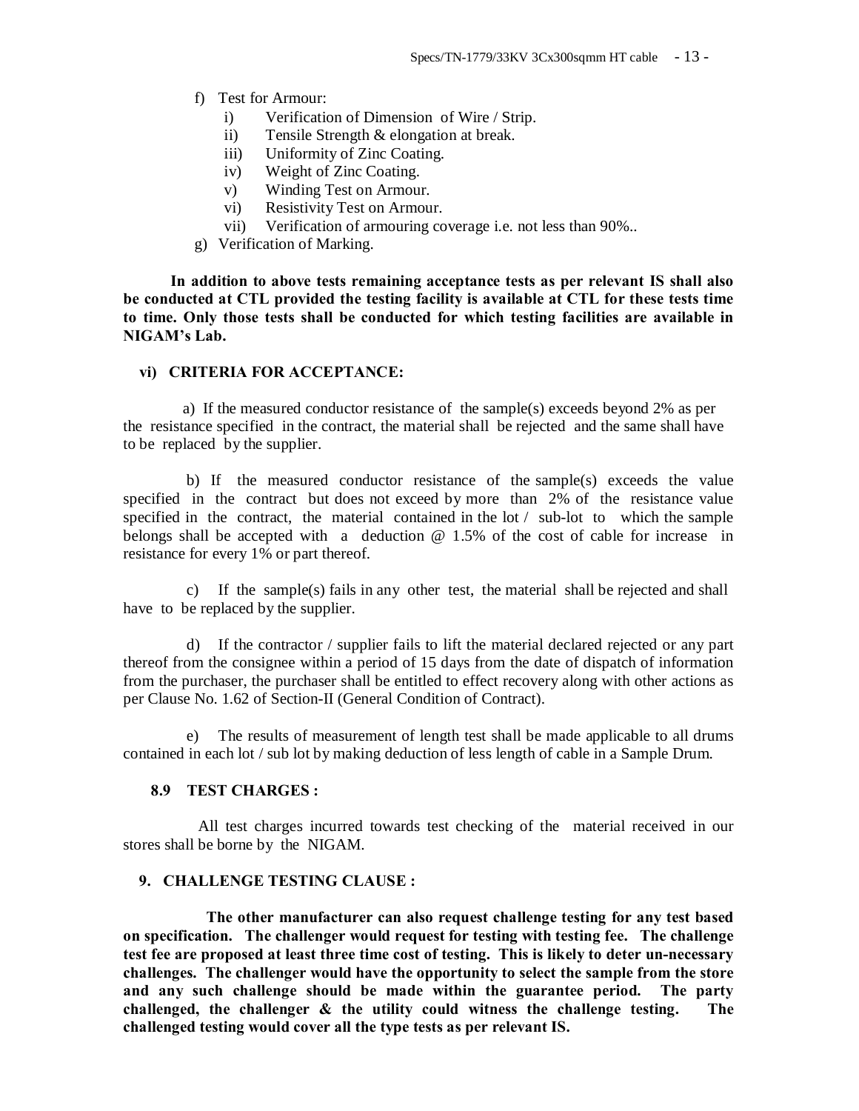- f) Test for Armour:
	- i) Verification of Dimension of Wire / Strip.
	- ii) Tensile Strength & elongation at break.
	- iii) Uniformity of Zinc Coating.
	- iv) Weight of Zinc Coating.
	- v) Winding Test on Armour.
	- vi) Resistivity Test on Armour.
	- vii) Verification of armouring coverage i.e. not less than 90%..
- g) Verification of Marking.

**In addition to above tests remaining acceptance tests as per relevant IS shall also be conducted at CTL provided the testing facility is available at CTL for these tests time to time. Only those tests shall be conducted for which testing facilities are available in NIGAM's Lab.**

#### **vi) CRITERIA FOR ACCEPTANCE:**

 a) If the measured conductor resistance of the sample(s) exceeds beyond 2% as per the resistance specified in the contract, the material shall be rejected and the same shall have to be replaced by the supplier.

 b) If the measured conductor resistance of the sample(s) exceeds the value specified in the contract but does not exceed by more than 2% of the resistance value specified in the contract, the material contained in the lot / sub-lot to which the sample belongs shall be accepted with a deduction  $\omega$  1.5% of the cost of cable for increase in resistance for every 1% or part thereof.

c) If the sample(s) fails in any other test, the material shall be rejected and shall have to be replaced by the supplier.

d) If the contractor / supplier fails to lift the material declared rejected or any part thereof from the consignee within a period of 15 days from the date of dispatch of information from the purchaser, the purchaser shall be entitled to effect recovery along with other actions as per Clause No. 1.62 of Section-II (General Condition of Contract).

e) The results of measurement of length test shall be made applicable to all drums contained in each lot / sub lot by making deduction of less length of cable in a Sample Drum.

### **8.9 TEST CHARGES :**

 All test charges incurred towards test checking of the material received in our stores shall be borne by the NIGAM.

## **9. CHALLENGE TESTING CLAUSE :**

 **The other manufacturer can also request challenge testing for any test based on specification. The challenger would request for testing with testing fee. The challenge test fee are proposed at least three time cost of testing. This is likely to deter un-necessary challenges. The challenger would have the opportunity to select the sample from the store and any such challenge should be made within the guarantee period. The party challenged, the challenger & the utility could witness the challenge testing. The challenged testing would cover all the type tests as per relevant IS.**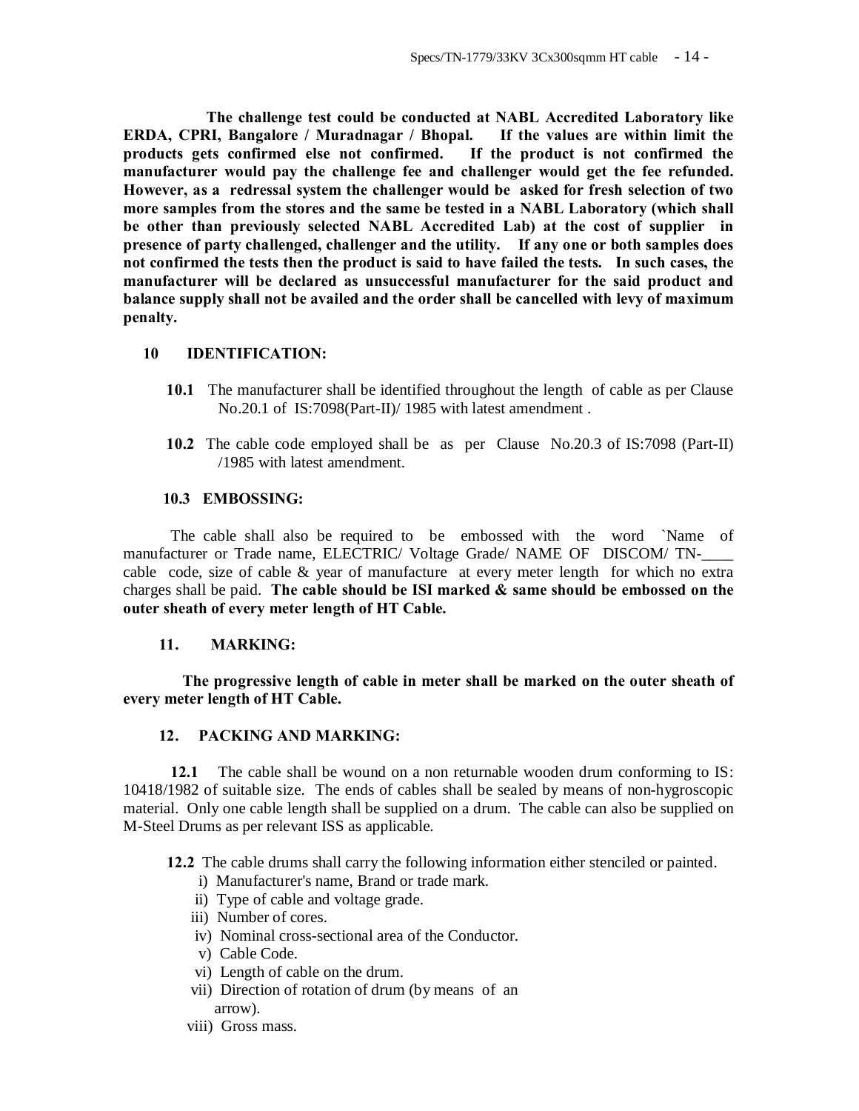**The challenge test could be conducted at NABL Accredited Laboratory like ERDA, CPRI, Bangalore / Muradnagar / Bhopal. If the values are within limit the products gets confirmed else not confirmed. If the product is not confirmed the manufacturer would pay the challenge fee and challenger would get the fee refunded. However, as a redressal system the challenger would be asked for fresh selection of two more samples from the stores and the same be tested in a NABL Laboratory (which shall be other than previously selected NABL Accredited Lab) at the cost of supplier in presence of party challenged, challenger and the utility. If any one or both samples does not confirmed the tests then the product is said to have failed the tests. In such cases, the manufacturer will be declared as unsuccessful manufacturer for the said product and balance supply shall not be availed and the order shall be cancelled with levy of maximum penalty.** 

## **10 IDENTIFICATION:**

- **10.1** The manufacturer shall be identified throughout the length of cable as per Clause No.20.1 of IS:7098(Part-II)/ 1985 with latest amendment .
- **10.2** The cable code employed shall be as per Clause No.20.3 of IS:7098 (Part-II) /1985 with latest amendment.

## **10.3 EMBOSSING:**

 The cable shall also be required to be embossed with the word `Name of manufacturer or Trade name, ELECTRIC/ Voltage Grade/ NAME OF DISCOM/ TNcable code, size of cable & year of manufacture at every meter length for which no extra charges shall be paid. **The cable should be ISI marked & same should be embossed on the outer sheath of every meter length of HT Cable.**

#### **11. MARKING:**

 **The progressive length of cable in meter shall be marked on the outer sheath of every meter length of HT Cable.**

## **12. PACKING AND MARKING:**

**12.1** The cable shall be wound on a non returnable wooden drum conforming to IS: 10418/1982 of suitable size. The ends of cables shall be sealed by means of non-hygroscopic material. Only one cable length shall be supplied on a drum. The cable can also be supplied on M-Steel Drums as per relevant ISS as applicable.

**12.2** The cable drums shall carry the following information either stenciled or painted.

- i) Manufacturer's name, Brand or trade mark.
- ii) Type of cable and voltage grade.
- iii) Number of cores.
- iv) Nominal cross-sectional area of the Conductor.
- v) Cable Code.
- vi) Length of cable on the drum.
- vii) Direction of rotation of drum (by means of an arrow).
- viii) Gross mass.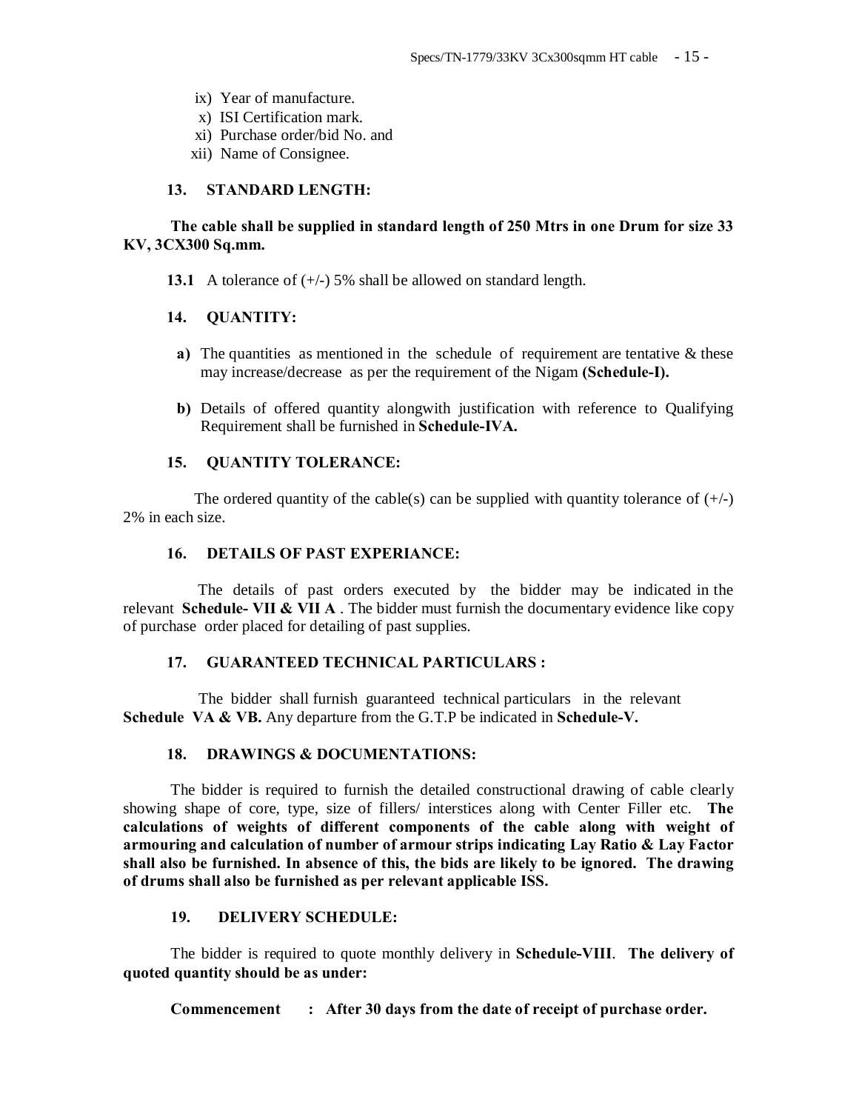- ix) Year of manufacture.
- x) ISI Certification mark.
- xi) Purchase order/bid No. and
- xii) Name of Consignee.

#### **13. STANDARD LENGTH:**

## **The cable shall be supplied in standard length of 250 Mtrs in one Drum for size 33 KV, 3CX300 Sq.mm.**

**13.1** A tolerance of  $(+/-)$  5% shall be allowed on standard length.

#### **14. QUANTITY:**

- **a)** The quantities as mentioned in the schedule of requirement are tentative & these may increase/decrease as per the requirement of the Nigam **(Schedule-I).**
- **b)** Details of offered quantity alongwith justification with reference to Qualifying Requirement shall be furnished in **Schedule-IVA.**

## **15. QUANTITY TOLERANCE:**

The ordered quantity of the cable(s) can be supplied with quantity tolerance of  $(+/-)$ 2% in each size.

#### **16. DETAILS OF PAST EXPERIANCE:**

 The details of past orders executed by the bidder may be indicated in the relevant **Schedule- VII & VII A** . The bidder must furnish the documentary evidence like copy of purchase order placed for detailing of past supplies.

## **17. GUARANTEED TECHNICAL PARTICULARS :**

 The bidder shall furnish guaranteed technical particulars in the relevant **Schedule VA & VB.** Any departure from the G.T.P be indicated in **Schedule-V.**

#### **18. DRAWINGS & DOCUMENTATIONS:**

The bidder is required to furnish the detailed constructional drawing of cable clearly showing shape of core, type, size of fillers/ interstices along with Center Filler etc. **The calculations of weights of different components of the cable along with weight of armouring and calculation of number of armour strips indicating Lay Ratio & Lay Factor shall also be furnished. In absence of this, the bids are likely to be ignored. The drawing of drums shall also be furnished as per relevant applicable ISS.**

#### **19. DELIVERY SCHEDULE:**

The bidder is required to quote monthly delivery in **Schedule-VIII**. **The delivery of quoted quantity should be as under:**

**Commencement : After 30 days from the date of receipt of purchase order.**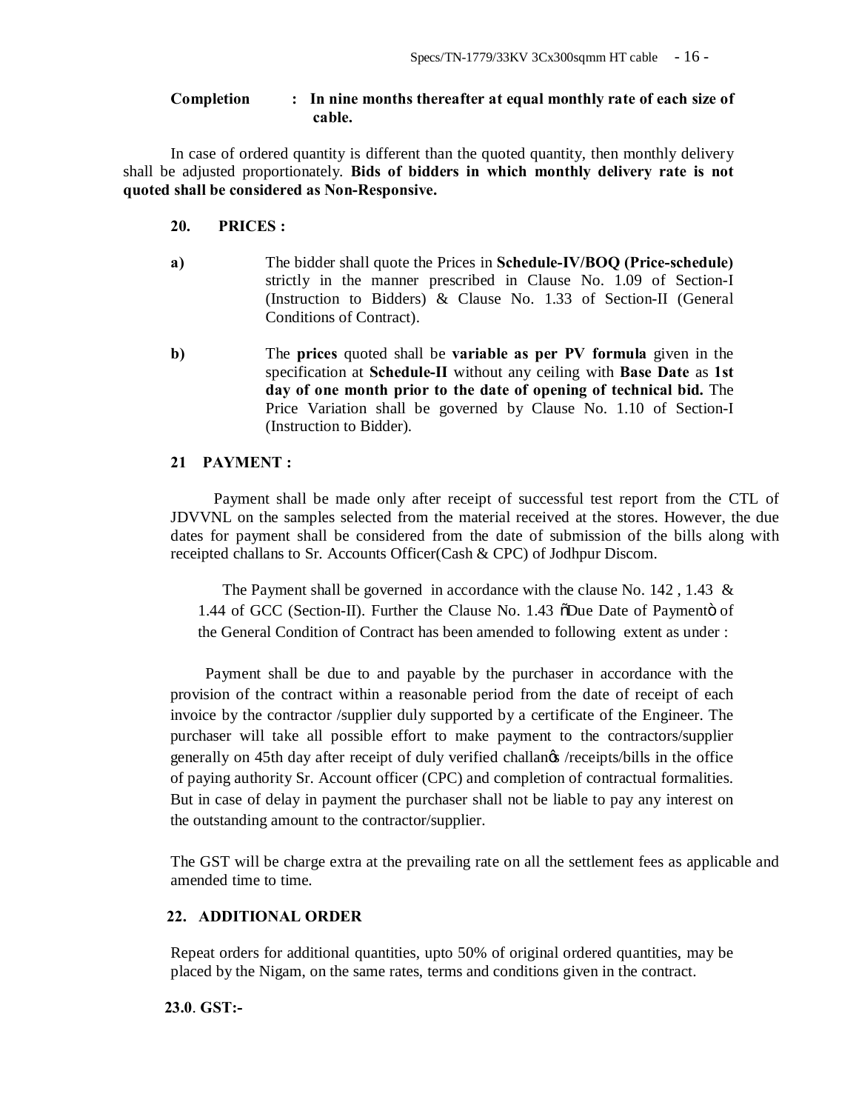## **Completion : In nine months thereafter at equal monthly rate of each size of cable.**

In case of ordered quantity is different than the quoted quantity, then monthly delivery shall be adjusted proportionately. **Bids of bidders in which monthly delivery rate is not quoted shall be considered as Non-Responsive.**

## **20. PRICES :**

- **a)** The bidder shall quote the Prices in **Schedule-IV/BOQ (Price-schedule)** strictly in the manner prescribed in Clause No. 1.09 of Section-I (Instruction to Bidders) & Clause No. 1.33 of Section-II (General Conditions of Contract).
- **b)** The **prices** quoted shall be **variable as per PV formula** given in the specification at **Schedule-II** without any ceiling with **Base Date** as **1st day of one month prior to the date of opening of technical bid.** The Price Variation shall be governed by Clause No. 1.10 of Section-I (Instruction to Bidder).

## **21 PAYMENT :**

 Payment shall be made only after receipt of successful test report from the CTL of JDVVNL on the samples selected from the material received at the stores. However, the due dates for payment shall be considered from the date of submission of the bills along with receipted challans to Sr. Accounts Officer(Cash & CPC) of Jodhpur Discom.

The Payment shall be governed in accordance with the clause No.  $142$ ,  $1.43 \&$ 1.44 of GCC (Section-II). Further the Clause No. 1.43 oDue Date of Paymento of the General Condition of Contract has been amended to following extent as under :

 Payment shall be due to and payable by the purchaser in accordance with the provision of the contract within a reasonable period from the date of receipt of each invoice by the contractor /supplier duly supported by a certificate of the Engineer. The purchaser will take all possible effort to make payment to the contractors/supplier generally on 45th day after receipt of duly verified challan's /receipts/bills in the office of paying authority Sr. Account officer (CPC) and completion of contractual formalities. But in case of delay in payment the purchaser shall not be liable to pay any interest on the outstanding amount to the contractor/supplier.

The GST will be charge extra at the prevailing rate on all the settlement fees as applicable and amended time to time.

## **22. ADDITIONAL ORDER**

Repeat orders for additional quantities, upto 50% of original ordered quantities, may be placed by the Nigam, on the same rates, terms and conditions given in the contract.

 **23.0**. **GST:-**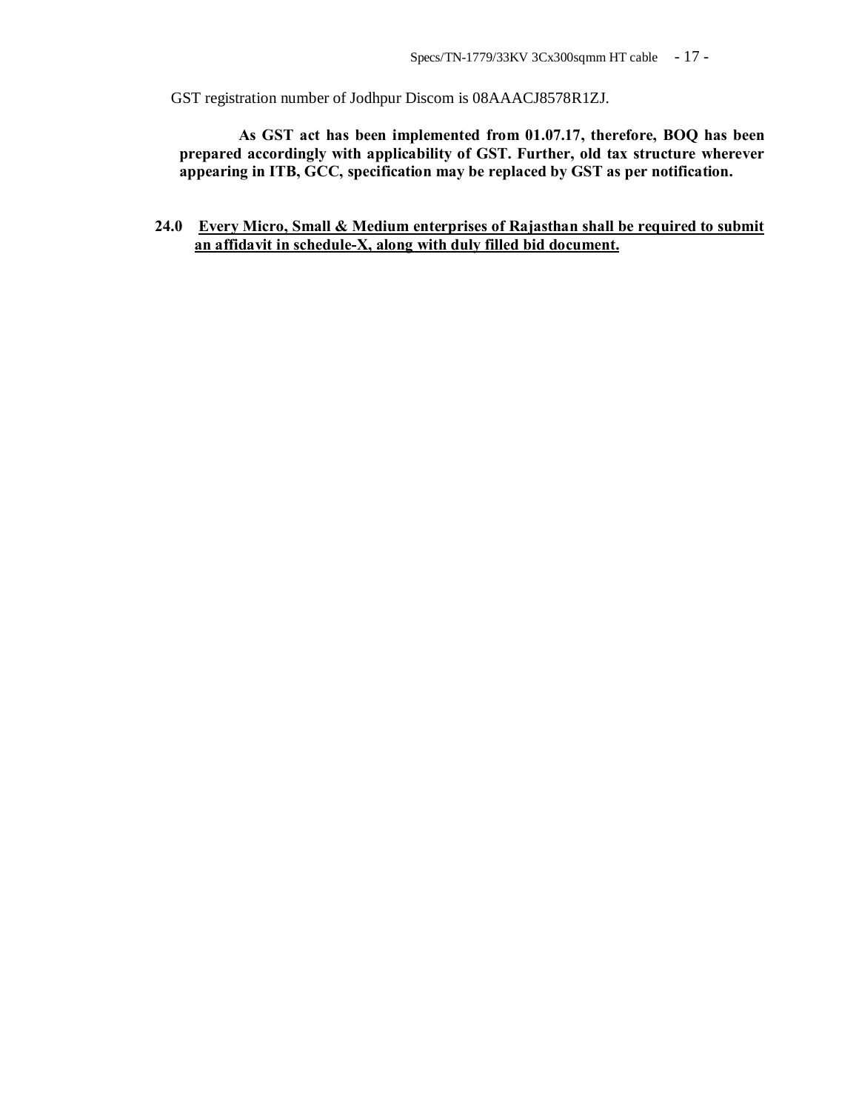GST registration number of Jodhpur Discom is 08AAACJ8578R1ZJ.

 **As GST act has been implemented from 01.07.17, therefore, BOQ has been prepared accordingly with applicability of GST. Further, old tax structure wherever appearing in ITB, GCC, specification may be replaced by GST as per notification.**

 **24.0 Every Micro, Small & Medium enterprises of Rajasthan shall be required to submit an affidavit in schedule-X, along with duly filled bid document.**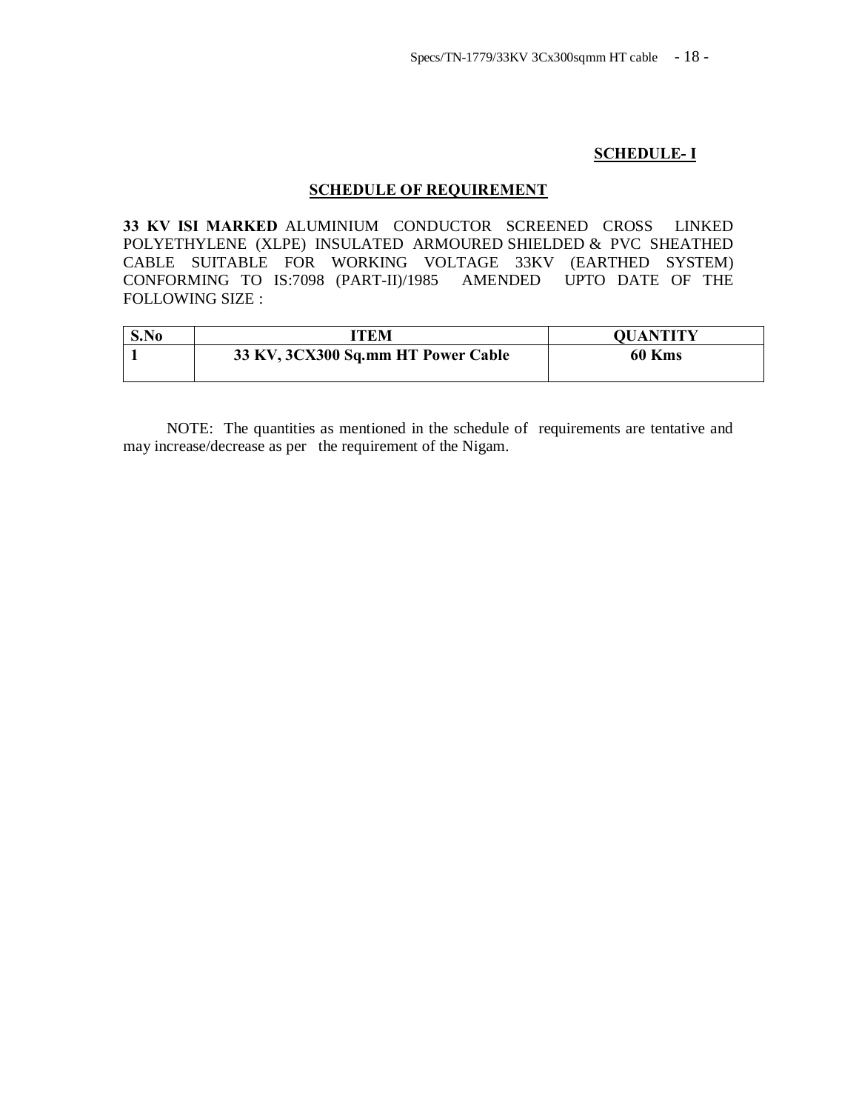## **SCHEDULE- I**

#### **SCHEDULE OF REQUIREMENT**

**33 KV ISI MARKED** ALUMINIUM CONDUCTOR SCREENED CROSS LINKED POLYETHYLENE (XLPE) INSULATED ARMOURED SHIELDED & PVC SHEATHED CABLE SUITABLE FOR WORKING VOLTAGE 33KV (EARTHED SYSTEM) CONFORMING TO IS:7098 (PART-II)/1985 AMENDED UPTO DATE OF THE FOLLOWING SIZE :

| S.No | ITEM                               | <b>OUANTITY</b> |
|------|------------------------------------|-----------------|
|      | 33 KV, 3CX300 Sq.mm HT Power Cable | 60 Kms          |

 NOTE: The quantities as mentioned in the schedule of requirements are tentative and may increase/decrease as per the requirement of the Nigam.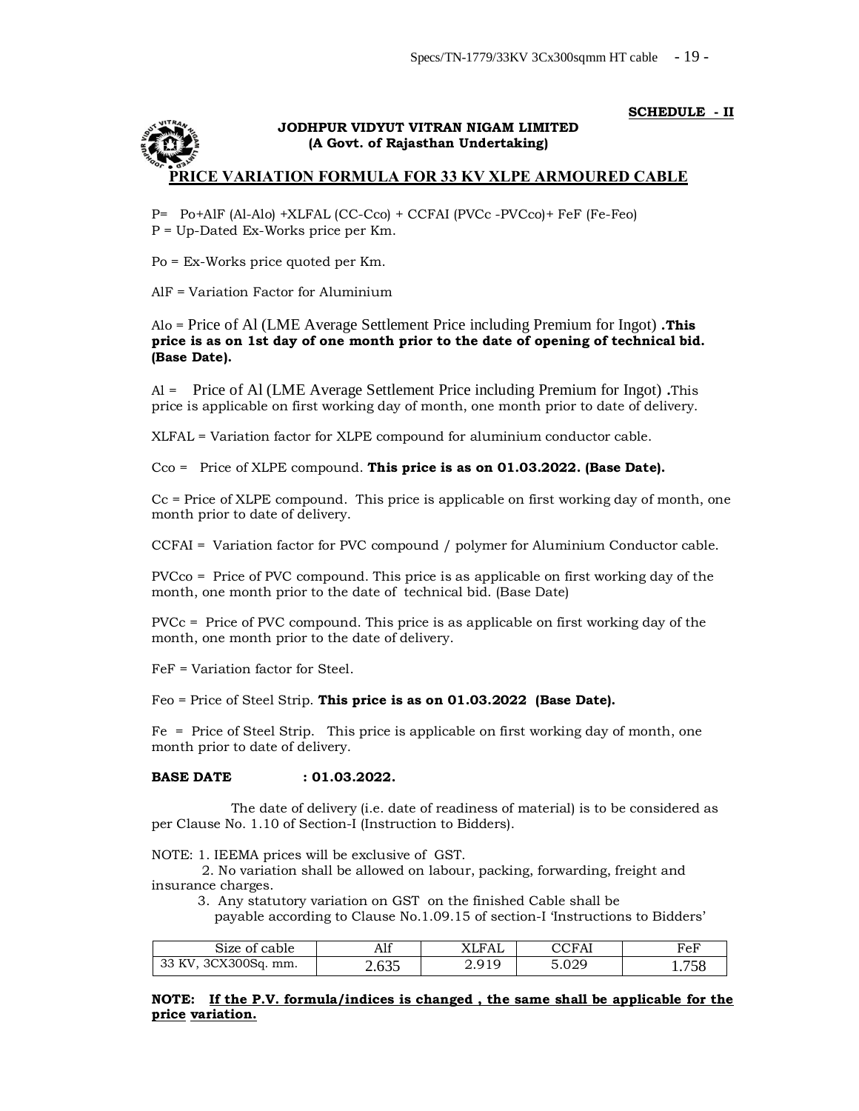#### **SCHEDULE - II**



P= Po+AlF (Al-Alo) +XLFAL (CC-Cco) + CCFAI (PVCc -PVCco)+ FeF (Fe-Feo) P = Up-Dated Ex-Works price per Km.

Po = Ex-Works price quoted per Km.

AlF = Variation Factor for Aluminium

#### Alo = Price of Al (LME Average Settlement Price including Premium for Ingot) **.This price is as on 1st day of one month prior to the date of opening of technical bid. (Base Date).**

Al = Price of Al (LME Average Settlement Price including Premium for Ingot) **.**This price is applicable on first working day of month, one month prior to date of delivery.

XLFAL = Variation factor for XLPE compound for aluminium conductor cable.

Cco = Price of XLPE compound. **This price is as on 01.03.2022. (Base Date).**

Cc = Price of XLPE compound. This price is applicable on first working day of month, one month prior to date of delivery.

CCFAI = Variation factor for PVC compound / polymer for Aluminium Conductor cable.

PVCco = Price of PVC compound. This price is as applicable on first working day of the month, one month prior to the date of technical bid. (Base Date)

PVCc = Price of PVC compound. This price is as applicable on first working day of the month, one month prior to the date of delivery.

FeF = Variation factor for Steel.

Feo = Price of Steel Strip. **This price is as on 01.03.2022 (Base Date).**

Fe = Price of Steel Strip. This price is applicable on first working day of month, one month prior to date of delivery.

#### **BASE DATE : 01.03.2022.**

 The date of delivery (i.e. date of readiness of material) is to be considered as per Clause No. 1.10 of Section-I (Instruction to Bidders).

NOTE: 1. IEEMA prices will be exclusive of GST.

 2. No variation shall be allowed on labour, packing, forwarding, freight and insurance charges.

- 3. Any statutory variation on GST on the finished Cable shall be
- payable according to Clause No.1.09.15 of section-I 'Instructions to Bidders'

| 31ze of cable                               | Alf                           | XLFAL                     | CCFAl              | FeF             |
|---------------------------------------------|-------------------------------|---------------------------|--------------------|-----------------|
| 3CX300Sq.<br>mm.<br>$\mathbf{v}$<br>ື<br>** | $\sim$ $\sim$ $\sim$<br>2.UJJ | Q1Q<br><u> 4. ji i i </u> | -<br>റററ<br>0. UZJ | 1. <i>1 J</i> J |

**NOTE: If the P.V. formula/indices is changed , the same shall be applicable for the price variation.**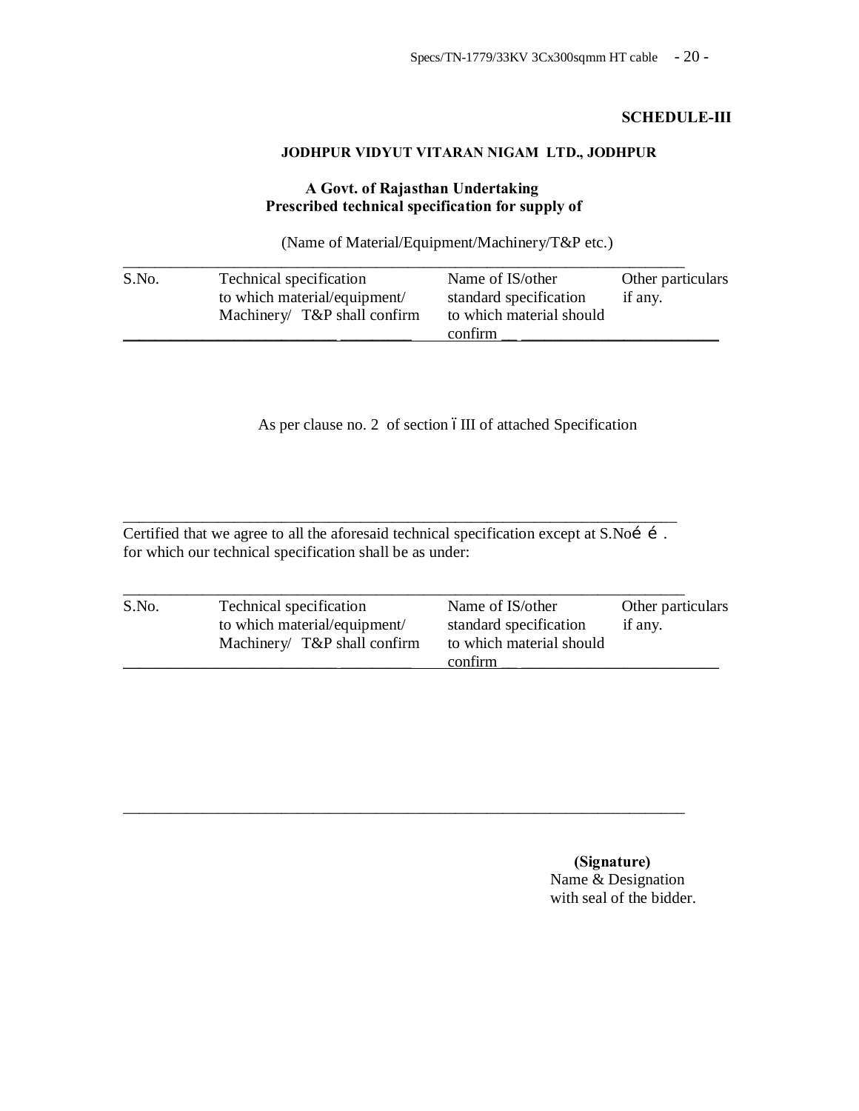## **SCHEDULE-III**

## **JODHPUR VIDYUT VITARAN NIGAM LTD., JODHPUR**

## **A Govt. of Rajasthan Undertaking Prescribed technical specification for supply of**

(Name of Material/Equipment/Machinery/T&P etc.)

| S.No. | Technical specification<br>to which material/equipment/<br>Machinery $T\&P$ shall confirm | Name of IS/other<br>standard specification<br>to which material should<br>confirm | Other particulars<br>if any. |
|-------|-------------------------------------------------------------------------------------------|-----------------------------------------------------------------------------------|------------------------------|
|-------|-------------------------------------------------------------------------------------------|-----------------------------------------------------------------------------------|------------------------------|

As per clause no. 2 of section 6III of attached Specification

Certified that we agree to all the aforesaid technical specification except at S.Noi í. for which our technical specification shall be as under:

\_\_\_\_\_\_\_\_\_\_\_\_\_\_\_\_\_\_\_\_\_\_\_\_\_\_\_\_\_\_\_\_\_\_\_\_\_\_\_\_\_\_\_\_\_\_\_\_\_\_\_\_\_\_\_\_\_\_\_\_\_\_\_\_\_\_\_\_\_\_

| S.No. | Technical specification      | Name of IS/other         | Other particulars |
|-------|------------------------------|--------------------------|-------------------|
|       | to which material/equipment/ | standard specification   | if any.           |
|       | Machinery/ T&P shall confirm | to which material should |                   |
|       |                              | confirm                  |                   |

\_\_\_\_\_\_\_\_\_\_\_\_\_\_\_\_\_\_\_\_\_\_\_\_\_\_\_\_\_\_\_\_\_\_\_\_\_\_\_\_\_\_\_\_\_\_\_\_\_\_\_\_\_\_\_\_\_\_\_\_\_\_\_\_\_\_\_\_\_\_\_

 **(Signature)** Name & Designation with seal of the bidder.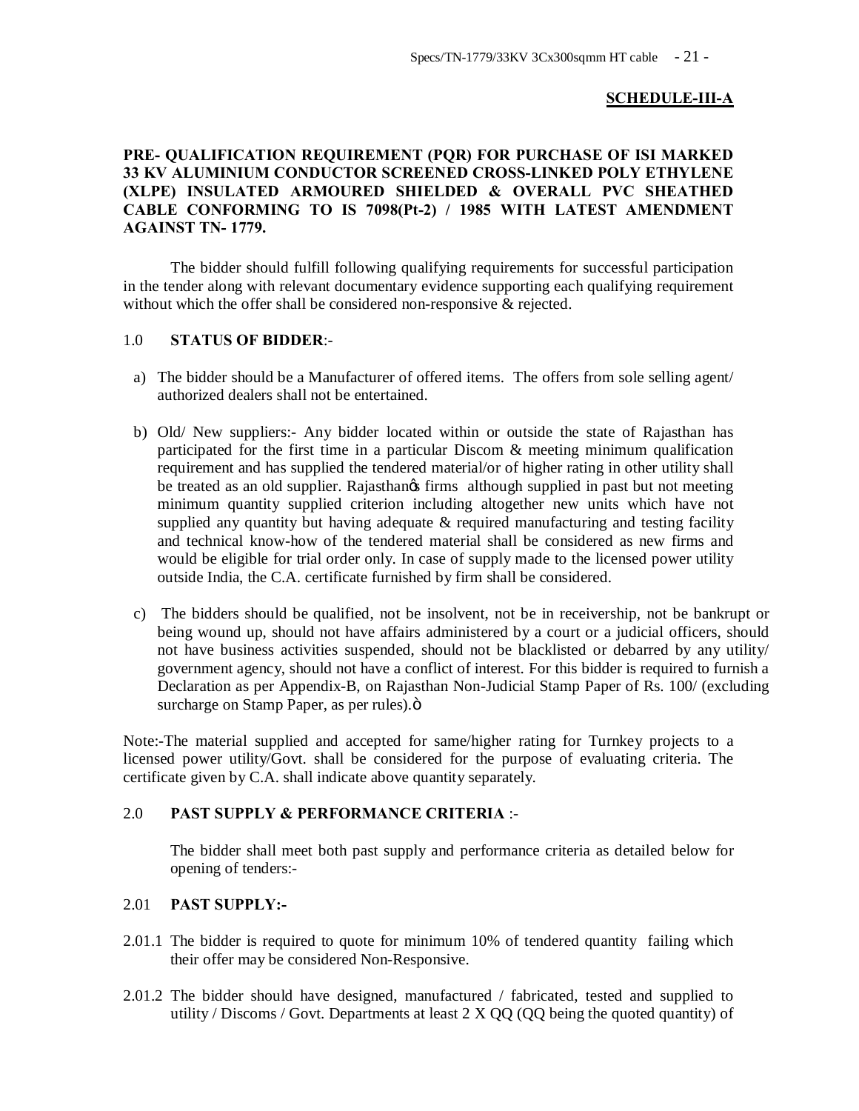## **SCHEDULE-III-A**

## **PRE- QUALIFICATION REQUIREMENT (PQR) FOR PURCHASE OF ISI MARKED 33 KV ALUMINIUM CONDUCTOR SCREENED CROSS-LINKED POLY ETHYLENE (XLPE) INSULATED ARMOURED SHIELDED & OVERALL PVC SHEATHED CABLE CONFORMING TO IS 7098(Pt-2) / 1985 WITH LATEST AMENDMENT AGAINST TN- 1779.**

The bidder should fulfill following qualifying requirements for successful participation in the tender along with relevant documentary evidence supporting each qualifying requirement without which the offer shall be considered non-responsive & rejected.

## 1.0 **STATUS OF BIDDER**:-

- a) The bidder should be a Manufacturer of offered items. The offers from sole selling agent/ authorized dealers shall not be entertained.
- b) Old/ New suppliers:- Any bidder located within or outside the state of Rajasthan has participated for the first time in a particular Discom & meeting minimum qualification requirement and has supplied the tendered material/or of higher rating in other utility shall be treated as an old supplier. Rajasthangs firms although supplied in past but not meeting minimum quantity supplied criterion including altogether new units which have not supplied any quantity but having adequate  $\&$  required manufacturing and testing facility and technical know-how of the tendered material shall be considered as new firms and would be eligible for trial order only. In case of supply made to the licensed power utility outside India, the C.A. certificate furnished by firm shall be considered.
- c) The bidders should be qualified, not be insolvent, not be in receivership, not be bankrupt or being wound up, should not have affairs administered by a court or a judicial officers, should not have business activities suspended, should not be blacklisted or debarred by any utility/ government agency, should not have a conflict of interest. For this bidder is required to furnish a Declaration as per Appendix-B, on Rajasthan Non-Judicial Stamp Paper of Rs. 100/ (excluding surcharge on Stamp Paper, as per rules). $\ddot{o}$

Note:-The material supplied and accepted for same/higher rating for Turnkey projects to a licensed power utility/Govt. shall be considered for the purpose of evaluating criteria. The certificate given by C.A. shall indicate above quantity separately.

## 2.0 **PAST SUPPLY & PERFORMANCE CRITERIA** :-

The bidder shall meet both past supply and performance criteria as detailed below for opening of tenders:-

## 2.01 **PAST SUPPLY:-**

- 2.01.1 The bidder is required to quote for minimum 10% of tendered quantity failing which their offer may be considered Non-Responsive.
- 2.01.2 The bidder should have designed, manufactured / fabricated, tested and supplied to utility / Discoms / Govt. Departments at least  $2 \text{ X } QQ$  (QQ being the quoted quantity) of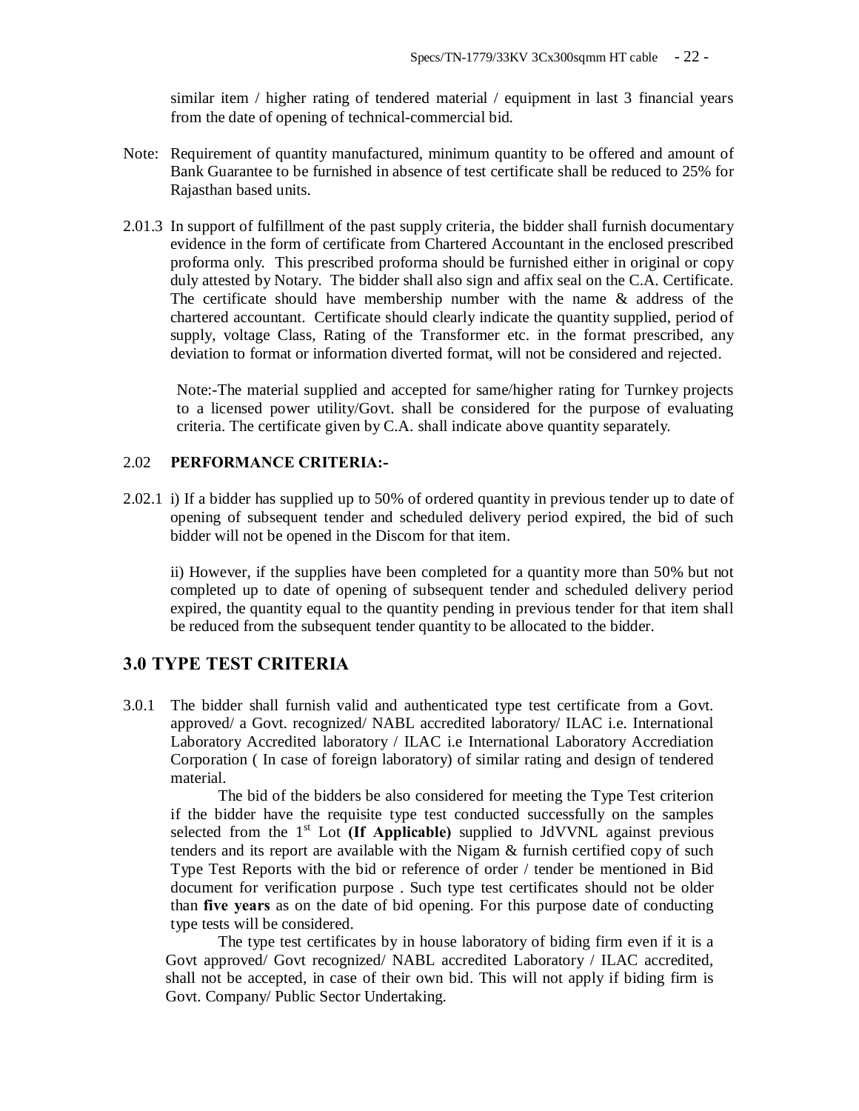similar item / higher rating of tendered material / equipment in last 3 financial years from the date of opening of technical-commercial bid.

- Note: Requirement of quantity manufactured, minimum quantity to be offered and amount of Bank Guarantee to be furnished in absence of test certificate shall be reduced to 25% for Rajasthan based units.
- 2.01.3 In support of fulfillment of the past supply criteria, the bidder shall furnish documentary evidence in the form of certificate from Chartered Accountant in the enclosed prescribed proforma only. This prescribed proforma should be furnished either in original or copy duly attested by Notary. The bidder shall also sign and affix seal on the C.A. Certificate. The certificate should have membership number with the name & address of the chartered accountant. Certificate should clearly indicate the quantity supplied, period of supply, voltage Class, Rating of the Transformer etc. in the format prescribed, any deviation to format or information diverted format, will not be considered and rejected.

Note:-The material supplied and accepted for same/higher rating for Turnkey projects to a licensed power utility/Govt. shall be considered for the purpose of evaluating criteria. The certificate given by C.A. shall indicate above quantity separately.

## 2.02 **PERFORMANCE CRITERIA:-**

2.02.1 i) If a bidder has supplied up to 50% of ordered quantity in previous tender up to date of opening of subsequent tender and scheduled delivery period expired, the bid of such bidder will not be opened in the Discom for that item.

ii) However, if the supplies have been completed for a quantity more than 50% but not completed up to date of opening of subsequent tender and scheduled delivery period expired, the quantity equal to the quantity pending in previous tender for that item shall be reduced from the subsequent tender quantity to be allocated to the bidder.

## **3.0 TYPE TEST CRITERIA**

3.0.1 The bidder shall furnish valid and authenticated type test certificate from a Govt. approved/ a Govt. recognized/ NABL accredited laboratory/ ILAC i.e. International Laboratory Accredited laboratory / ILAC i.e International Laboratory Accrediation Corporation ( In case of foreign laboratory) of similar rating and design of tendered material.

The bid of the bidders be also considered for meeting the Type Test criterion if the bidder have the requisite type test conducted successfully on the samples selected from the  $1<sup>st</sup>$  Lot **(If Applicable)** supplied to JdVVNL against previous tenders and its report are available with the Nigam & furnish certified copy of such Type Test Reports with the bid or reference of order / tender be mentioned in Bid document for verification purpose . Such type test certificates should not be older than **five years** as on the date of bid opening. For this purpose date of conducting type tests will be considered.

The type test certificates by in house laboratory of biding firm even if it is a Govt approved/ Govt recognized/ NABL accredited Laboratory / ILAC accredited, shall not be accepted, in case of their own bid. This will not apply if biding firm is Govt. Company/ Public Sector Undertaking.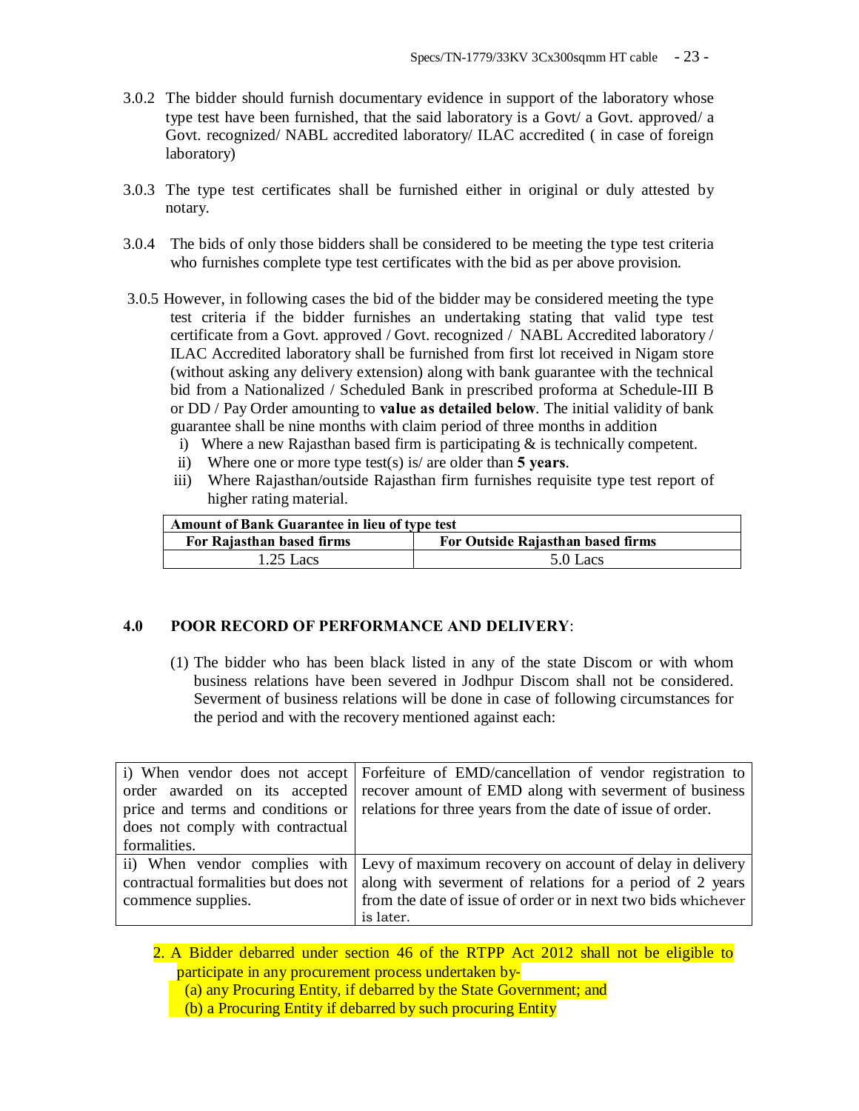- 3.0.2 The bidder should furnish documentary evidence in support of the laboratory whose type test have been furnished, that the said laboratory is a Govt/ a Govt. approved/ a Govt. recognized/ NABL accredited laboratory/ ILAC accredited ( in case of foreign laboratory)
- 3.0.3 The type test certificates shall be furnished either in original or duly attested by notary.
- 3.0.4 The bids of only those bidders shall be considered to be meeting the type test criteria who furnishes complete type test certificates with the bid as per above provision.
- 3.0.5 However, in following cases the bid of the bidder may be considered meeting the type test criteria if the bidder furnishes an undertaking stating that valid type test certificate from a Govt. approved / Govt. recognized / NABL Accredited laboratory / ILAC Accredited laboratory shall be furnished from first lot received in Nigam store (without asking any delivery extension) along with bank guarantee with the technical bid from a Nationalized / Scheduled Bank in prescribed proforma at Schedule-III B or DD / Pay Order amounting to **value as detailed below**. The initial validity of bank guarantee shall be nine months with claim period of three months in addition
	- i) Where a new Rajasthan based firm is participating  $\&$  is technically competent.
	- ii) Where one or more type test(s) is/ are older than **5 years**.
	- iii) Where Rajasthan/outside Rajasthan firm furnishes requisite type test report of higher rating material.

| <b>Amount of Bank Guarantee in lieu of type test</b> |                                   |  |
|------------------------------------------------------|-----------------------------------|--|
| For Rajasthan based firms                            | For Outside Rajasthan based firms |  |
| $1.25$ Lacs                                          | 5.0 Lacs                          |  |

## **4.0 POOR RECORD OF PERFORMANCE AND DELIVERY**:

(1) The bidder who has been black listed in any of the state Discom or with whom business relations have been severed in Jodhpur Discom shall not be considered. Severment of business relations will be done in case of following circumstances for the period and with the recovery mentioned against each:

|                                      | i) When vendor does not accept   Forfeiture of EMD/cancellation of vendor registration to    |
|--------------------------------------|----------------------------------------------------------------------------------------------|
|                                      | order awarded on its accepted recover amount of EMD along with severment of business         |
|                                      | price and terms and conditions or relations for three years from the date of issue of order. |
| does not comply with contractual     |                                                                                              |
| formalities.                         |                                                                                              |
|                                      | ii) When vendor complies with Levy of maximum recovery on account of delay in delivery       |
| contractual formalities but does not | along with severment of relations for a period of 2 years                                    |
| commence supplies.                   | from the date of issue of order or in next two bids whichever                                |
|                                      | is later.                                                                                    |

2. A Bidder debarred under section 46 of the RTPP Act 2012 shall not be eligible to participate in any procurement process undertaken by‐

(a) any Procuring Entity, if debarred by the State Government; and

(b) a Procuring Entity if debarred by such procuring Entity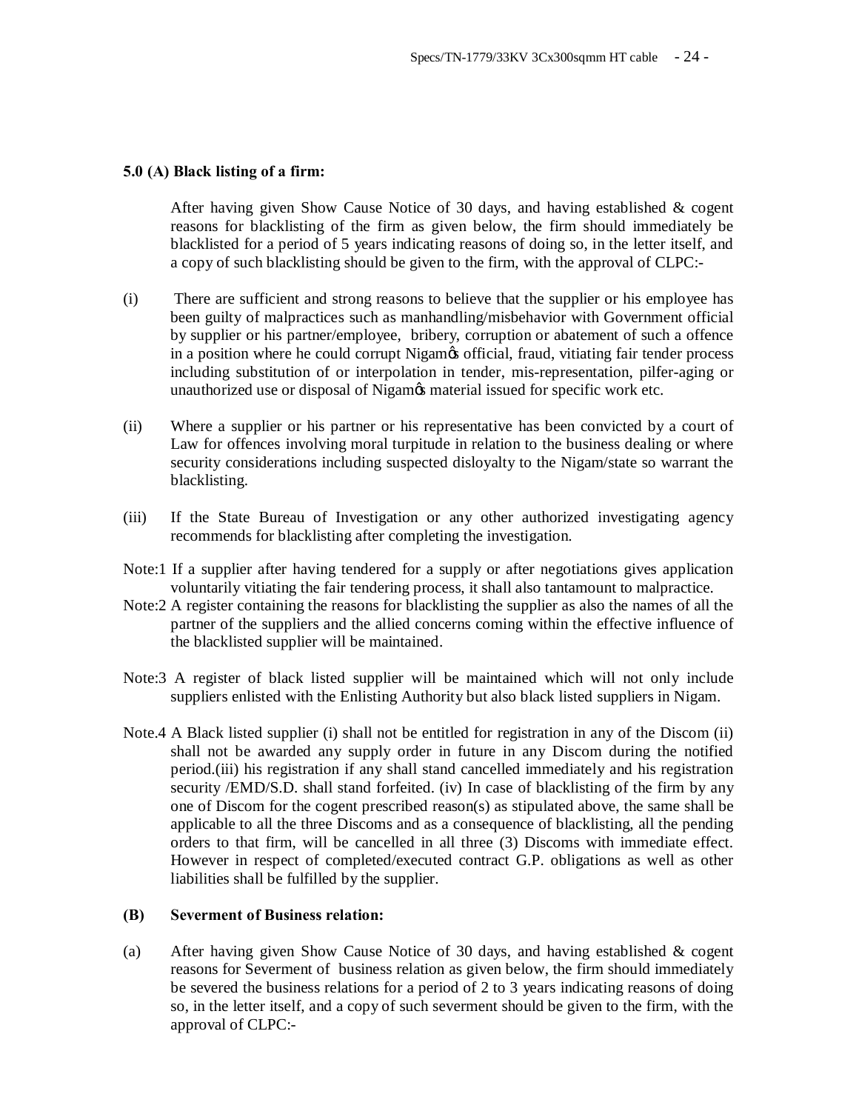#### **5.0 (A) Black listing of a firm:**

After having given Show Cause Notice of 30 days, and having established & cogent reasons for blacklisting of the firm as given below, the firm should immediately be blacklisted for a period of 5 years indicating reasons of doing so, in the letter itself, and a copy of such blacklisting should be given to the firm, with the approval of CLPC:-

- (i) There are sufficient and strong reasons to believe that the supplier or his employee has been guilty of malpractices such as manhandling/misbehavior with Government official by supplier or his partner/employee, bribery, corruption or abatement of such a offence in a position where he could corrupt Nigam $\alpha$  official, fraud, vitiating fair tender process including substitution of or interpolation in tender, mis-representation, pilfer-aging or unauthorized use or disposal of Nigam's material issued for specific work etc.
- (ii) Where a supplier or his partner or his representative has been convicted by a court of Law for offences involving moral turpitude in relation to the business dealing or where security considerations including suspected disloyalty to the Nigam/state so warrant the blacklisting.
- (iii) If the State Bureau of Investigation or any other authorized investigating agency recommends for blacklisting after completing the investigation.
- Note:1 If a supplier after having tendered for a supply or after negotiations gives application voluntarily vitiating the fair tendering process, it shall also tantamount to malpractice.
- Note:2 A register containing the reasons for blacklisting the supplier as also the names of all the partner of the suppliers and the allied concerns coming within the effective influence of the blacklisted supplier will be maintained.
- Note:3 A register of black listed supplier will be maintained which will not only include suppliers enlisted with the Enlisting Authority but also black listed suppliers in Nigam.
- Note.4 A Black listed supplier (i) shall not be entitled for registration in any of the Discom (ii) shall not be awarded any supply order in future in any Discom during the notified period.(iii) his registration if any shall stand cancelled immediately and his registration security /EMD/S.D. shall stand forfeited. (iv) In case of blacklisting of the firm by any one of Discom for the cogent prescribed reason(s) as stipulated above, the same shall be applicable to all the three Discoms and as a consequence of blacklisting, all the pending orders to that firm, will be cancelled in all three (3) Discoms with immediate effect. However in respect of completed/executed contract G.P. obligations as well as other liabilities shall be fulfilled by the supplier.

#### **(B) Severment of Business relation:**

(a) After having given Show Cause Notice of 30 days, and having established & cogent reasons for Severment of business relation as given below, the firm should immediately be severed the business relations for a period of 2 to 3 years indicating reasons of doing so, in the letter itself, and a copy of such severment should be given to the firm, with the approval of CLPC:-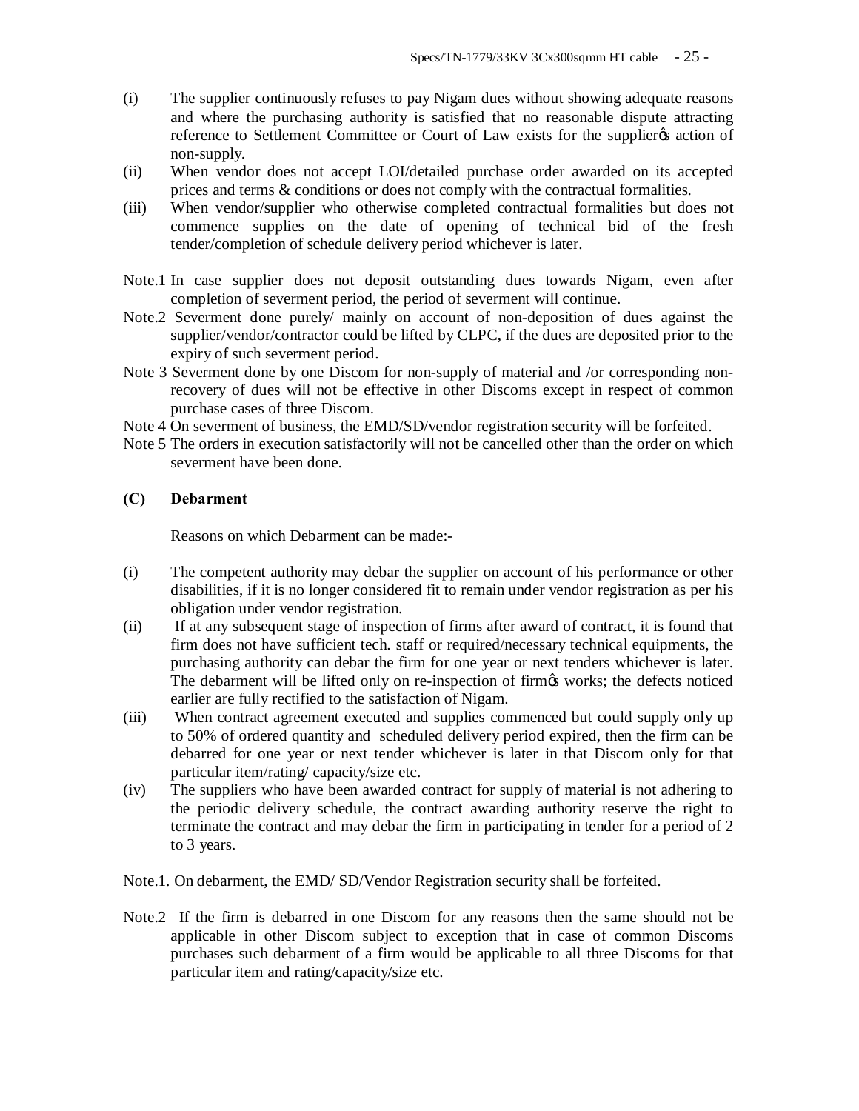- (i) The supplier continuously refuses to pay Nigam dues without showing adequate reasons and where the purchasing authority is satisfied that no reasonable dispute attracting reference to Settlement Committee or Court of Law exists for the supplier  $\alpha$  action of non-supply.
- (ii) When vendor does not accept LOI/detailed purchase order awarded on its accepted prices and terms & conditions or does not comply with the contractual formalities.
- (iii) When vendor/supplier who otherwise completed contractual formalities but does not commence supplies on the date of opening of technical bid of the fresh tender/completion of schedule delivery period whichever is later.
- Note.1 In case supplier does not deposit outstanding dues towards Nigam, even after completion of severment period, the period of severment will continue.
- Note.2 Severment done purely/ mainly on account of non-deposition of dues against the supplier/vendor/contractor could be lifted by CLPC, if the dues are deposited prior to the expiry of such severment period.
- Note 3 Severment done by one Discom for non-supply of material and /or corresponding nonrecovery of dues will not be effective in other Discoms except in respect of common purchase cases of three Discom.
- Note 4 On severment of business, the EMD/SD/vendor registration security will be forfeited.
- Note 5 The orders in execution satisfactorily will not be cancelled other than the order on which severment have been done.

## **(C) Debarment**

Reasons on which Debarment can be made:-

- (i) The competent authority may debar the supplier on account of his performance or other disabilities, if it is no longer considered fit to remain under vendor registration as per his obligation under vendor registration.
- (ii) If at any subsequent stage of inspection of firms after award of contract, it is found that firm does not have sufficient tech. staff or required/necessary technical equipments, the purchasing authority can debar the firm for one year or next tenders whichever is later. The debarment will be lifted only on re-inspection of firm the works; the defects noticed earlier are fully rectified to the satisfaction of Nigam.
- (iii) When contract agreement executed and supplies commenced but could supply only up to 50% of ordered quantity and scheduled delivery period expired, then the firm can be debarred for one year or next tender whichever is later in that Discom only for that particular item/rating/ capacity/size etc.
- (iv) The suppliers who have been awarded contract for supply of material is not adhering to the periodic delivery schedule, the contract awarding authority reserve the right to terminate the contract and may debar the firm in participating in tender for a period of 2 to 3 years.
- Note.1. On debarment, the EMD/ SD/Vendor Registration security shall be forfeited.
- Note.2 If the firm is debarred in one Discom for any reasons then the same should not be applicable in other Discom subject to exception that in case of common Discoms purchases such debarment of a firm would be applicable to all three Discoms for that particular item and rating/capacity/size etc.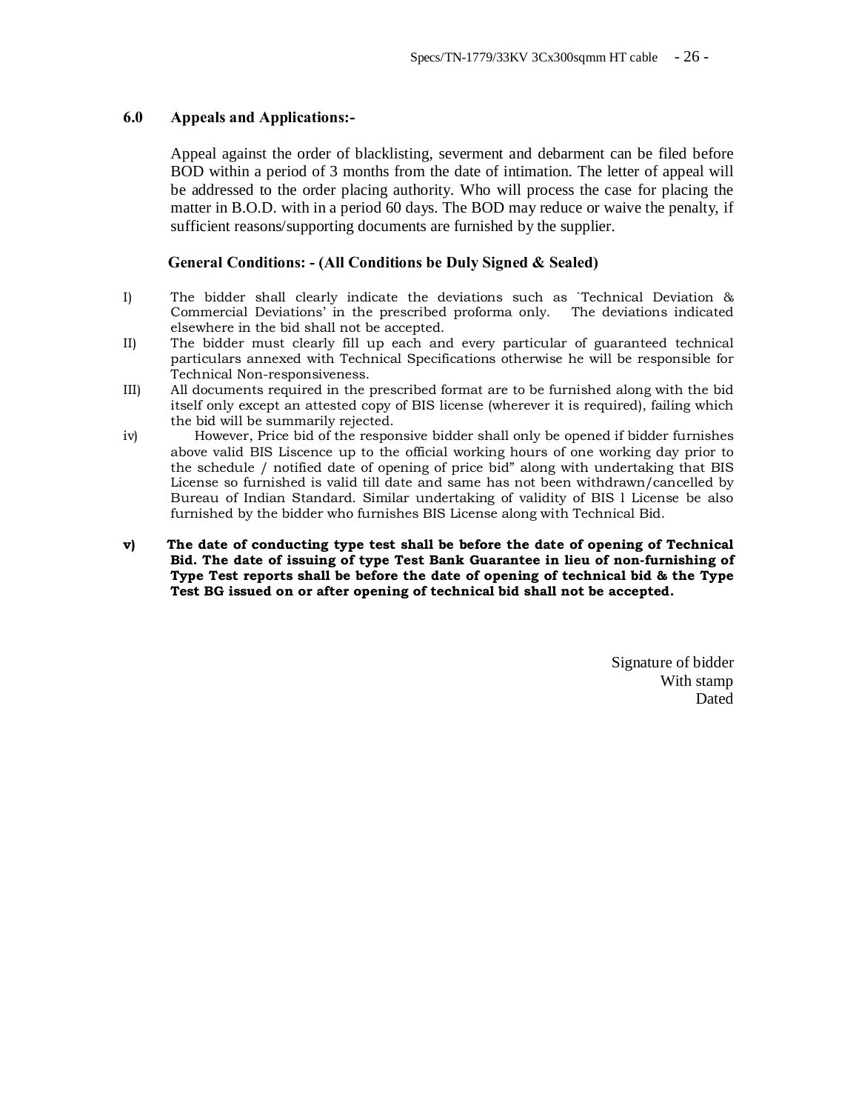## **6.0 Appeals and Applications:-**

Appeal against the order of blacklisting, severment and debarment can be filed before BOD within a period of 3 months from the date of intimation. The letter of appeal will be addressed to the order placing authority. Who will process the case for placing the matter in B.O.D. with in a period 60 days. The BOD may reduce or waive the penalty, if sufficient reasons/supporting documents are furnished by the supplier.

## **General Conditions: - (All Conditions be Duly Signed & Sealed)**

- I) The bidder shall clearly indicate the deviations such as `Technical Deviation & Commercial Deviations' in the prescribed proforma only. The deviations indicated elsewhere in the bid shall not be accepted.
- II) The bidder must clearly fill up each and every particular of guaranteed technical particulars annexed with Technical Specifications otherwise he will be responsible for Technical Non-responsiveness.
- III) All documents required in the prescribed format are to be furnished along with the bid itself only except an attested copy of BIS license (wherever it is required), failing which the bid will be summarily rejected.
- iv) However, Price bid of the responsive bidder shall only be opened if bidder furnishes above valid BIS Liscence up to the official working hours of one working day prior to the schedule / notified date of opening of price bid" along with undertaking that BIS License so furnished is valid till date and same has not been withdrawn/cancelled by Bureau of Indian Standard. Similar undertaking of validity of BIS l License be also furnished by the bidder who furnishes BIS License along with Technical Bid.
- **v) The date of conducting type test shall be before the date of opening of Technical Bid. The date of issuing of type Test Bank Guarantee in lieu of non-furnishing of Type Test reports shall be before the date of opening of technical bid & the Type Test BG issued on or after opening of technical bid shall not be accepted.**

Signature of bidder With stamp Dated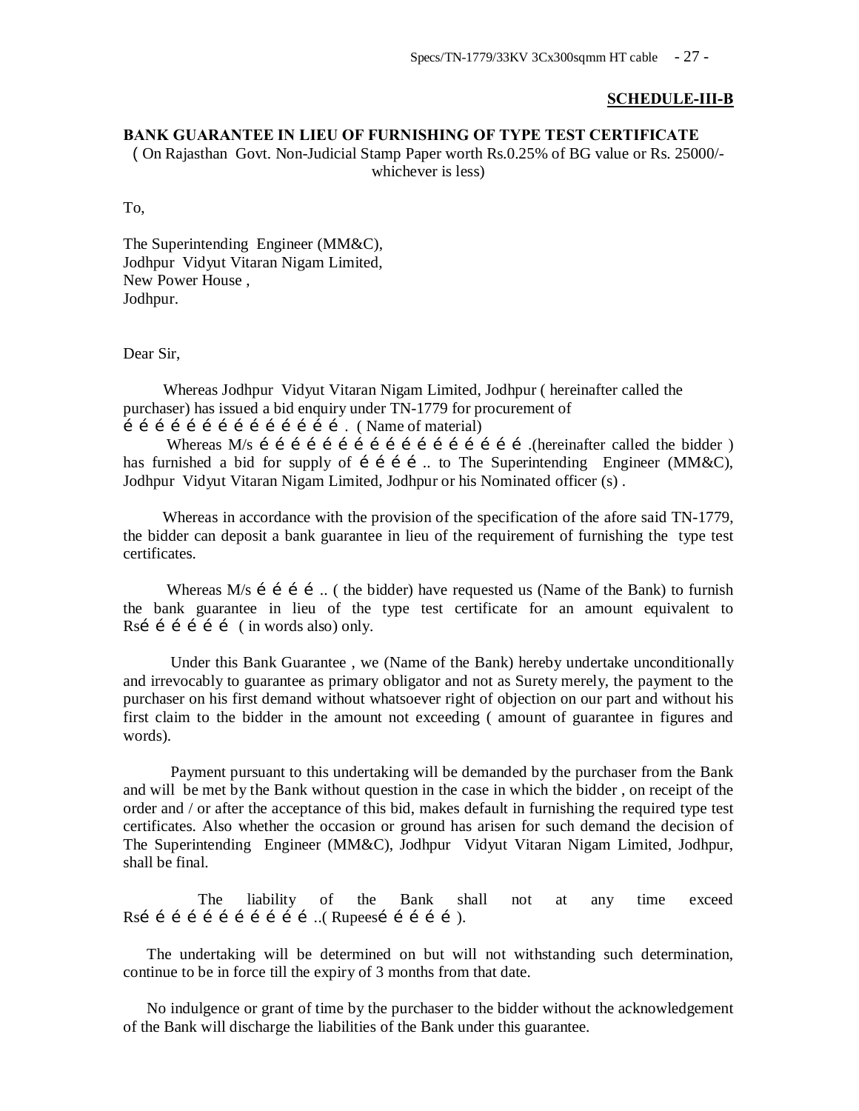#### **SCHEDULE-III-B**

## **BANK GUARANTEE IN LIEU OF FURNISHING OF TYPE TEST CERTIFICATE**

( On Rajasthan Govt. Non-Judicial Stamp Paper worth Rs.0.25% of BG value or Rs. 25000/ whichever is less)

To,

The Superintending Engineer (MM&C), Jodhpur Vidyut Vitaran Nigam Limited, New Power House , Jodhpur.

Dear Sir,

 Whereas Jodhpur Vidyut Vitaran Nigam Limited, Jodhpur ( hereinafter called the purchaser) has issued a bid enquiry under TN-1779 for procurement of  $\hat{i}$   $\hat{j}$   $\hat{j}$   $\hat{i}$   $\hat{j}$   $\hat{k}$   $\hat{i}$   $\hat{j}$   $\hat{k}$   $\hat{i}$   $\hat{j}$   $\hat{j}$   $\hat{k}$   $\hat{k}$  (Name of material)

 Whereas M/s …………………………………………….(hereinafter called the bidder ) has furnished a bid for supply of  $i$  i i  $\ldots$  to The Superintending Engineer (MM&C), Jodhpur Vidyut Vitaran Nigam Limited, Jodhpur or his Nominated officer (s) .

 Whereas in accordance with the provision of the specification of the afore said TN-1779, the bidder can deposit a bank guarantee in lieu of the requirement of furnishing the type test certificates.

Whereas  $M/s$  i i i ... ( the bidder) have requested us (Name of the Bank) to furnish the bank guarantee in lieu of the type test certificate for an amount equivalent to Rsi  $\tilde{i}$  i  $\tilde{j}$  i  $\tilde{j}$  (in words also) only.

 Under this Bank Guarantee , we (Name of the Bank) hereby undertake unconditionally and irrevocably to guarantee as primary obligator and not as Surety merely, the payment to the purchaser on his first demand without whatsoever right of objection on our part and without his first claim to the bidder in the amount not exceeding ( amount of guarantee in figures and words).

 Payment pursuant to this undertaking will be demanded by the purchaser from the Bank and will be met by the Bank without question in the case in which the bidder , on receipt of the order and / or after the acceptance of this bid, makes default in furnishing the required type test certificates. Also whether the occasion or ground has arisen for such demand the decision of The Superintending Engineer (MM&C), Jodhpur Vidyut Vitaran Nigam Limited, Jodhpur, shall be final.

 The liability of the Bank shall not at any time exceed Rsí í í í í í í í í í í í …. (Rupeesí í í í í ).

 The undertaking will be determined on but will not withstanding such determination, continue to be in force till the expiry of 3 months from that date.

 No indulgence or grant of time by the purchaser to the bidder without the acknowledgement of the Bank will discharge the liabilities of the Bank under this guarantee.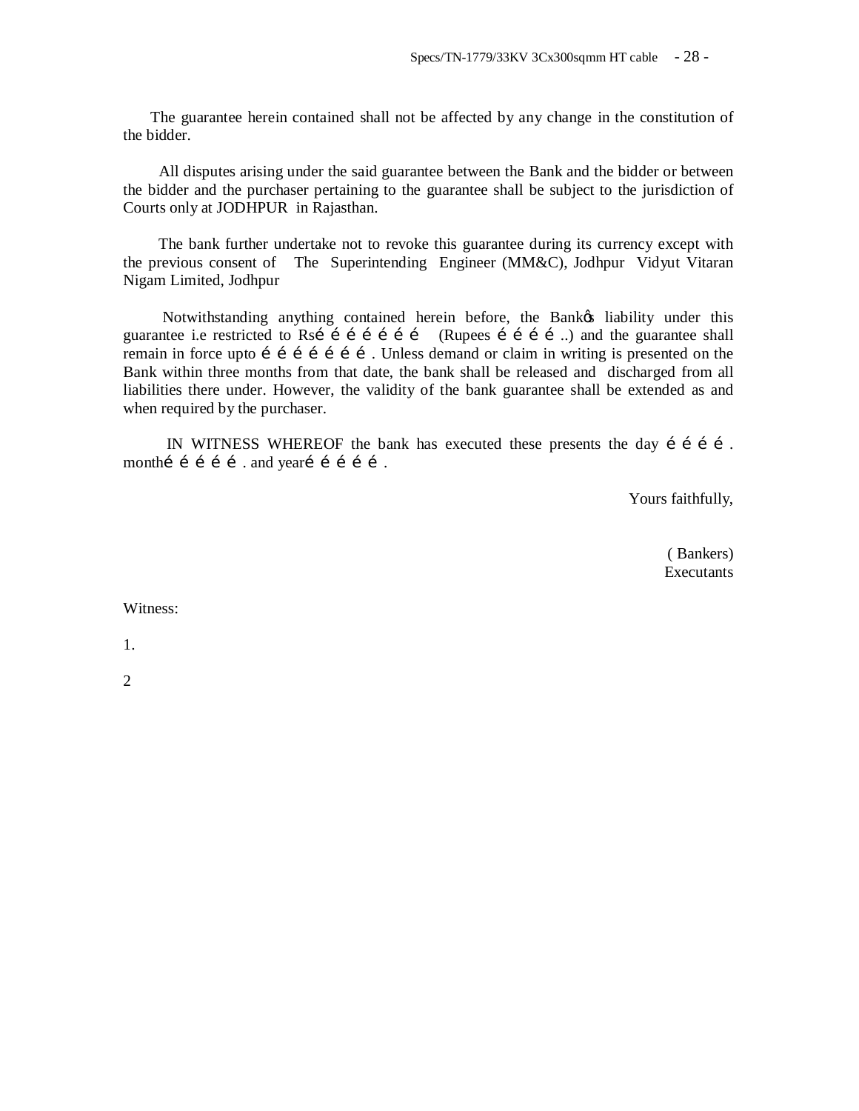The guarantee herein contained shall not be affected by any change in the constitution of the bidder.

 All disputes arising under the said guarantee between the Bank and the bidder or between the bidder and the purchaser pertaining to the guarantee shall be subject to the jurisdiction of Courts only at JODHPUR in Rajasthan.

 The bank further undertake not to revoke this guarantee during its currency except with the previous consent of The Superintending Engineer (MM&C), Jodhpur Vidyut Vitaran Nigam Limited, Jodhpur

Notwithstanding anything contained herein before, the Bankos liability under this guarantee i.e restricted to Rsi  $\leq$  i i i i i i (Rupees i i i i ...) and the guarantee shall remain in force upto  $f \circ f \circ f \circ f \circ f$ . Unless demand or claim in writing is presented on the Bank within three months from that date, the bank shall be released and discharged from all liabilities there under. However, the validity of the bank guarantee shall be extended as and when required by the purchaser.

IN WITNESS WHEREOF the bank has executed these presents the day  $i$  i i i. month  $i$  i i i and year i i i i .

Yours faithfully,

 ( Bankers) **Executants** 

Witness:

1.

2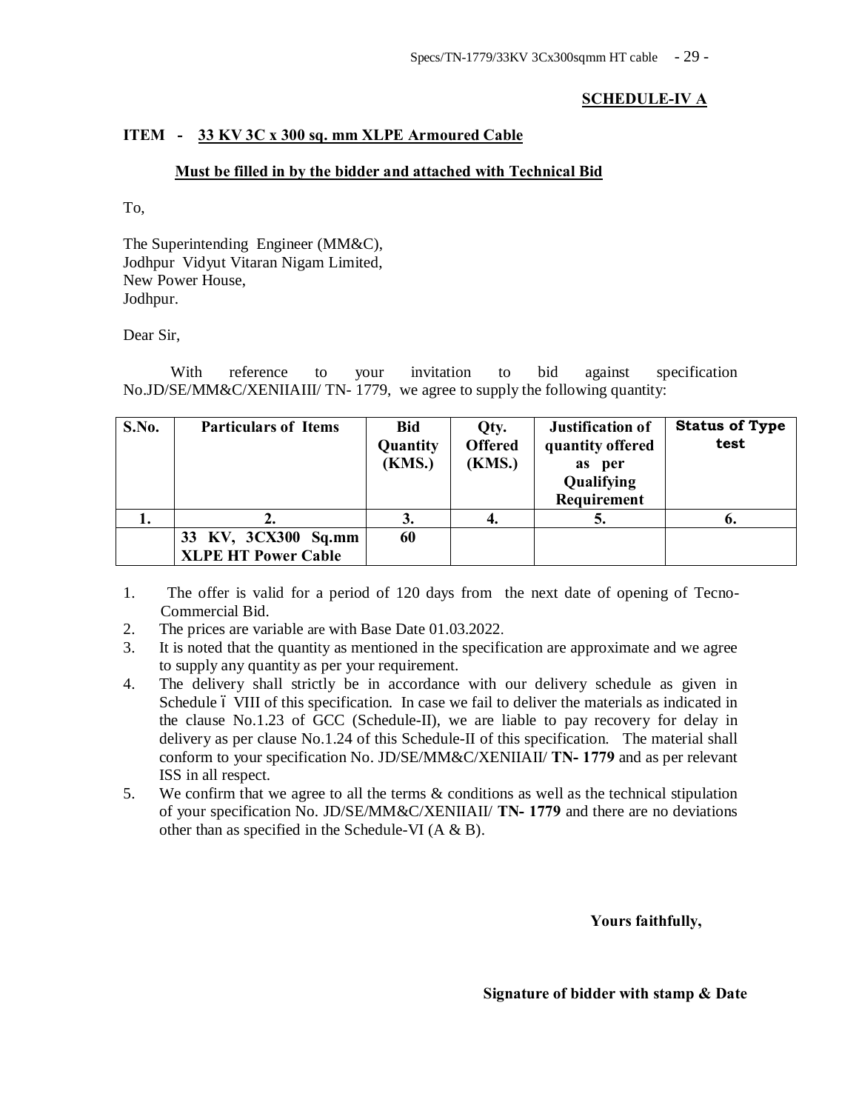# **SCHEDULE-IV A**

# **ITEM - 33 KV 3C x 300 sq. mm XLPE Armoured Cable**

## **Must be filled in by the bidder and attached with Technical Bid**

To,

The Superintending Engineer (MM&C), Jodhpur Vidyut Vitaran Nigam Limited, New Power House, Jodhpur.

## Dear Sir,

With reference to your invitation to bid against specification No.JD/SE/MM&C/XENIIAIII/ TN- 1779, we agree to supply the following quantity:

| S.No. | <b>Particulars of Items</b>                       | <b>Bid</b><br>Quantity<br><b>(KMS.)</b> | Qty.<br><b>Offered</b><br><b>(KMS.)</b> | <b>Justification of</b><br>quantity offered<br>as per<br>Qualifying<br>Requirement | <b>Status of Type</b><br>test |
|-------|---------------------------------------------------|-----------------------------------------|-----------------------------------------|------------------------------------------------------------------------------------|-------------------------------|
| ı.    |                                                   | 3.                                      |                                         | J.                                                                                 | o.                            |
|       | 33 KV, 3CX300 Sq.mm<br><b>XLPE HT Power Cable</b> | 60                                      |                                         |                                                                                    |                               |

1. The offer is valid for a period of 120 days from the next date of opening of Tecno-Commercial Bid.

- 2. The prices are variable are with Base Date 01.03.2022.
- 3. It is noted that the quantity as mentioned in the specification are approximate and we agree to supply any quantity as per your requirement.
- 4. The delivery shall strictly be in accordance with our delivery schedule as given in Schedule 6 VIII of this specification. In case we fail to deliver the materials as indicated in the clause No.1.23 of GCC (Schedule-II), we are liable to pay recovery for delay in delivery as per clause No.1.24 of this Schedule-II of this specification. The material shall conform to your specification No. JD/SE/MM&C/XENIIAII/ **TN- 1779** and as per relevant ISS in all respect.
- 5. We confirm that we agree to all the terms & conditions as well as the technical stipulation of your specification No. JD/SE/MM&C/XENIIAII/ **TN- 1779** and there are no deviations other than as specified in the Schedule-VI (A & B).

 **Yours faithfully,** 

 **Signature of bidder with stamp & Date**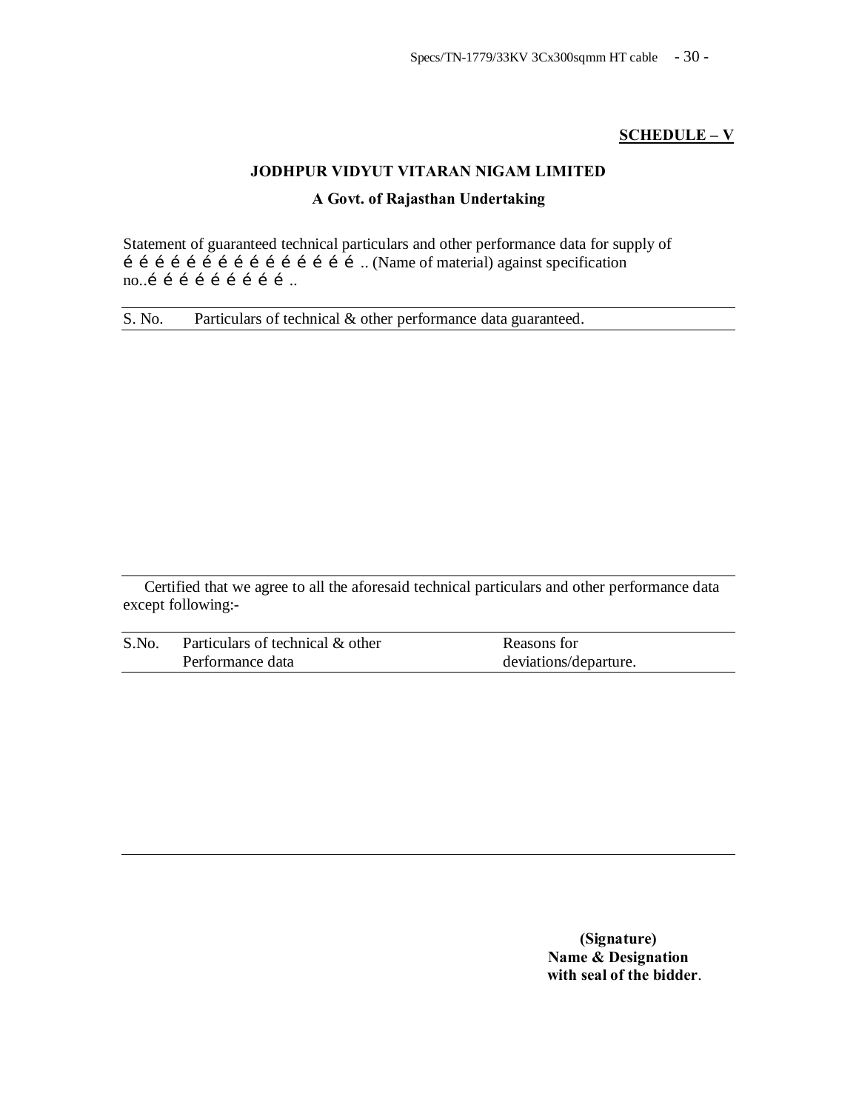## **SCHEDULE – V**

# **JODHPUR VIDYUT VITARAN NIGAM LIMITED A Govt. of Rajasthan Undertaking**

Statement of guaranteed technical particulars and other performance data for supply of  $\overrightarrow{a}$  i i i i i i i i i i i i i i i ... (Name of material) against specification no..í í í í í í í í í ..

S. No. Particulars of technical & other performance data guaranteed.

Certified that we agree to all the aforesaid technical particulars and other performance data except following:-

| S.No. | Particulars of technical & other | Reasons for           |
|-------|----------------------------------|-----------------------|
|       | Performance data                 | deviations/departure. |

**(Signature) Name & Designation with seal of the bidder**.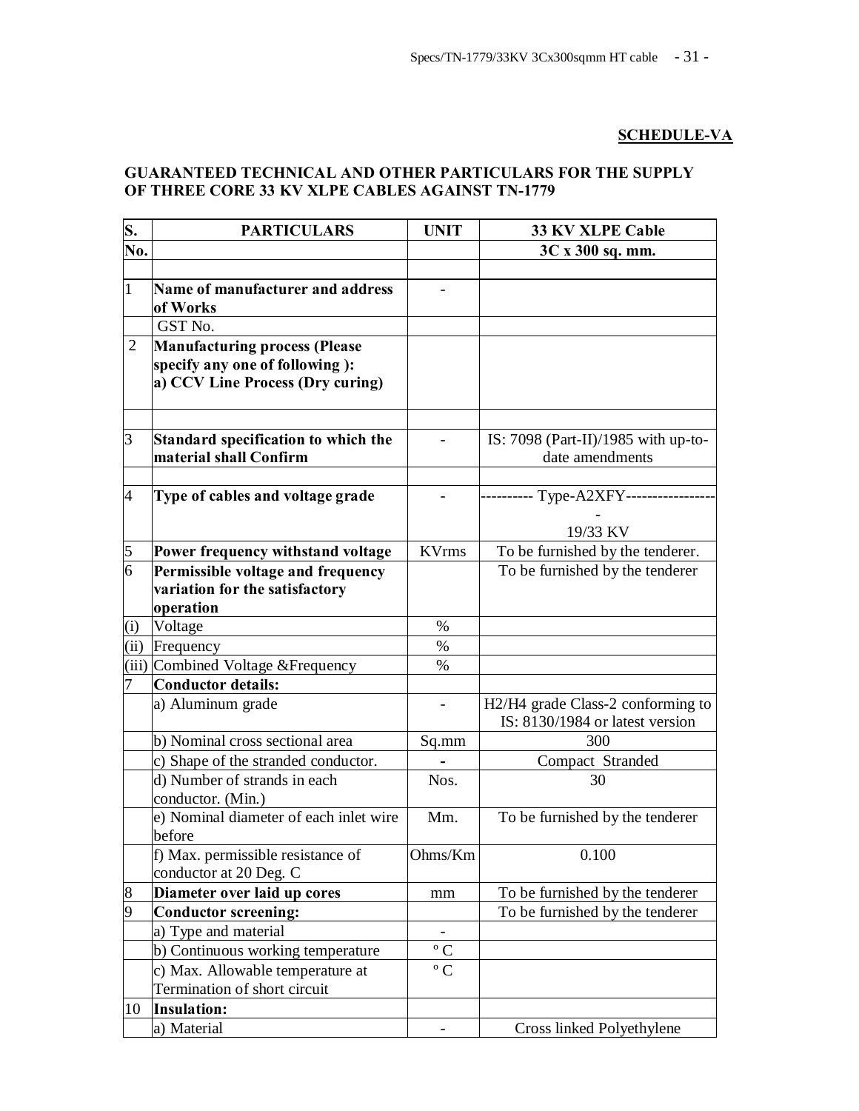# **SCHEDULE-VA**

# **GUARANTEED TECHNICAL AND OTHER PARTICULARS FOR THE SUPPLY OF THREE CORE 33 KV XLPE CABLES AGAINST TN-1779**

| S.<br>No.      | <b>PARTICULARS</b>                                                 | <b>UNIT</b>      | 33 KV XLPE Cable<br>3C x 300 sq. mm.                                 |
|----------------|--------------------------------------------------------------------|------------------|----------------------------------------------------------------------|
|                |                                                                    |                  |                                                                      |
| $\vert$ 1      | Name of manufacturer and address<br>of Works<br>GST No.            |                  |                                                                      |
| $\overline{2}$ | <b>Manufacturing process (Please</b>                               |                  |                                                                      |
|                | specify any one of following):<br>a) CCV Line Process (Dry curing) |                  |                                                                      |
| 3              | Standard specification to which the<br>material shall Confirm      |                  | IS: 7098 (Part-II)/1985 with up-to-<br>date amendments               |
| $\overline{4}$ | Type of cables and voltage grade                                   |                  | ----- Type-A2XFY----<br>19/33 KV                                     |
| 5              | Power frequency withstand voltage                                  | <b>KVrms</b>     | To be furnished by the tenderer.                                     |
| $\overline{6}$ | Permissible voltage and frequency                                  |                  | To be furnished by the tenderer                                      |
|                | variation for the satisfactory<br>operation                        |                  |                                                                      |
| (i)            | Voltage                                                            | $\%$             |                                                                      |
| (ii)           | Frequency                                                          | $\%$             |                                                                      |
|                | (iii) Combined Voltage & Frequency                                 | $\%$             |                                                                      |
| 7              | Conductor details:                                                 |                  |                                                                      |
|                | a) Aluminum grade                                                  |                  | H2/H4 grade Class-2 conforming to<br>IS: 8130/1984 or latest version |
|                | b) Nominal cross sectional area                                    | Sq.mm            | 300                                                                  |
|                | c) Shape of the stranded conductor.                                |                  | Compact Stranded                                                     |
|                | d) Number of strands in each<br>conductor. (Min.)                  | Nos.             | 30                                                                   |
|                | e) Nominal diameter of each inlet wire<br>before                   | Mm.              | To be furnished by the tenderer                                      |
|                | f) Max. permissible resistance of<br>conductor at 20 Deg. C        | Ohms/Km          | 0.100                                                                |
| 8              | Diameter over laid up cores                                        | mm               | To be furnished by the tenderer                                      |
| 9              | <b>Conductor</b> screening:                                        |                  | To be furnished by the tenderer                                      |
|                | a) Type and material                                               |                  |                                                                      |
|                | b) Continuous working temperature                                  | $^{\rm o}$ C     |                                                                      |
|                | c) Max. Allowable temperature at                                   | $\rm ^{\circ}$ C |                                                                      |
|                | Termination of short circuit                                       |                  |                                                                      |
| 10             | <b>Insulation:</b>                                                 |                  |                                                                      |
|                | a) Material                                                        |                  | Cross linked Polyethylene                                            |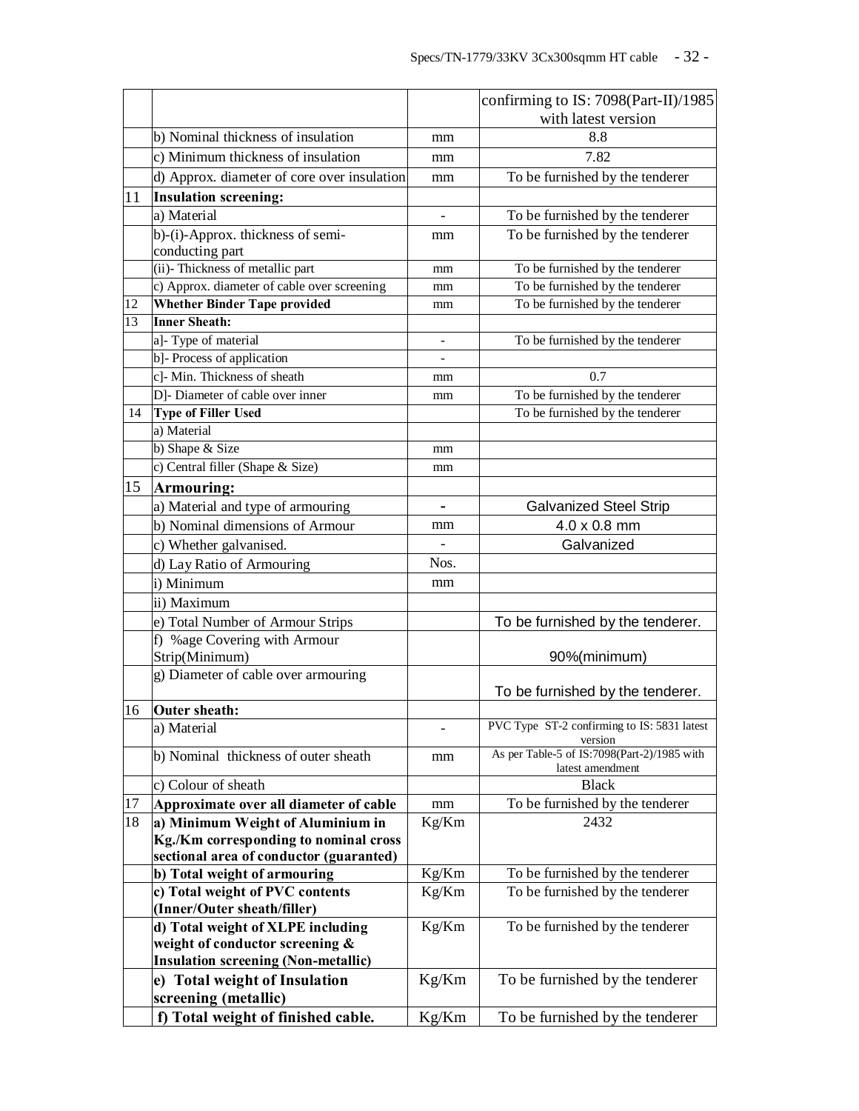|    |                                                                |                              | confirming to IS: 7098(Part-II)/1985                            |
|----|----------------------------------------------------------------|------------------------------|-----------------------------------------------------------------|
|    |                                                                |                              | with latest version                                             |
|    | b) Nominal thickness of insulation                             | mm                           | 8.8                                                             |
|    | c) Minimum thickness of insulation                             | mm                           | 7.82                                                            |
|    | d) Approx. diameter of core over insulation                    | mm                           | To be furnished by the tenderer                                 |
| 11 | <b>Insulation screening:</b>                                   |                              |                                                                 |
|    | a) Material                                                    |                              | To be furnished by the tenderer                                 |
|    | b)-(i)-Approx. thickness of semi-                              | mm                           | To be furnished by the tenderer                                 |
|    | conducting part                                                |                              |                                                                 |
|    | (ii)-Thickness of metallic part                                | mm                           | To be furnished by the tenderer                                 |
|    | c) Approx. diameter of cable over screening                    | mm                           | To be furnished by the tenderer                                 |
| 12 | <b>Whether Binder Tape provided</b>                            | mm                           | To be furnished by the tenderer                                 |
| 13 | <b>Inner Sheath:</b>                                           |                              |                                                                 |
|    | a]- Type of material                                           |                              | To be furnished by the tenderer                                 |
|    | b]- Process of application                                     |                              |                                                                 |
|    | c]- Min. Thickness of sheath                                   | mm                           | 0.7                                                             |
|    | D]- Diameter of cable over inner                               | mm                           | To be furnished by the tenderer                                 |
| 14 | <b>Type of Filler Used</b>                                     |                              | To be furnished by the tenderer                                 |
|    | a) Material                                                    |                              |                                                                 |
|    | b) Shape $&$ Size                                              | mm                           |                                                                 |
|    | c) Central filler (Shape & Size)                               | mm                           |                                                                 |
| 15 | Armouring:                                                     |                              |                                                                 |
|    | a) Material and type of armouring                              | $\qquad \qquad \blacksquare$ | <b>Galvanized Steel Strip</b>                                   |
|    | b) Nominal dimensions of Armour                                | mm                           | 4.0 x 0.8 mm                                                    |
|    | c) Whether galvanised.                                         |                              | Galvanized                                                      |
|    | d) Lay Ratio of Armouring                                      | Nos.                         |                                                                 |
|    | i) Minimum                                                     | mm                           |                                                                 |
|    | ii) Maximum                                                    |                              |                                                                 |
|    | e) Total Number of Armour Strips                               |                              | To be furnished by the tenderer.                                |
|    | f) %age Covering with Armour                                   |                              |                                                                 |
|    | Strip(Minimum)                                                 |                              | 90%(minimum)                                                    |
|    | g) Diameter of cable over armouring                            |                              |                                                                 |
|    |                                                                |                              | To be furnished by the tenderer.                                |
| 16 | <b>Outer sheath:</b><br>a) Material                            |                              | PVC Type ST-2 confirming to IS: 5831 latest                     |
|    |                                                                |                              | version                                                         |
|    | b) Nominal thickness of outer sheath                           | mm                           | As per Table-5 of IS:7098(Part-2)/1985 with<br>latest amendment |
|    | c) Colour of sheath                                            |                              | <b>Black</b>                                                    |
| 17 | Approximate over all diameter of cable                         | mm                           | To be furnished by the tenderer                                 |
| 18 | a) Minimum Weight of Aluminium in                              | Kg/Km                        | 2432                                                            |
|    | Kg./Km corresponding to nominal cross                          |                              |                                                                 |
|    | sectional area of conductor (guaranted)                        |                              |                                                                 |
|    | b) Total weight of armouring                                   | Kg/Km                        | To be furnished by the tenderer                                 |
|    | c) Total weight of PVC contents<br>(Inner/Outer sheath/filler) | Kg/Km                        | To be furnished by the tenderer                                 |
|    | d) Total weight of XLPE including                              | Kg/Km                        | To be furnished by the tenderer                                 |
|    | weight of conductor screening &                                |                              |                                                                 |
|    | <b>Insulation screening (Non-metallic)</b>                     |                              |                                                                 |
|    | e) Total weight of Insulation                                  | Kg/Km                        | To be furnished by the tenderer                                 |
|    | screening (metallic)                                           |                              |                                                                 |
|    | f) Total weight of finished cable.                             | Kg/Km                        | To be furnished by the tenderer                                 |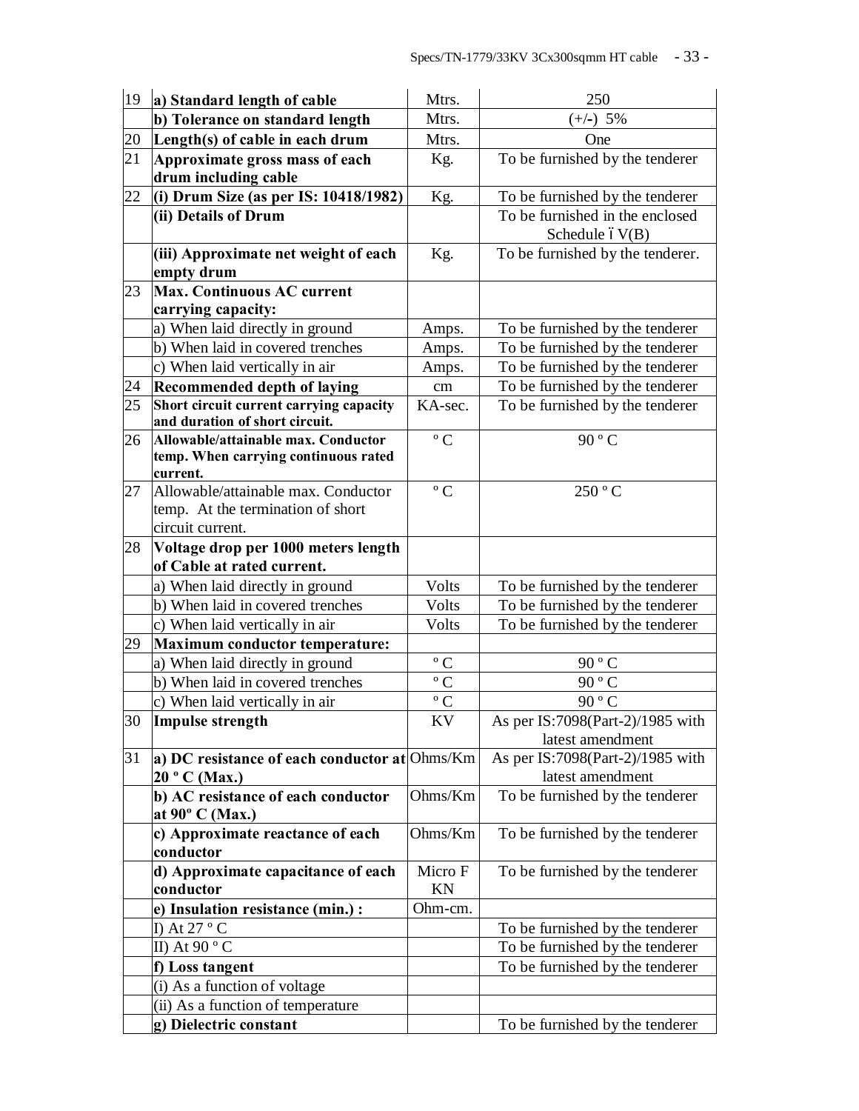| 19 | a) Standard length of cable                         | Mtrs.            | 250                                                 |
|----|-----------------------------------------------------|------------------|-----------------------------------------------------|
|    | b) Tolerance on standard length                     | Mtrs.            | $(+/-)$ 5%                                          |
| 20 | Length(s) of cable in each drum                     | Mtrs.            | One                                                 |
| 21 | Approximate gross mass of each                      | Kg.              | To be furnished by the tenderer                     |
|    | drum including cable                                |                  |                                                     |
| 22 | (i) Drum Size (as per IS: $10418/1982$ )            | Kg.              | To be furnished by the tenderer                     |
|    | (ii) Details of Drum                                |                  | To be furnished in the enclosed<br>Schedule $6V(B)$ |
|    | (iii) Approximate net weight of each<br>empty drum  | Kg.              | To be furnished by the tenderer.                    |
| 23 | Max. Continuous AC current                          |                  |                                                     |
|    | carrying capacity:                                  |                  |                                                     |
|    | a) When laid directly in ground                     | Amps.            | To be furnished by the tenderer                     |
|    | b) When laid in covered trenches                    | Amps.            | To be furnished by the tenderer                     |
|    | c) When laid vertically in air                      | Amps.            | To be furnished by the tenderer                     |
| 24 | <b>Recommended depth of laying</b>                  | cm               | To be furnished by the tenderer                     |
| 25 | Short circuit current carrying capacity             | KA-sec.          | To be furnished by the tenderer                     |
|    | and duration of short circuit.                      |                  |                                                     |
| 26 | Allowable/attainable max. Conductor                 | $\rm ^{\circ}$ C | 90 ° C                                              |
|    | temp. When carrying continuous rated<br>current.    |                  |                                                     |
| 27 | Allowable/attainable max. Conductor                 | $\rm ^{\circ}$ C | 250 °C                                              |
|    | temp. At the termination of short                   |                  |                                                     |
|    | circuit current.                                    |                  |                                                     |
| 28 | Voltage drop per 1000 meters length                 |                  |                                                     |
|    | of Cable at rated current.                          |                  |                                                     |
|    | a) When laid directly in ground                     | Volts            | To be furnished by the tenderer                     |
|    | b) When laid in covered trenches                    | Volts            | To be furnished by the tenderer                     |
|    | c) When laid vertically in air                      | Volts            | To be furnished by the tenderer                     |
| 29 | Maximum conductor temperature:                      |                  |                                                     |
|    | a) When laid directly in ground                     | $\rm ^{\circ}$ C | 90 ° C                                              |
|    | b) When laid in covered trenches                    | $\rm ^{\circ}$ C | 90 ° C                                              |
|    | c) When laid vertically in air                      | $\rm ^{\circ}$ C | 90 $\degree$ C                                      |
| 30 | Impulse strength                                    | KV               | As per IS:7098(Part-2)/1985 with                    |
|    |                                                     |                  | latest amendment                                    |
| 31 | a) DC resistance of each conductor at $Ohms/Km$     |                  | As per IS:7098(Part-2)/1985 with                    |
|    | 20 ° C (Max.)<br>b) AC resistance of each conductor | Ohms/Km          | latest amendment<br>To be furnished by the tenderer |
|    | at $90^{\circ}$ C (Max.)                            |                  |                                                     |
|    | c) Approximate reactance of each                    | Ohms/Km          | To be furnished by the tenderer                     |
|    | conductor                                           |                  |                                                     |
|    | d) Approximate capacitance of each                  | Micro F          | To be furnished by the tenderer                     |
|    | conductor                                           | <b>KN</b>        |                                                     |
|    | e) Insulation resistance (min.) :                   | Ohm-cm.          |                                                     |
|    | I) At $27 °C$                                       |                  | To be furnished by the tenderer                     |
|    | II) At $90 °C$                                      |                  | To be furnished by the tenderer                     |
|    | f) Loss tangent                                     |                  | To be furnished by the tenderer                     |
|    | (i) As a function of voltage                        |                  |                                                     |
|    | (ii) As a function of temperature                   |                  |                                                     |
|    | g) Dielectric constant                              |                  | To be furnished by the tenderer                     |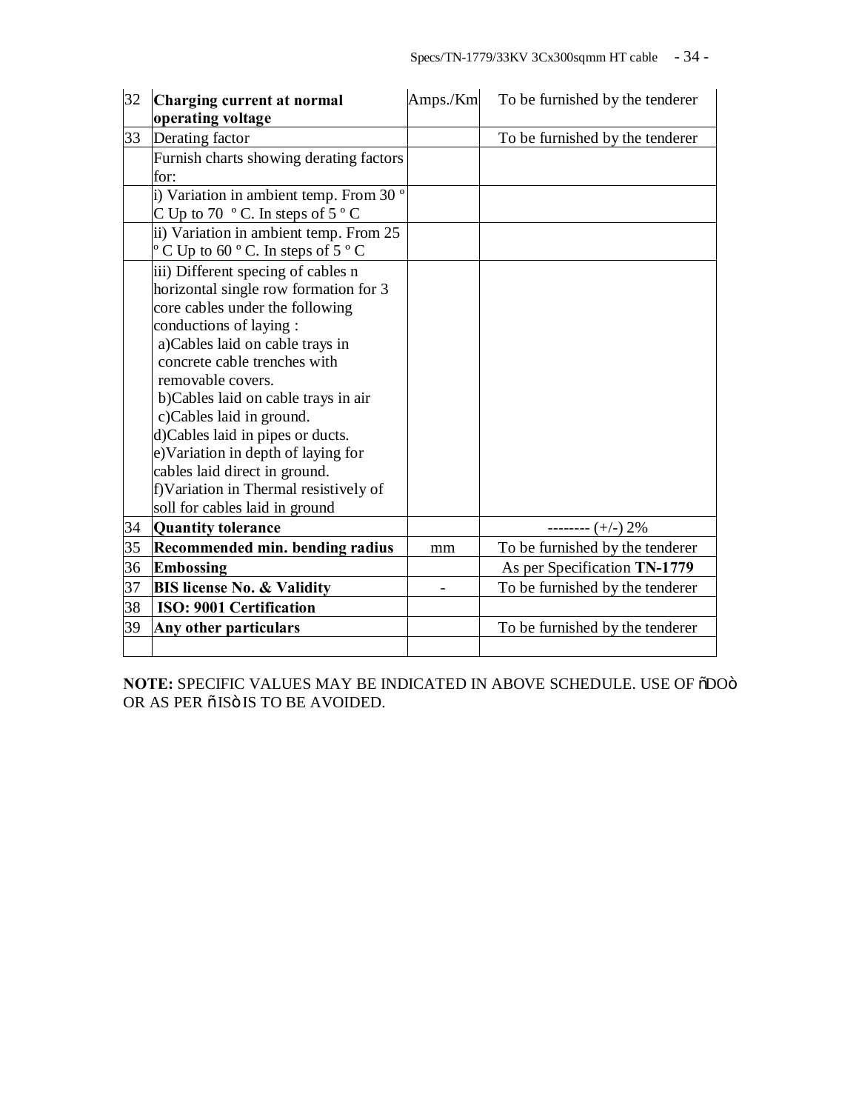| 32 | Charging current at normal                                  | Amps./Km | To be furnished by the tenderer |
|----|-------------------------------------------------------------|----------|---------------------------------|
|    | operating voltage                                           |          |                                 |
| 33 | Derating factor                                             |          | To be furnished by the tenderer |
|    | Furnish charts showing derating factors                     |          |                                 |
|    | for:                                                        |          |                                 |
|    | i) Variation in ambient temp. From 30 °                     |          |                                 |
|    | C Up to 70 $\degree$ C. In steps of 5 $\degree$ C           |          |                                 |
|    | ii) Variation in ambient temp. From 25                      |          |                                 |
|    | $\degree$ C Up to 60 $\degree$ C. In steps of 5 $\degree$ C |          |                                 |
|    | iii) Different specing of cables n                          |          |                                 |
|    | horizontal single row formation for 3                       |          |                                 |
|    | core cables under the following                             |          |                                 |
|    | conductions of laying :                                     |          |                                 |
|    | a)Cables laid on cable trays in                             |          |                                 |
|    | concrete cable trenches with                                |          |                                 |
|    | removable covers.                                           |          |                                 |
|    | b)Cables laid on cable trays in air                         |          |                                 |
|    | c)Cables laid in ground.                                    |          |                                 |
|    | d)Cables laid in pipes or ducts.                            |          |                                 |
|    | e)Variation in depth of laying for                          |          |                                 |
|    | cables laid direct in ground.                               |          |                                 |
|    | f) Variation in Thermal resistively of                      |          |                                 |
|    | soll for cables laid in ground                              |          |                                 |
| 34 | <b>Quantity tolerance</b>                                   |          | -------- $(+/-)$ 2%             |
| 35 | <b>Recommended min. bending radius</b>                      | mm       | To be furnished by the tenderer |
| 36 | Embossing                                                   |          | As per Specification TN-1779    |
| 37 | <b>BIS license No. &amp; Validity</b>                       |          | To be furnished by the tenderer |
| 38 | <b>ISO: 9001 Certification</b>                              |          |                                 |
| 39 | Any other particulars                                       |          | To be furnished by the tenderer |
|    |                                                             |          |                                 |

**NOTE: SPECIFIC VALUES MAY BE INDICATED IN ABOVE SCHEDULE. USE OF**  $\tilde{O}$ **DO** $\tilde{O}$ OR AS PER õ ISÖ IS TO BE AVOIDED.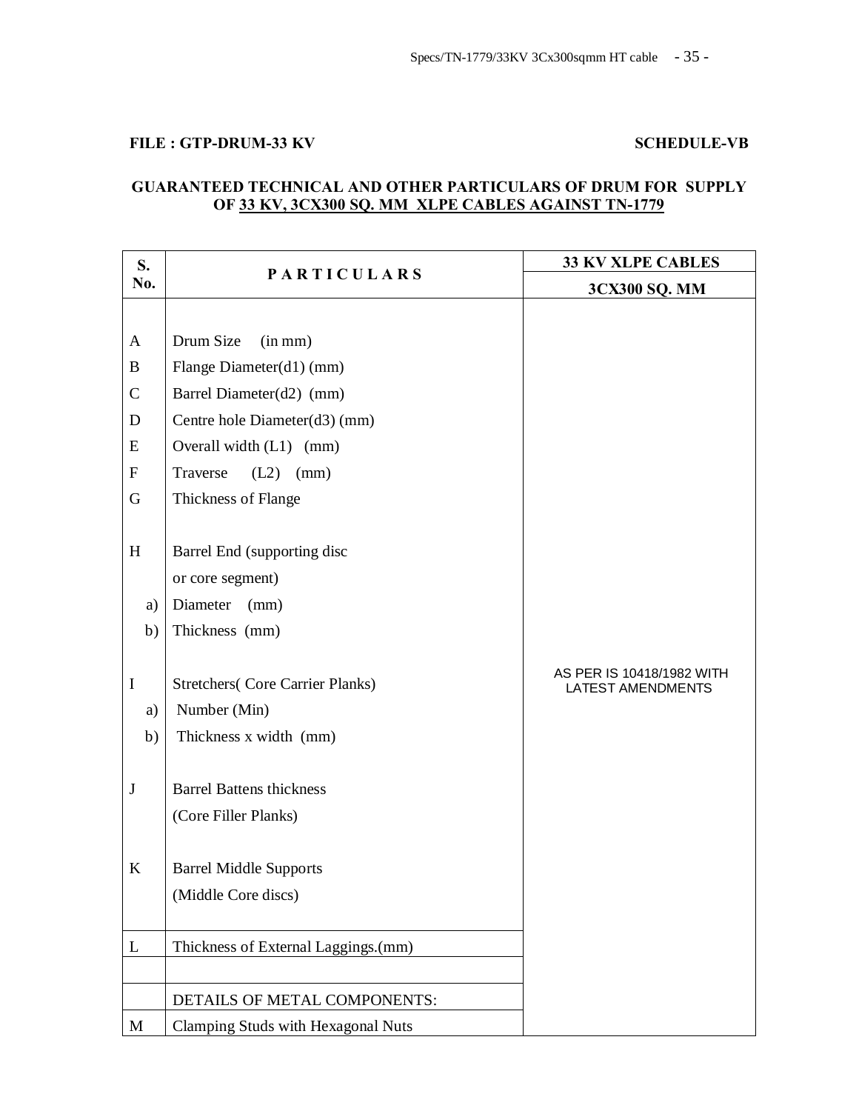## FILE : GTP-DRUM-33 KV SCHEDULE-VB

## **GUARANTEED TECHNICAL AND OTHER PARTICULARS OF DRUM FOR SUPPLY OF 33 KV, 3CX300 SQ. MM XLPE CABLES AGAINST TN-1779**

| S.               | <b>PARTICULARS</b>                      | <b>33 KV XLPE CABLES</b>                              |
|------------------|-----------------------------------------|-------------------------------------------------------|
| No.              |                                         | 3CX300 SQ. MM                                         |
|                  |                                         |                                                       |
| $\mathbf{A}$     | Drum Size<br>(in mm)                    |                                                       |
| B                | Flange Diameter(d1) (mm)                |                                                       |
| $\mathbf C$      | Barrel Diameter(d2) (mm)                |                                                       |
| D                | Centre hole Diameter(d3) (mm)           |                                                       |
| E                | Overall width (L1) (mm)                 |                                                       |
| $\boldsymbol{F}$ | Traverse<br>(L2)<br>(mm)                |                                                       |
| G                | Thickness of Flange                     |                                                       |
|                  |                                         |                                                       |
| H                | Barrel End (supporting disc             |                                                       |
|                  | or core segment)                        |                                                       |
| a)               | Diameter<br>(mm)                        |                                                       |
| b)               | Thickness (mm)                          |                                                       |
|                  |                                         |                                                       |
| $\mathbf I$      | <b>Stretchers</b> (Core Carrier Planks) | AS PER IS 10418/1982 WITH<br><b>LATEST AMENDMENTS</b> |
| a)               | Number (Min)                            |                                                       |
| b)               | Thickness x width (mm)                  |                                                       |
|                  |                                         |                                                       |
| $\bf J$          | <b>Barrel Battens thickness</b>         |                                                       |
|                  | (Core Filler Planks)                    |                                                       |
|                  |                                         |                                                       |
| K                | <b>Barrel Middle Supports</b>           |                                                       |
|                  | (Middle Core discs)                     |                                                       |
|                  |                                         |                                                       |
| L                | Thickness of External Laggings.(mm)     |                                                       |
|                  |                                         |                                                       |
|                  | DETAILS OF METAL COMPONENTS:            |                                                       |
| M                | Clamping Studs with Hexagonal Nuts      |                                                       |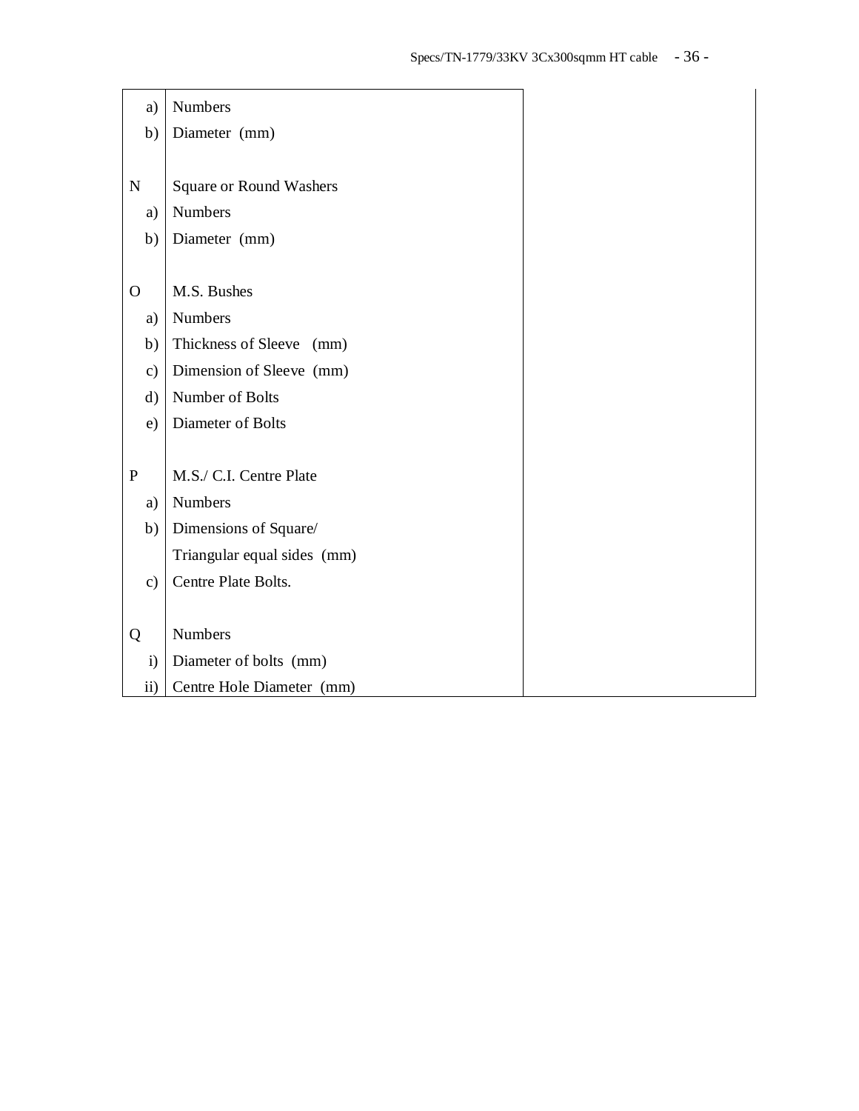| a)            | Numbers                        |
|---------------|--------------------------------|
| b)            | Diameter (mm)                  |
|               |                                |
| N             | <b>Square or Round Washers</b> |
| a)            | Numbers                        |
| b)            | Diameter (mm)                  |
|               |                                |
| $\Omega$      | M.S. Bushes                    |
| a)            | <b>Numbers</b>                 |
| b)            | Thickness of Sleeve (mm)       |
| $\mathbf{c})$ | Dimension of Sleeve (mm)       |
| $\rm d)$      | Number of Bolts                |
| e)            | Diameter of Bolts              |
|               |                                |
| $\mathbf P$   | M.S./ C.I. Centre Plate        |
| a)            | <b>Numbers</b>                 |
| b)            | Dimensions of Square/          |
|               | Triangular equal sides (mm)    |
| $\mathbf{c})$ | Centre Plate Bolts.            |
|               |                                |
| Q             | <b>Numbers</b>                 |
| $\mathbf{i}$  | Diameter of bolts (mm)         |
| $\mathbf{ii}$ | Centre Hole Diameter (mm)      |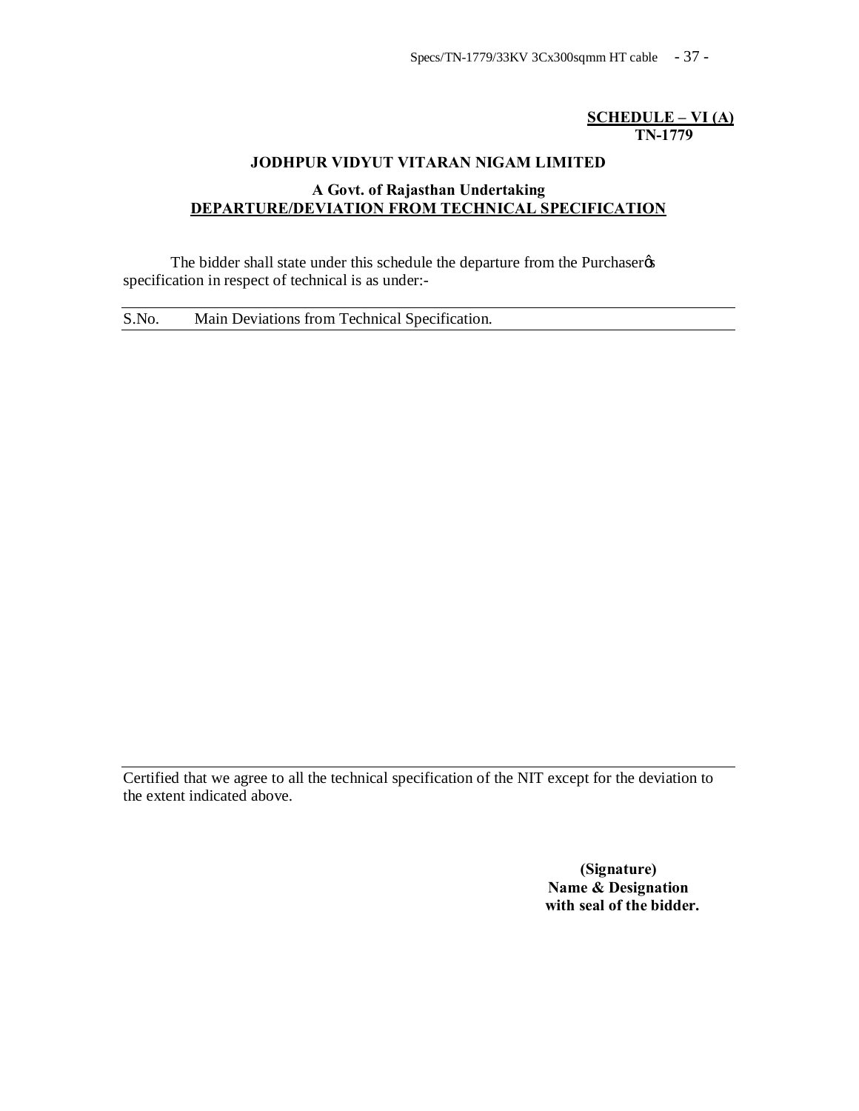## **SCHEDULE – VI (A) TN-1779**

## **JODHPUR VIDYUT VITARAN NIGAM LIMITED**

## **A Govt. of Rajasthan Undertaking DEPARTURE/DEVIATION FROM TECHNICAL SPECIFICATION**

The bidder shall state under this schedule the departure from the Purchaser specification in respect of technical is as under:-

S.No. Main Deviations from Technical Specification.

Certified that we agree to all the technical specification of the NIT except for the deviation to the extent indicated above.

> **(Signature) Name & Designation with seal of the bidder.**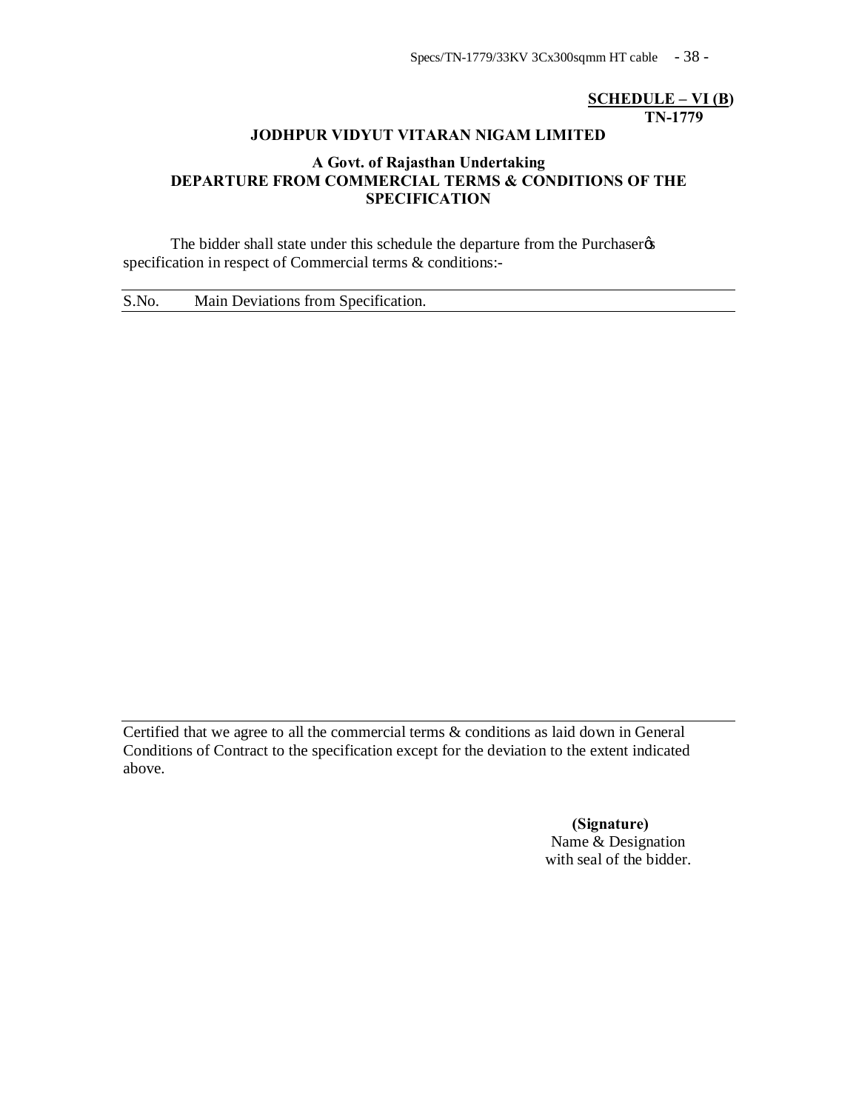Specs/TN-1779/33KV 3Cx300sqmm HT cable - 38 -

## **SCHEDULE – VI (B) TN-1779**

## **JODHPUR VIDYUT VITARAN NIGAM LIMITED**

## **A Govt. of Rajasthan Undertaking DEPARTURE FROM COMMERCIAL TERMS & CONDITIONS OF THE SPECIFICATION**

The bidder shall state under this schedule the departure from the Purchaser  $\alpha$ specification in respect of Commercial terms & conditions:-

S.No. Main Deviations from Specification.

Certified that we agree to all the commercial terms & conditions as laid down in General Conditions of Contract to the specification except for the deviation to the extent indicated above.

> **(Signature)** Name & Designation with seal of the bidder.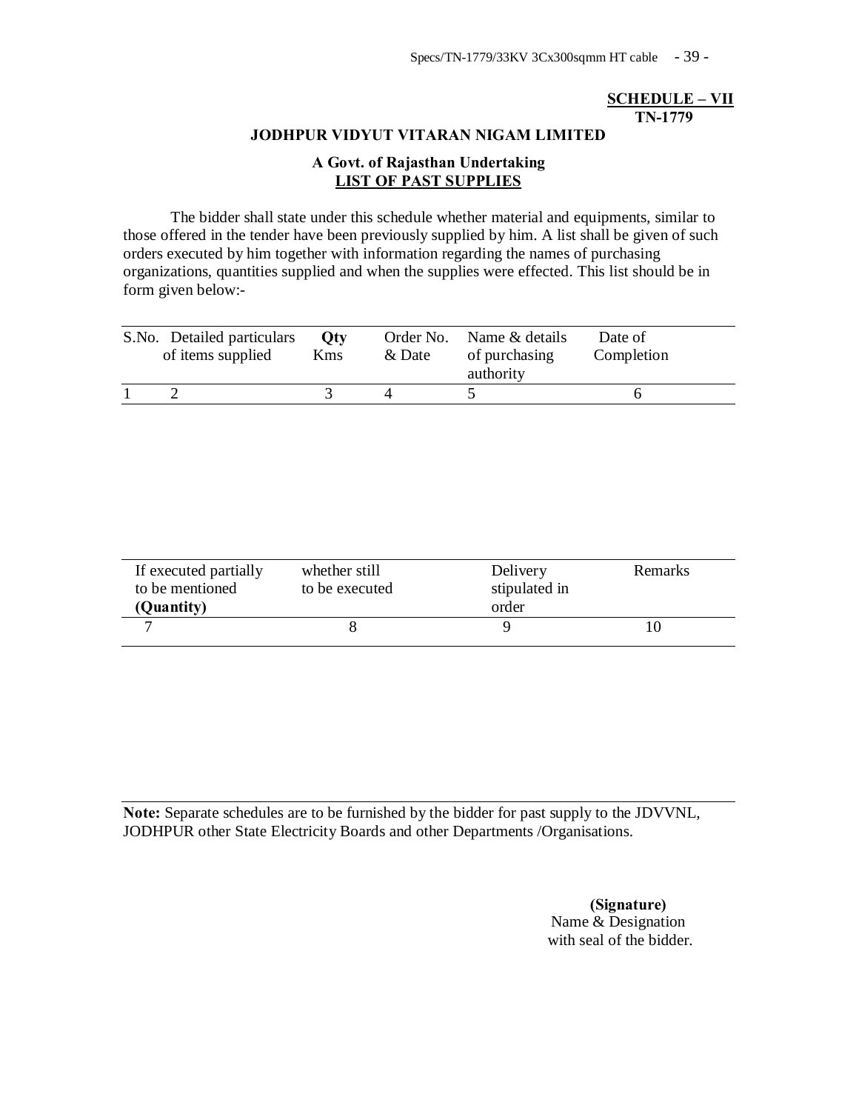## **SCHEDULE – VII TN-1779**

#### **JODHPUR VIDYUT VITARAN NIGAM LIMITED**

## **A Govt. of Rajasthan Undertaking LIST OF PAST SUPPLIES**

The bidder shall state under this schedule whether material and equipments, similar to those offered in the tender have been previously supplied by him. A list shall be given of such orders executed by him together with information regarding the names of purchasing organizations, quantities supplied and when the supplies were effected. This list should be in form given below:-

| S.No. Detailed particulars<br>of items supplied | Otv<br><b>K</b> ms | & Date | Order No. Name & details<br>of purchasing<br>authority | Date of<br>Completion |
|-------------------------------------------------|--------------------|--------|--------------------------------------------------------|-----------------------|
|                                                 |                    |        |                                                        |                       |

| If executed partially<br>to be mentioned<br>(Quantity) | whether still<br>to be executed | Delivery<br>stipulated in<br>order | Remarks |
|--------------------------------------------------------|---------------------------------|------------------------------------|---------|
|                                                        |                                 |                                    |         |

**Note:** Separate schedules are to be furnished by the bidder for past supply to the JDVVNL, JODHPUR other State Electricity Boards and other Departments /Organisations.

> **(Signature)** Name & Designation with seal of the bidder.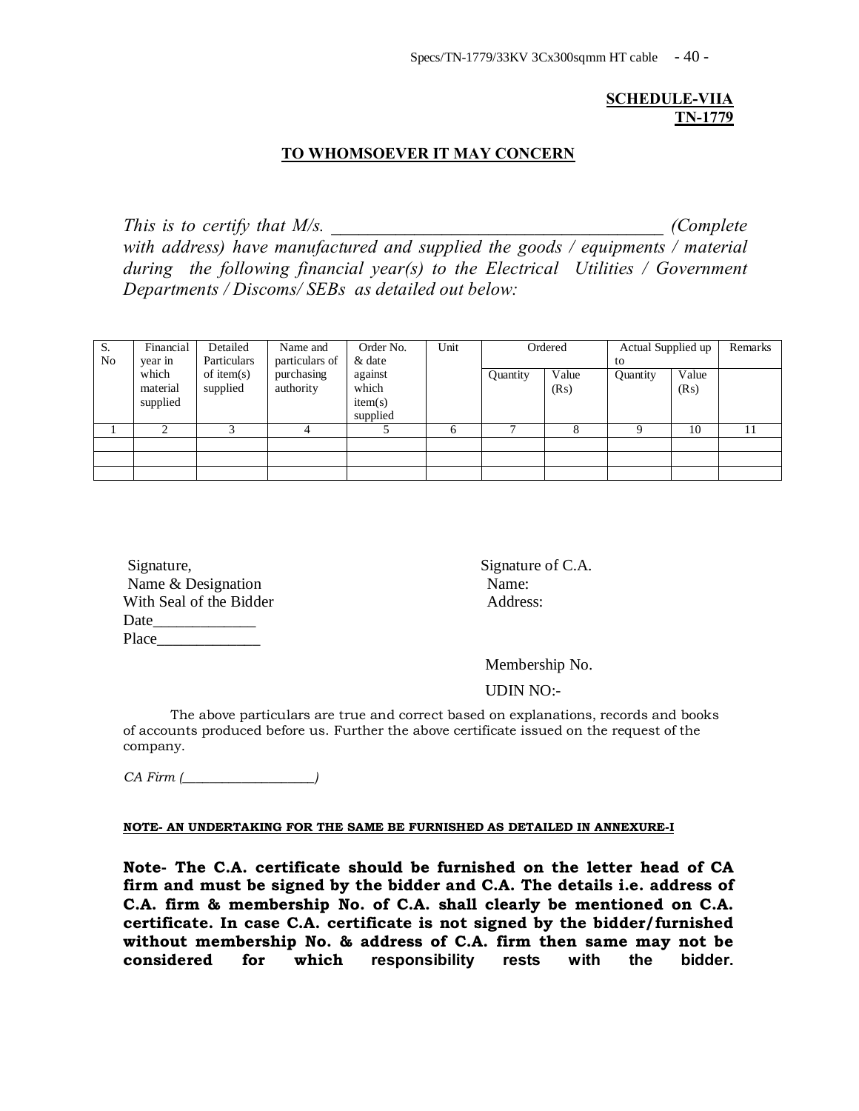## **SCHEDULE-VIIA TN-1779**

## **TO WHOMSOEVER IT MAY CONCERN**

*This is to certify that M/s.*  $\blacksquare$  (*Complete*  $\blacksquare$ ) *with address) have manufactured and supplied the goods / equipments / material during the following financial year(s) to the Electrical Utilities / Government Departments / Discoms/ SEBs as detailed out below:* 

| S.<br>N <sub>0</sub> | Financial<br>year in          | Detailed<br>Particulars   | Name and<br>particulars of | Order No.<br>& date                     | Unit |          | Ordered       | Actual Supplied up<br>to |               | Remarks |
|----------------------|-------------------------------|---------------------------|----------------------------|-----------------------------------------|------|----------|---------------|--------------------------|---------------|---------|
|                      | which<br>material<br>supplied | of item $(s)$<br>supplied | purchasing<br>authority    | against<br>which<br>item(s)<br>supplied |      | Quantity | Value<br>(Rs) | Quantity                 | Value<br>(Rs) |         |
|                      |                               |                           |                            |                                         | 6    |          |               |                          | 10            | 11      |
|                      |                               |                           |                            |                                         |      |          |               |                          |               |         |
|                      |                               |                           |                            |                                         |      |          |               |                          |               |         |
|                      |                               |                           |                            |                                         |      |          |               |                          |               |         |

| Signature,              | Signatu |
|-------------------------|---------|
| Name & Designation      | Name:   |
| With Seal of the Bidder | Addres  |
| Date                    |         |
| Place                   |         |

Signature of C.A. Address:

Membership No.

UDIN NO:-

The above particulars are true and correct based on explanations, records and books of accounts produced before us. Further the above certificate issued on the request of the company.

*CA Firm (\_\_\_\_\_\_\_\_\_\_\_\_\_\_\_\_\_\_\_\_)*

#### **NOTE- AN UNDERTAKING FOR THE SAME BE FURNISHED AS DETAILED IN ANNEXURE-I**

**Note- The C.A. certificate should be furnished on the letter head of CA firm and must be signed by the bidder and C.A. The details i.e. address of C.A. firm & membership No. of C.A. shall clearly be mentioned on C.A. certificate. In case C.A. certificate is not signed by the bidder/furnished without membership No. & address of C.A. firm then same may not be considered for which responsibility rests with the bidder.**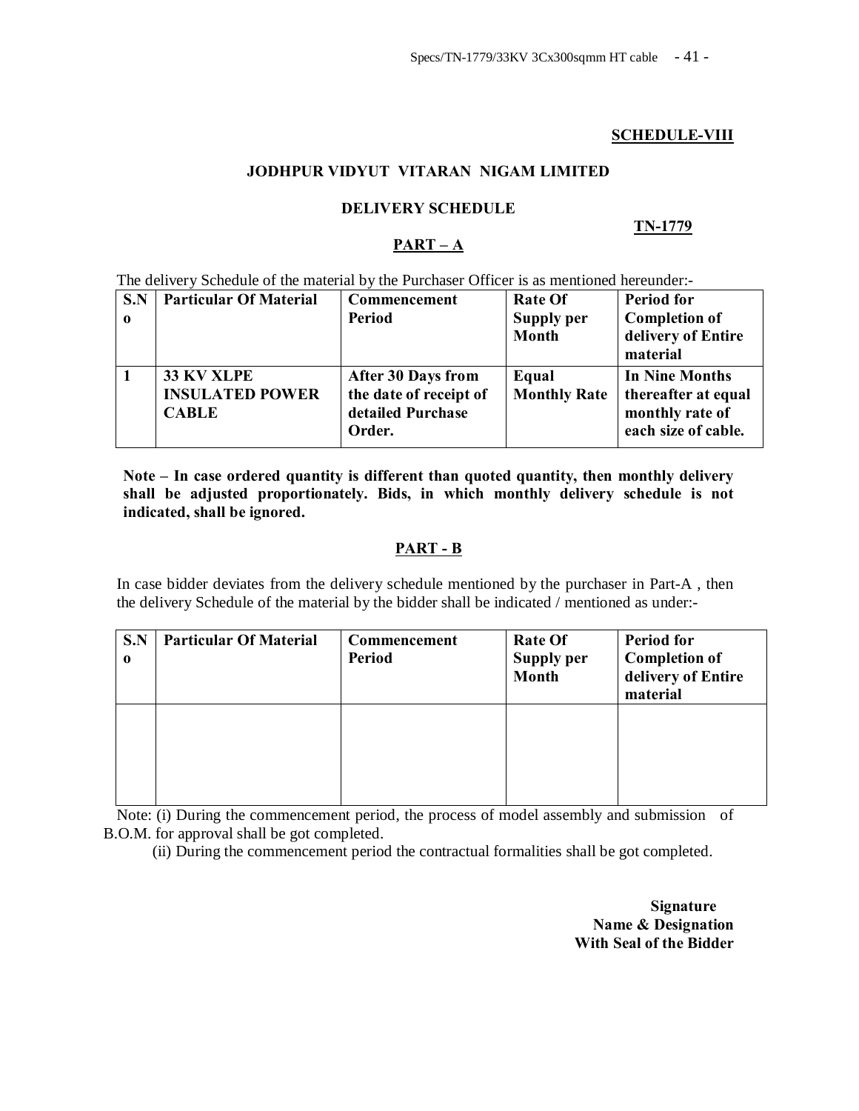## **SCHEDULE-VIII**

#### **JODHPUR VIDYUT VITARAN NIGAM LIMITED**

## **DELIVERY SCHEDULE**

#### **TN-1779**

## **PART – A**

The delivery Schedule of the material by the Purchaser Officer is as mentioned hereunder:-

| S.N<br>$\mathbf 0$ | <b>Particular Of Material</b>                               | Commencement<br><b>Period</b>                                                      | <b>Rate Of</b><br>Supply per<br>Month | <b>Period for</b><br><b>Completion of</b><br>delivery of Entire<br>material            |
|--------------------|-------------------------------------------------------------|------------------------------------------------------------------------------------|---------------------------------------|----------------------------------------------------------------------------------------|
|                    | <b>33 KV XLPE</b><br><b>INSULATED POWER</b><br><b>CABLE</b> | <b>After 30 Days from</b><br>the date of receipt of<br>detailed Purchase<br>Order. | Equal<br><b>Monthly Rate</b>          | <b>In Nine Months</b><br>thereafter at equal<br>monthly rate of<br>each size of cable. |

**Note – In case ordered quantity is different than quoted quantity, then monthly delivery shall be adjusted proportionately. Bids, in which monthly delivery schedule is not indicated, shall be ignored.**

## **PART - B**

In case bidder deviates from the delivery schedule mentioned by the purchaser in Part-A , then the delivery Schedule of the material by the bidder shall be indicated / mentioned as under:-

| S.N<br>$\bf{0}$ | <b>Particular Of Material</b> | Commencement<br>Period | <b>Rate Of</b><br><b>Supply per</b><br><b>Month</b> | <b>Period for</b><br><b>Completion of</b><br>delivery of Entire<br>material |
|-----------------|-------------------------------|------------------------|-----------------------------------------------------|-----------------------------------------------------------------------------|
|                 |                               |                        |                                                     |                                                                             |

Note: (i) During the commencement period, the process of model assembly and submission of B.O.M. for approval shall be got completed.

(ii) During the commencement period the contractual formalities shall be got completed.

**Signature Name & Designation With Seal of the Bidder**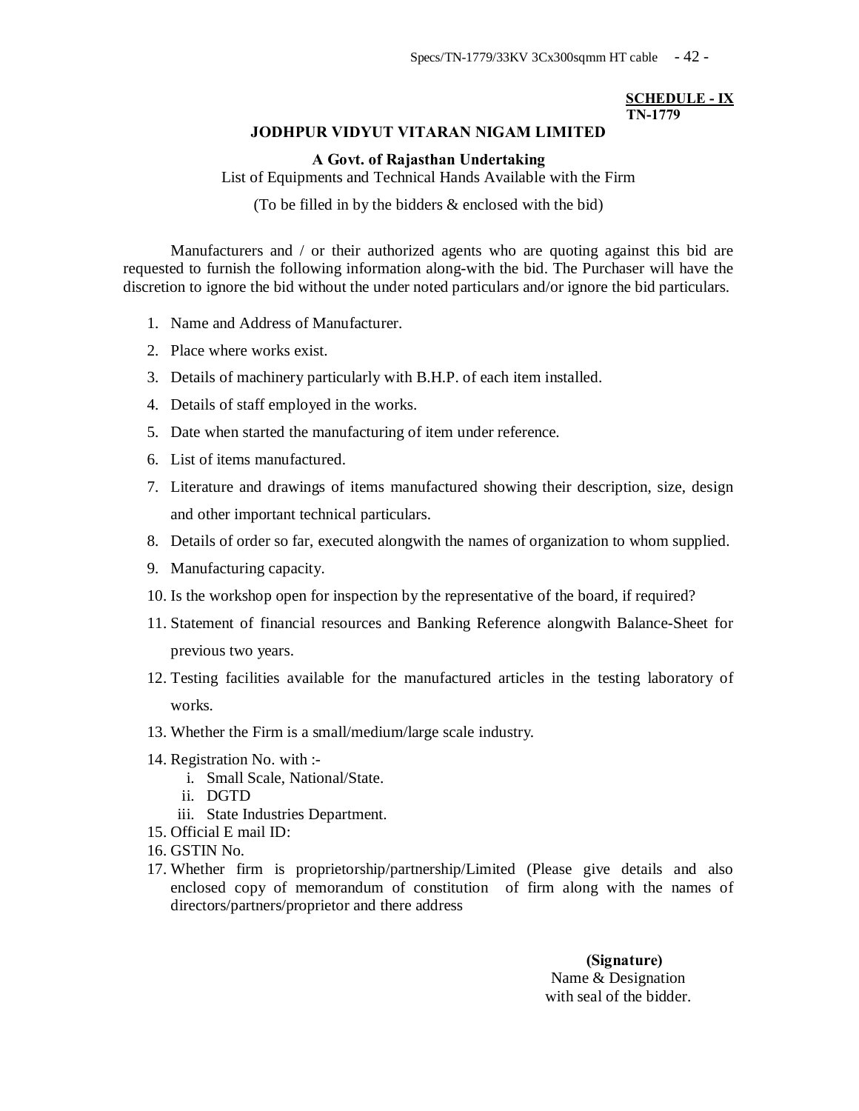#### **SCHEDULE - IX TN-1779**

#### **JODHPUR VIDYUT VITARAN NIGAM LIMITED**

#### **A Govt. of Rajasthan Undertaking**

List of Equipments and Technical Hands Available with the Firm

(To be filled in by the bidders & enclosed with the bid)

Manufacturers and / or their authorized agents who are quoting against this bid are requested to furnish the following information along-with the bid. The Purchaser will have the discretion to ignore the bid without the under noted particulars and/or ignore the bid particulars.

- 1. Name and Address of Manufacturer.
- 2. Place where works exist.
- 3. Details of machinery particularly with B.H.P. of each item installed.
- 4. Details of staff employed in the works.
- 5. Date when started the manufacturing of item under reference.
- 6. List of items manufactured.
- 7. Literature and drawings of items manufactured showing their description, size, design and other important technical particulars.
- 8. Details of order so far, executed alongwith the names of organization to whom supplied.
- 9. Manufacturing capacity.
- 10. Is the workshop open for inspection by the representative of the board, if required?
- 11. Statement of financial resources and Banking Reference alongwith Balance-Sheet for previous two years.
- 12. Testing facilities available for the manufactured articles in the testing laboratory of works.
- 13. Whether the Firm is a small/medium/large scale industry.
- 14. Registration No. with :
	- i. Small Scale, National/State.
	- ii. DGTD
	- iii. State Industries Department.
- 15. Official E mail ID:
- 16. GSTIN No.
- 17. Whether firm is proprietorship/partnership/Limited (Please give details and also enclosed copy of memorandum of constitution of firm along with the names of directors/partners/proprietor and there address

 **(Signature)** Name & Designation with seal of the bidder.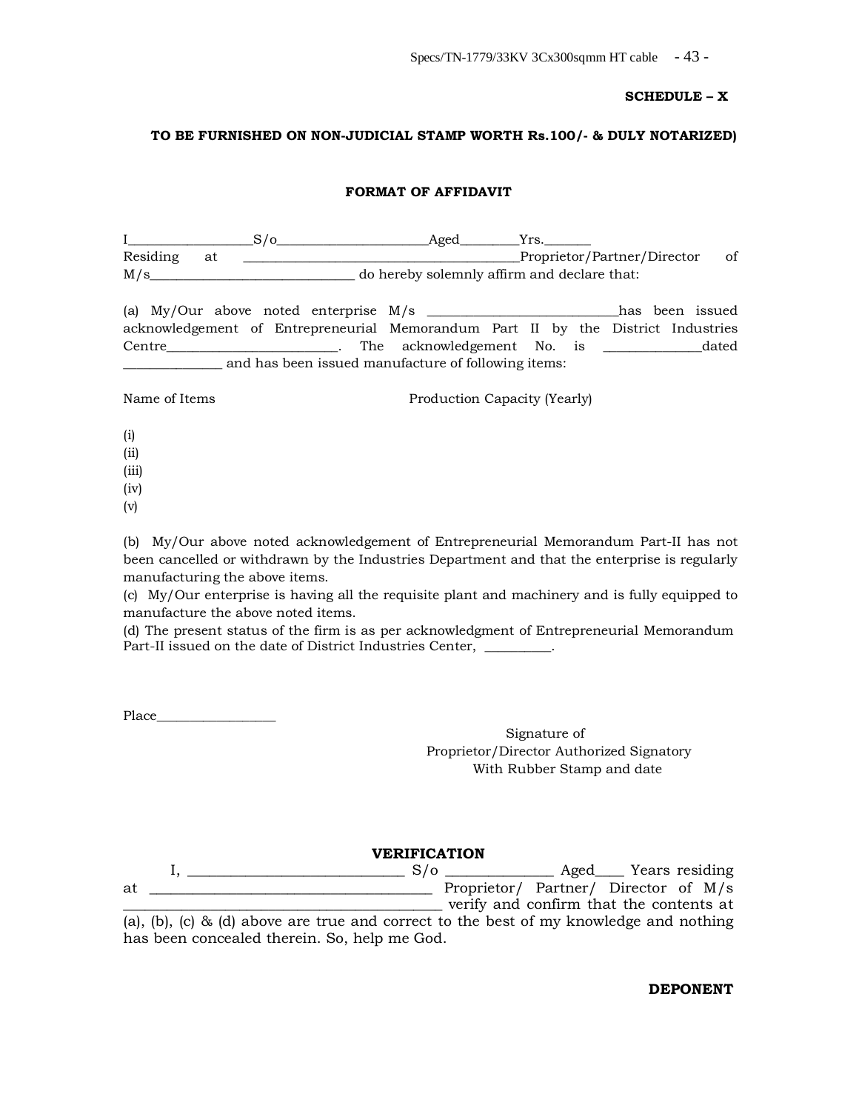#### **SCHEDULE – X**

#### **TO BE FURNISHED ON NON-JUDICIAL STAMP WORTH Rs.100/- & DULY NOTARIZED)**

#### **FORMAT OF AFFIDAVIT**

|          |  | Aged                                        |                             |    |
|----------|--|---------------------------------------------|-----------------------------|----|
| Residing |  |                                             | Proprietor/Partner/Director | of |
| M/s      |  | do hereby solemnly affirm and declare that: |                             |    |

(a) My/Our above noted enterprise M/s \_\_\_\_\_\_\_\_\_\_\_\_\_\_\_\_\_\_\_\_\_\_\_\_\_\_\_\_\_has been issued acknowledgement of Entrepreneurial Memorandum Part II by the District Industries Centre\_\_\_\_\_\_\_\_\_\_\_\_\_\_\_\_\_\_\_\_\_\_\_\_\_\_. The acknowledgement No. is \_\_\_\_\_\_\_\_\_\_\_\_\_\_\_dated \_\_\_\_\_\_\_\_\_\_\_\_\_\_\_ and has been issued manufacture of following items:

Name of Items Production Capacity (Yearly)

- (i)
- (ii)
- (iii)
- (iv)
- (v)

(b) My/Our above noted acknowledgement of Entrepreneurial Memorandum Part-II has not been cancelled or withdrawn by the Industries Department and that the enterprise is regularly manufacturing the above items.

(c) My/Our enterprise is having all the requisite plant and machinery and is fully equipped to manufacture the above noted items.

(d) The present status of the firm is as per acknowledgment of Entrepreneurial Memorandum Part-II issued on the date of District Industries Center, \_\_\_\_\_\_\_\_.

Place\_\_\_\_\_\_\_\_\_\_\_\_\_\_\_\_\_\_

Signature of Proprietor/Director Authorized Signatory With Rubber Stamp and date

#### **VERIFICATION**

|    |                                              |  |  |  |  |  | $S/\sigma$ |                                                                                        |  |  |  |  | Aged Years residing |
|----|----------------------------------------------|--|--|--|--|--|------------|----------------------------------------------------------------------------------------|--|--|--|--|---------------------|
| at |                                              |  |  |  |  |  |            | Proprietor/ Partner/ Director of M/s                                                   |  |  |  |  |                     |
|    |                                              |  |  |  |  |  |            | verify and confirm that the contents at                                                |  |  |  |  |                     |
|    |                                              |  |  |  |  |  |            | (a), (b), (c) & (d) above are true and correct to the best of my knowledge and nothing |  |  |  |  |                     |
|    | has been concealed therein. So, help me God. |  |  |  |  |  |            |                                                                                        |  |  |  |  |                     |

**DEPONENT**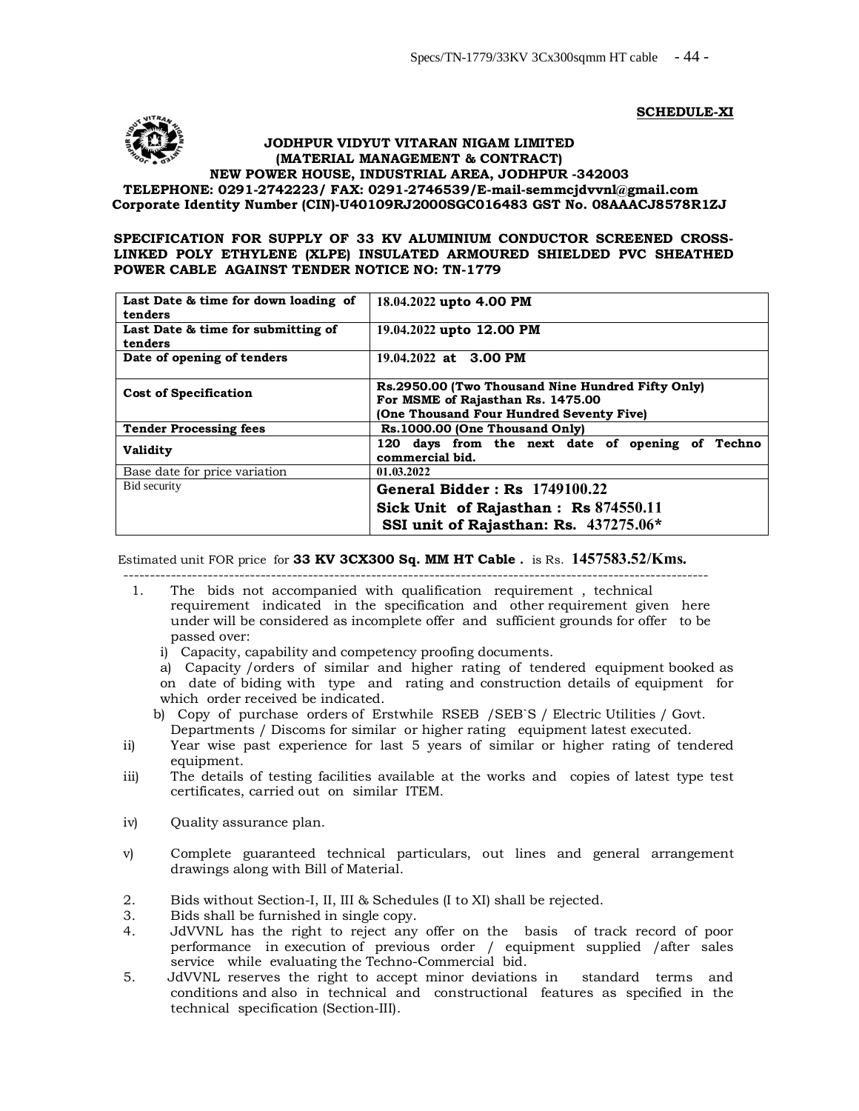**SCHEDULE-XI**



#### **JODHPUR VIDYUT VITARAN NIGAM LIMITED (MATERIAL MANAGEMENT & CONTRACT) NEW POWER HOUSE, INDUSTRIAL AREA, JODHPUR -342003**

**TELEPHONE: 0291-2742223/ FAX: 0291-2746539/E-mail-semmcjdvvnl@gmail.com Corporate Identity Number (CIN)-U40109RJ2000SGC01648[3 GST No. 08AAACJ8578R1](mailto:semmcjdvvnl@gmail.com)ZJ**

#### **SPECIFICATION FOR SUPPLY OF 33 KV ALUMINIUM CONDUCTOR SCREENED CROSS-LINKED POLY ETHYLENE (XLPE) INSULATED ARMOURED SHIELDED PVC SHEATHED POWER CABLE AGAINST TENDER NOTICE NO: TN-1779**

| Last Date & time for down loading of<br>tenders | 18.04.2022 upto 4.00 PM                                                                                                            |  |  |  |  |  |  |
|-------------------------------------------------|------------------------------------------------------------------------------------------------------------------------------------|--|--|--|--|--|--|
| Last Date & time for submitting of<br>tenders   | 19.04.2022 upto 12.00 PM                                                                                                           |  |  |  |  |  |  |
| Date of opening of tenders                      | 19.04.2022 at 3.00 PM                                                                                                              |  |  |  |  |  |  |
| <b>Cost of Specification</b>                    | Rs.2950.00 (Two Thousand Nine Hundred Fifty Only)<br>For MSME of Rajasthan Rs. 1475.00<br>(One Thousand Four Hundred Seventy Five) |  |  |  |  |  |  |
| <b>Tender Processing fees</b>                   | Rs.1000.00 (One Thousand Only)                                                                                                     |  |  |  |  |  |  |
| <b>Validity</b>                                 | 120 days from the next date of opening of Techno<br>commercial bid.                                                                |  |  |  |  |  |  |
| Base date for price variation                   | 01.03.2022                                                                                                                         |  |  |  |  |  |  |
| Bid security                                    | General Bidder: Rs 1749100.22                                                                                                      |  |  |  |  |  |  |
|                                                 | Sick Unit of Rajasthan: Rs 874550.11                                                                                               |  |  |  |  |  |  |
|                                                 | SSI unit of Rajasthan: Rs. 437275.06*                                                                                              |  |  |  |  |  |  |

Estimated unit FOR price for **33 KV 3CX300 Sq. MM HT Cable .** is Rs. **1457583.52/Kms.** ---------------------------------------------------------------------------------------------------------------

- 1. The bids not accompanied with qualification requirement , technical requirement indicated in the specification and other requirement given here under will be considered as incomplete offer and sufficient grounds for offer to be passed over:
	- i) Capacity, capability and competency proofing documents.

a) Capacity /orders of similar and higher rating of tendered equipment booked as on date of biding with type and rating and construction details of equipment for which order received be indicated.

- b) Copy of purchase orders of Erstwhile RSEB /SEB`S / Electric Utilities / Govt. Departments / Discoms for similar or higher rating equipment latest executed.
- ii) Year wise past experience for last 5 years of similar or higher rating of tendered equipment.
- iii) The details of testing facilities available at the works and copies of latest type test certificates, carried out on similar ITEM.
- iv) Quality assurance plan.
- v) Complete guaranteed technical particulars, out lines and general arrangement drawings along with Bill of Material.
- 2. Bids without Section-I, II, III & Schedules (I to XI) shall be rejected.
- 3. Bids shall be furnished in single copy.
- 4. JdVVNL has the right to reject any offer on the basis of track record of poor performance in execution of previous order / equipment supplied /after sales service while evaluating the Techno-Commercial bid.
- 5. JdVVNL reserves the right to accept minor deviations in standard terms and conditions and also in technical and constructional features as specified in the technical specification (Section-III).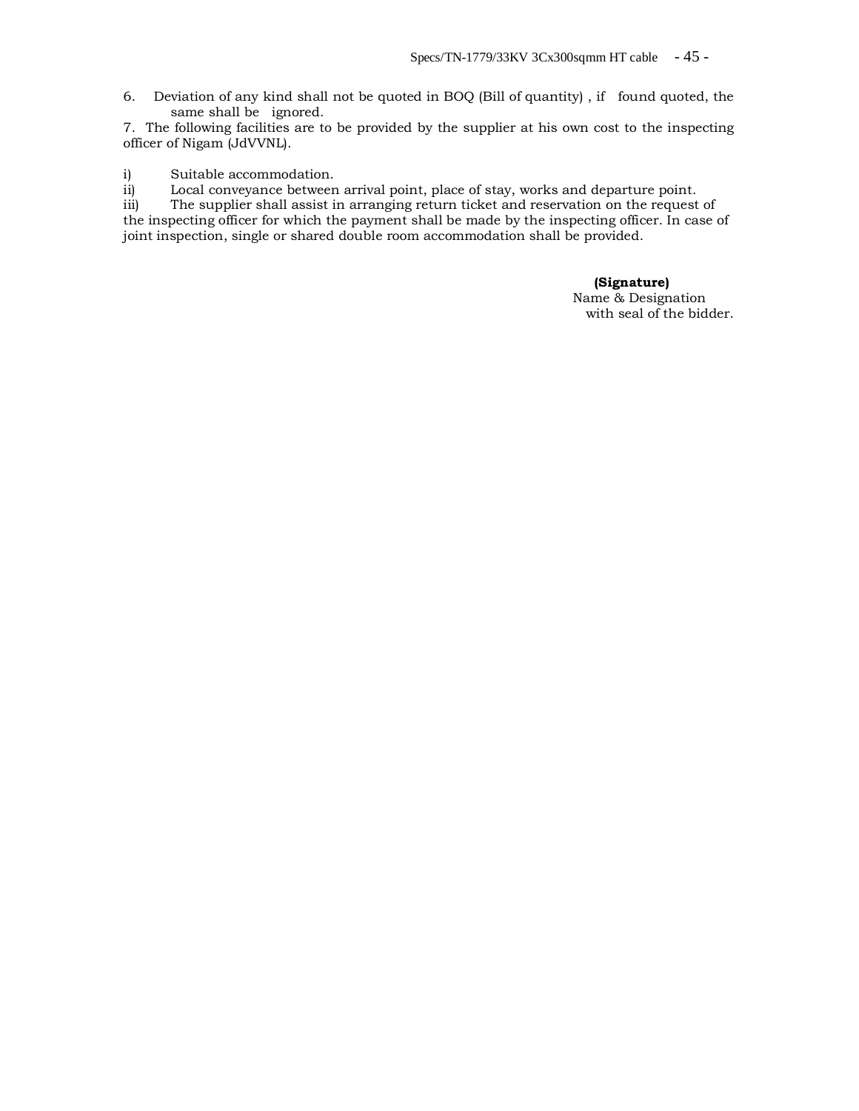6. Deviation of any kind shall not be quoted in BOQ (Bill of quantity) , if found quoted, the same shall be ignored.

7. The following facilities are to be provided by the supplier at his own cost to the inspecting officer of Nigam (JdVVNL).

i) Suitable accommodation.

ii) Local conveyance between arrival point, place of stay, works and departure point.

iii) The supplier shall assist in arranging return ticket and reservation on the request of the inspecting officer for which the payment shall be made by the inspecting officer. In case of joint inspection, single or shared double room accommodation shall be provided.

## **(Signature)**

 Name & Designation with seal of the bidder.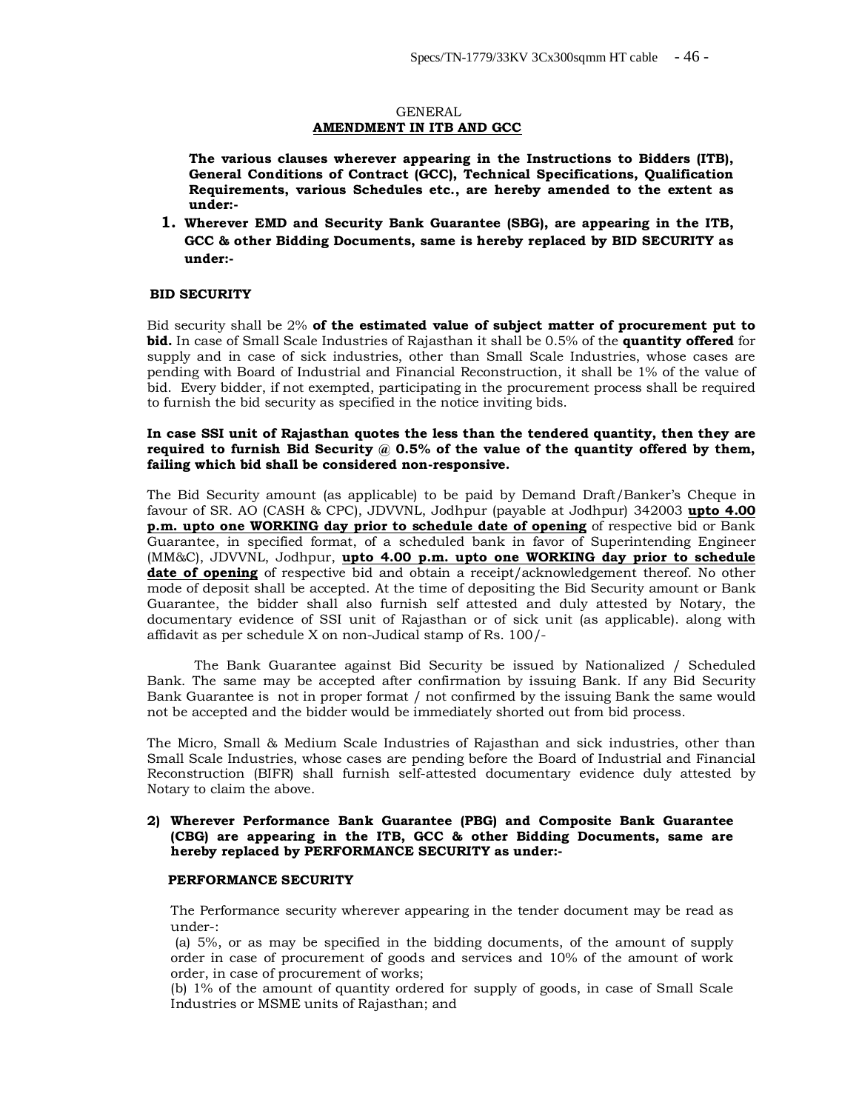#### GENERAL **AMENDMENT IN ITB AND GCC**

**The various clauses wherever appearing in the Instructions to Bidders (ITB), General Conditions of Contract (GCC), Technical Specifications, Qualification Requirements, various Schedules etc., are hereby amended to the extent as under:-**

**1. Wherever EMD and Security Bank Guarantee (SBG), are appearing in the ITB, GCC & other Bidding Documents, same is hereby replaced by BID SECURITY as under:-**

#### **BID SECURITY**

Bid security shall be 2% **of the estimated value of subject matter of procurement put to bid.** In case of Small Scale Industries of Rajasthan it shall be 0.5% of the **quantity offered** for supply and in case of sick industries, other than Small Scale Industries, whose cases are pending with Board of Industrial and Financial Reconstruction, it shall be 1% of the value of bid. Every bidder, if not exempted, participating in the procurement process shall be required to furnish the bid security as specified in the notice inviting bids.

#### **In case SSI unit of Rajasthan quotes the less than the tendered quantity, then they are**  required to furnish Bid Security @ 0.5% of the value of the quantity offered by them, **failing which bid shall be considered non-responsive.**

The Bid Security amount (as applicable) to be paid by Demand Draft/Banker's Cheque in favour of SR. AO (CASH & CPC), JDVVNL, Jodhpur (payable at Jodhpur) 342003 **upto 4.00 p.m. upto one WORKING day prior to schedule date of opening** of respective bid or Bank Guarantee, in specified format, of a scheduled bank in favor of Superintending Engineer (MM&C), JDVVNL, Jodhpur, **upto 4.00 p.m. upto one WORKING day prior to schedule date of opening** of respective bid and obtain a receipt/acknowledgement thereof. No other mode of deposit shall be accepted. At the time of depositing the Bid Security amount or Bank Guarantee, the bidder shall also furnish self attested and duly attested by Notary, the documentary evidence of SSI unit of Rajasthan or of sick unit (as applicable). along with affidavit as per schedule X on non-Judical stamp of Rs. 100/-

The Bank Guarantee against Bid Security be issued by Nationalized / Scheduled Bank. The same may be accepted after confirmation by issuing Bank. If any Bid Security Bank Guarantee is not in proper format / not confirmed by the issuing Bank the same would not be accepted and the bidder would be immediately shorted out from bid process.

The Micro, Small & Medium Scale Industries of Rajasthan and sick industries, other than Small Scale Industries, whose cases are pending before the Board of Industrial and Financial Reconstruction (BIFR) shall furnish self-attested documentary evidence duly attested by Notary to claim the above.

#### **2) Wherever Performance Bank Guarantee (PBG) and Composite Bank Guarantee (CBG) are appearing in the ITB, GCC & other Bidding Documents, same are hereby replaced by PERFORMANCE SECURITY as under:-**

#### **PERFORMANCE SECURITY**

The Performance security wherever appearing in the tender document may be read as under-:

(a) 5%, or as may be specified in the bidding documents, of the amount of supply order in case of procurement of goods and services and 10% of the amount of work order, in case of procurement of works;

(b) 1% of the amount of quantity ordered for supply of goods, in case of Small Scale Industries or MSME units of Rajasthan; and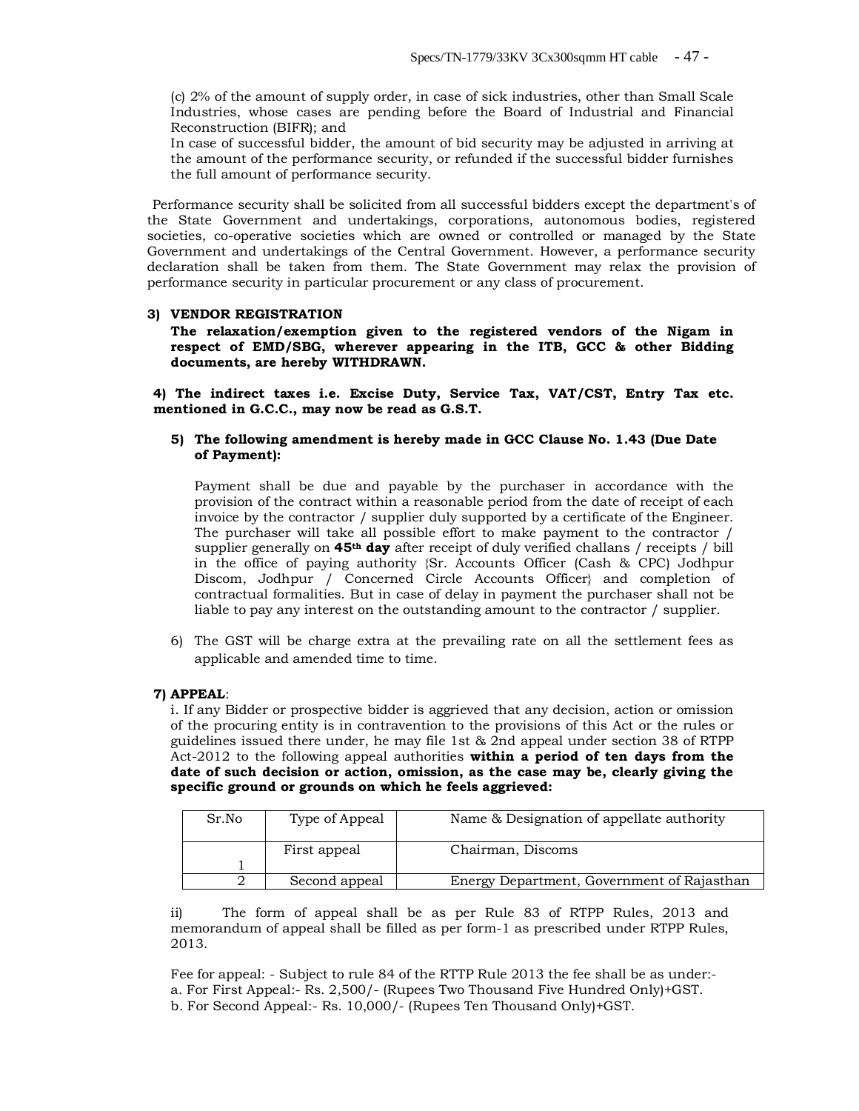(c) 2% of the amount of supply order, in case of sick industries, other than Small Scale Industries, whose cases are pending before the Board of Industrial and Financial Reconstruction (BIFR); and

In case of successful bidder, the amount of bid security may be adjusted in arriving at the amount of the performance security, or refunded if the successful bidder furnishes the full amount of performance security.

 Performance security shall be solicited from all successful bidders except the department's of the State Government and undertakings, corporations, autonomous bodies, registered societies, co-operative societies which are owned or controlled or managed by the State Government and undertakings of the Central Government. However, a performance security declaration shall be taken from them. The State Government may relax the provision of performance security in particular procurement or any class of procurement.

#### **3) VENDOR REGISTRATION**

**The relaxation/exemption given to the registered vendors of the Nigam in respect of EMD/SBG, wherever appearing in the ITB, GCC & other Bidding documents, are hereby WITHDRAWN.** 

**4) The indirect taxes i.e. Excise Duty, Service Tax, VAT/CST, Entry Tax etc. mentioned in G.C.C., may now be read as G.S.T.** 

#### **5) The following amendment is hereby made in GCC Clause No. 1.43 (Due Date of Payment):**

Payment shall be due and payable by the purchaser in accordance with the provision of the contract within a reasonable period from the date of receipt of each invoice by the contractor / supplier duly supported by a certificate of the Engineer. The purchaser will take all possible effort to make payment to the contractor / supplier generally on **45th day** after receipt of duly verified challans / receipts / bill in the office of paying authority {Sr. Accounts Officer (Cash & CPC) Jodhpur Discom, Jodhpur / Concerned Circle Accounts Officer} and completion of contractual formalities. But in case of delay in payment the purchaser shall not be liable to pay any interest on the outstanding amount to the contractor / supplier.

6) The GST will be charge extra at the prevailing rate on all the settlement fees as applicable and amended time to time.

#### **7) APPEAL**:

i. If any Bidder or prospective bidder is aggrieved that any decision, action or omission of the procuring entity is in contravention to the provisions of this Act or the rules or guidelines issued there under, he may file 1st & 2nd appeal under section 38 of RTPP Act-2012 to the following appeal authorities **within a period of ten days from the date of such decision or action, omission, as the case may be, clearly giving the specific ground or grounds on which he feels aggrieved:** 

| Sr.No | Type of Appeal | Name & Designation of appellate authority  |
|-------|----------------|--------------------------------------------|
|       | First appeal   | Chairman, Discoms                          |
|       | Second appeal  | Energy Department, Government of Rajasthan |

ii) The form of appeal shall be as per Rule 83 of RTPP Rules, 2013 and memorandum of appeal shall be filled as per form-1 as prescribed under RTPP Rules, 2013.

Fee for appeal: - Subject to rule 84 of the RTTP Rule 2013 the fee shall be as under: a. For First Appeal:- Rs. 2,500/- (Rupees Two Thousand Five Hundred Only)+GST. b. For Second Appeal:- Rs. 10,000/- (Rupees Ten Thousand Only)+GST.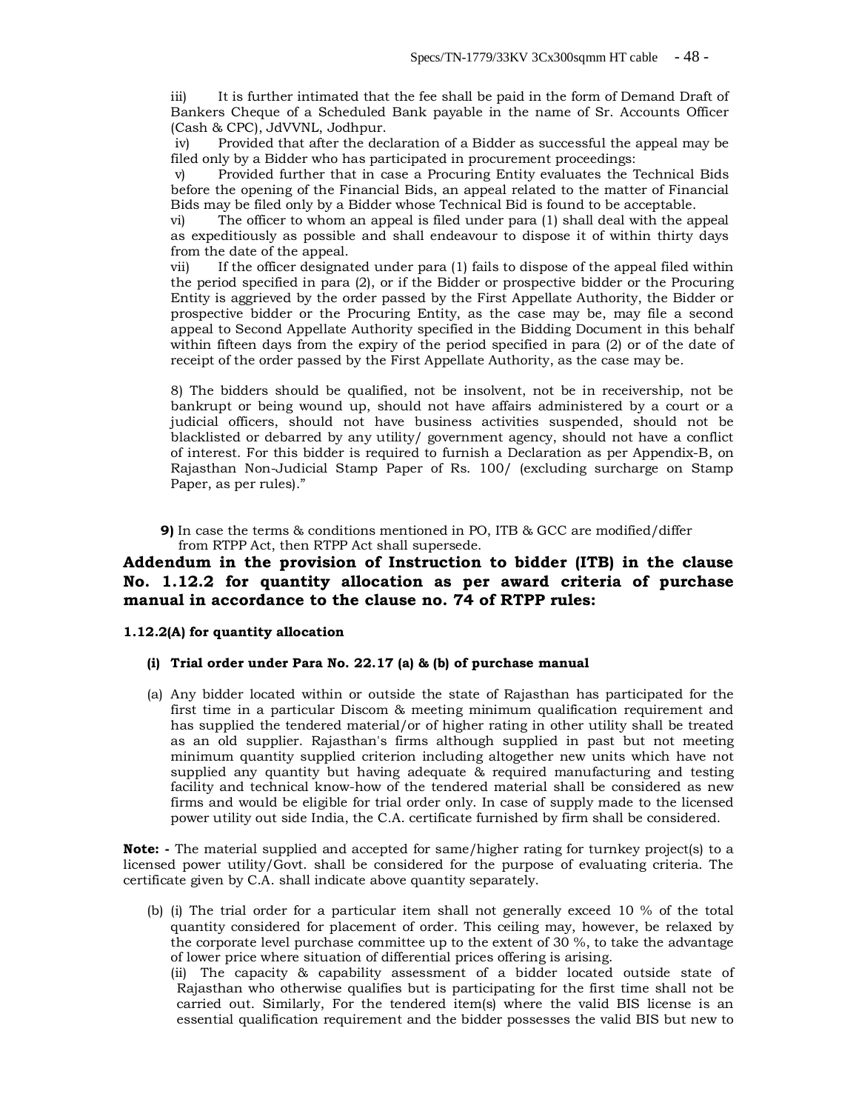iii) It is further intimated that the fee shall be paid in the form of Demand Draft of Bankers Cheque of a Scheduled Bank payable in the name of Sr. Accounts Officer (Cash & CPC), JdVVNL, Jodhpur.

iv) Provided that after the declaration of a Bidder as successful the appeal may be filed only by a Bidder who has participated in procurement proceedings:

v) Provided further that in case a Procuring Entity evaluates the Technical Bids before the opening of the Financial Bids, an appeal related to the matter of Financial Bids may be filed only by a Bidder whose Technical Bid is found to be acceptable.

vi) The officer to whom an appeal is filed under para (1) shall deal with the appeal as expeditiously as possible and shall endeavour to dispose it of within thirty days from the date of the appeal.

vii) If the officer designated under para (1) fails to dispose of the appeal filed within the period specified in para (2), or if the Bidder or prospective bidder or the Procuring Entity is aggrieved by the order passed by the First Appellate Authority, the Bidder or prospective bidder or the Procuring Entity, as the case may be, may file a second appeal to Second Appellate Authority specified in the Bidding Document in this behalf within fifteen days from the expiry of the period specified in para (2) or of the date of receipt of the order passed by the First Appellate Authority, as the case may be.

8) The bidders should be qualified, not be insolvent, not be in receivership, not be bankrupt or being wound up, should not have affairs administered by a court or a judicial officers, should not have business activities suspended, should not be blacklisted or debarred by any utility/ government agency, should not have a conflict of interest. For this bidder is required to furnish a Declaration as per Appendix-B, on Rajasthan Non-Judicial Stamp Paper of Rs. 100/ (excluding surcharge on Stamp Paper, as per rules)."

**9)** In case the terms & conditions mentioned in PO, ITB & GCC are modified/differ from RTPP Act, then RTPP Act shall supersede.

## **Addendum in the provision of Instruction to bidder (ITB) in the clause No. 1.12.2 for quantity allocation as per award criteria of purchase manual in accordance to the clause no. 74 of RTPP rules:**

#### **1.12.2(A) for quantity allocation**

#### **(i) Trial order under Para No. 22.17 (a) & (b) of purchase manual**

(a) Any bidder located within or outside the state of Rajasthan has participated for the first time in a particular Discom & meeting minimum qualification requirement and has supplied the tendered material/or of higher rating in other utility shall be treated as an old supplier. Rajasthan's firms although supplied in past but not meeting minimum quantity supplied criterion including altogether new units which have not supplied any quantity but having adequate & required manufacturing and testing facility and technical know-how of the tendered material shall be considered as new firms and would be eligible for trial order only. In case of supply made to the licensed power utility out side India, the C.A. certificate furnished by firm shall be considered.

**Note: -** The material supplied and accepted for same/higher rating for turnkey project(s) to a licensed power utility/Govt. shall be considered for the purpose of evaluating criteria. The certificate given by C.A. shall indicate above quantity separately.

(b) (i) The trial order for a particular item shall not generally exceed 10 % of the total quantity considered for placement of order. This ceiling may, however, be relaxed by the corporate level purchase committee up to the extent of 30 %, to take the advantage of lower price where situation of differential prices offering is arising.

(ii) The capacity & capability assessment of a bidder located outside state of Rajasthan who otherwise qualifies but is participating for the first time shall not be carried out. Similarly, For the tendered item(s) where the valid BIS license is an essential qualification requirement and the bidder possesses the valid BIS but new to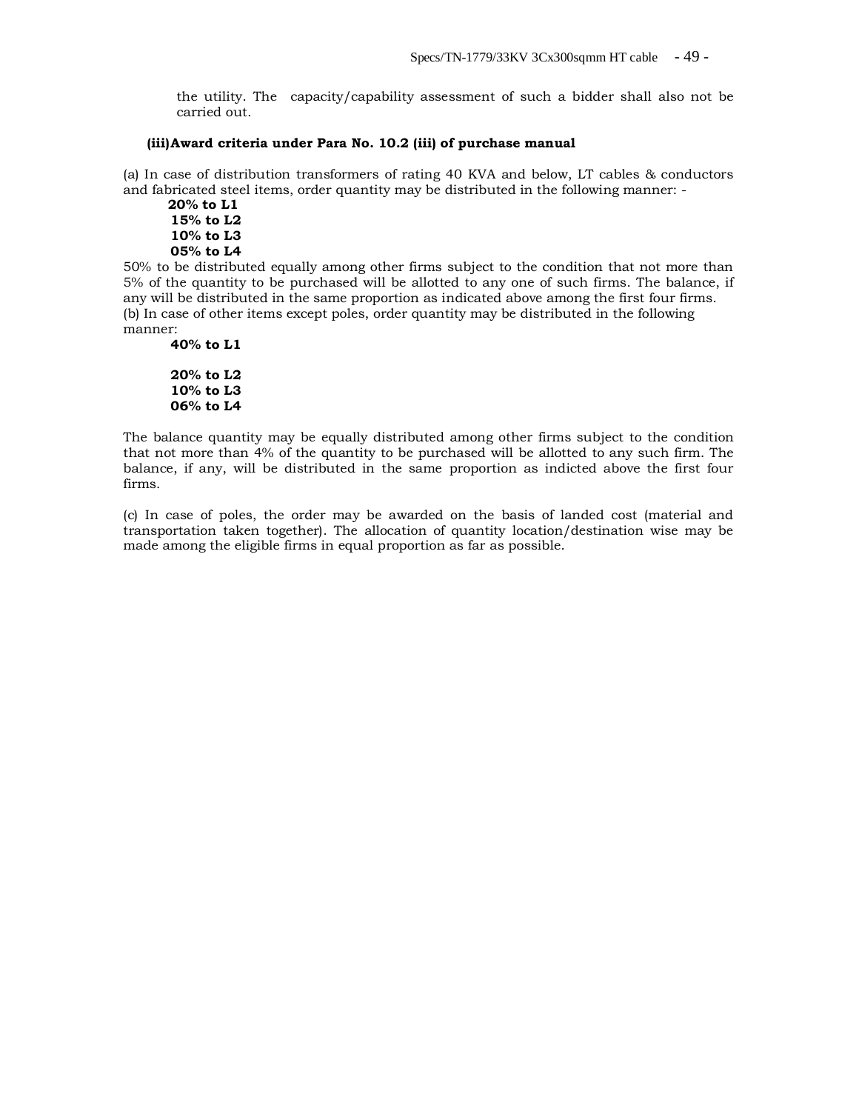the utility. The capacity/capability assessment of such a bidder shall also not be carried out.

#### **(iii)Award criteria under Para No. 10.2 (iii) of purchase manual**

(a) In case of distribution transformers of rating 40 KVA and below, LT cables & conductors and fabricated steel items, order quantity may be distributed in the following manner: -

 **20% to L1 15% to L2 10% to L3 05% to L4**

50% to be distributed equally among other firms subject to the condition that not more than 5% of the quantity to be purchased will be allotted to any one of such firms. The balance, if any will be distributed in the same proportion as indicated above among the first four firms. (b) In case of other items except poles, order quantity may be distributed in the following manner:

```
40% to L1
20% to L2
10% to L3
06% to L4
```
The balance quantity may be equally distributed among other firms subject to the condition that not more than 4% of the quantity to be purchased will be allotted to any such firm. The balance, if any, will be distributed in the same proportion as indicted above the first four firms.

(c) In case of poles, the order may be awarded on the basis of landed cost (material and transportation taken together). The allocation of quantity location/destination wise may be made among the eligible firms in equal proportion as far as possible.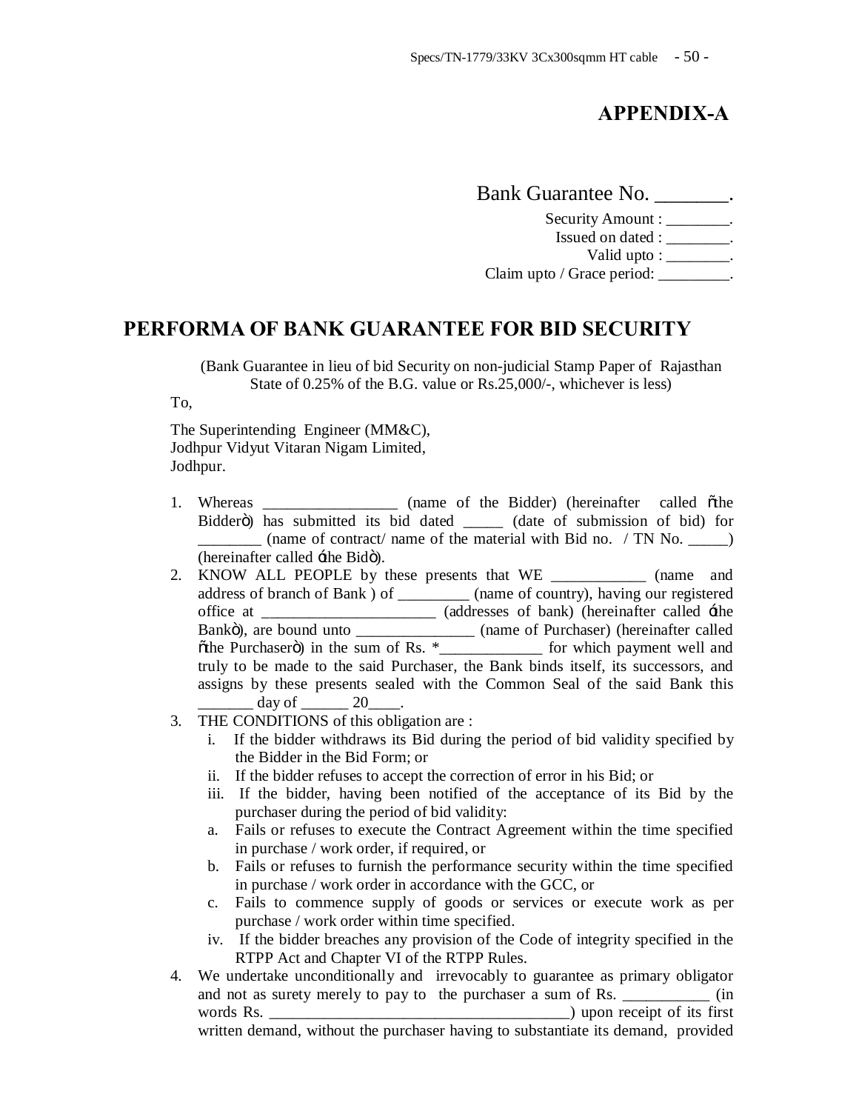# **APPENDIX-A**

Bank Guarantee No. Security Amount : \_\_\_\_\_\_\_\_. Issued on dated : \_\_\_\_\_\_\_\_. Valid upto : \_\_\_\_\_\_\_\_. Claim upto / Grace period:

# **PERFORMA OF BANK GUARANTEE FOR BID SECURITY**

(Bank Guarantee in lieu of bid Security on non-judicial Stamp Paper of Rajasthan State of 0.25% of the B.G. value or Rs.25,000/-, whichever is less)

To,

The Superintending Engineer (MM&C), Jodhpur Vidyut Vitaran Nigam Limited, Jodhpur.

- 1. Whereas \_\_\_\_\_\_\_\_\_\_\_\_\_\_\_\_ (name of the Bidder) (hereinafter called othe Bidderö) has submitted its bid dated \_\_\_\_\_\_ (date of submission of bid) for \_\_\_\_\_\_\_\_ (name of contract/ name of the material with Bid no. / TN No. \_\_\_\_\_) (hereinafter called  $\pm$ the Bidö).
- 2. KNOW ALL PEOPLE by these presents that WE \_\_\_\_\_\_\_\_\_\_\_\_\_\_ (name and address of branch of Bank ) of \_\_\_\_\_\_\_\_\_ (name of country), having our registered office at \_\_\_\_\_\_\_\_\_\_\_\_\_\_\_\_\_\_\_\_\_\_ (addresses of bank) (hereinafter called 'the Bankö), are bound unto \_\_\_\_\_\_\_\_\_\_\_\_\_\_\_ (name of Purchaser) (hereinafter called  $\delta$ the Purchaserö) in the sum of Rs.  $*$ \_\_\_\_\_\_\_\_\_\_\_\_\_\_\_ for which payment well and truly to be made to the said Purchaser, the Bank binds itself, its successors, and assigns by these presents sealed with the Common Seal of the said Bank this  $day of$   $20$ .
- 3. THE CONDITIONS of this obligation are :
	- i. If the bidder withdraws its Bid during the period of bid validity specified by the Bidder in the Bid Form; or
	- ii. If the bidder refuses to accept the correction of error in his Bid; or
	- iii. If the bidder, having been notified of the acceptance of its Bid by the purchaser during the period of bid validity:
	- a. Fails or refuses to execute the Contract Agreement within the time specified in purchase / work order, if required, or
	- b. Fails or refuses to furnish the performance security within the time specified in purchase / work order in accordance with the GCC, or
	- c. Fails to commence supply of goods or services or execute work as per purchase / work order within time specified.
	- iv. If the bidder breaches any provision of the Code of integrity specified in the RTPP Act and Chapter VI of the RTPP Rules.
- 4. We undertake unconditionally and irrevocably to guarantee as primary obligator and not as surety merely to pay to the purchaser a sum of Rs. \_\_\_\_\_\_\_\_\_\_\_\_\_ (in words Rs. \_\_\_\_\_\_\_\_\_\_\_\_\_\_\_\_\_\_\_\_\_\_\_\_\_\_\_\_\_\_\_\_\_\_\_\_\_\_) upon receipt of its first written demand, without the purchaser having to substantiate its demand, provided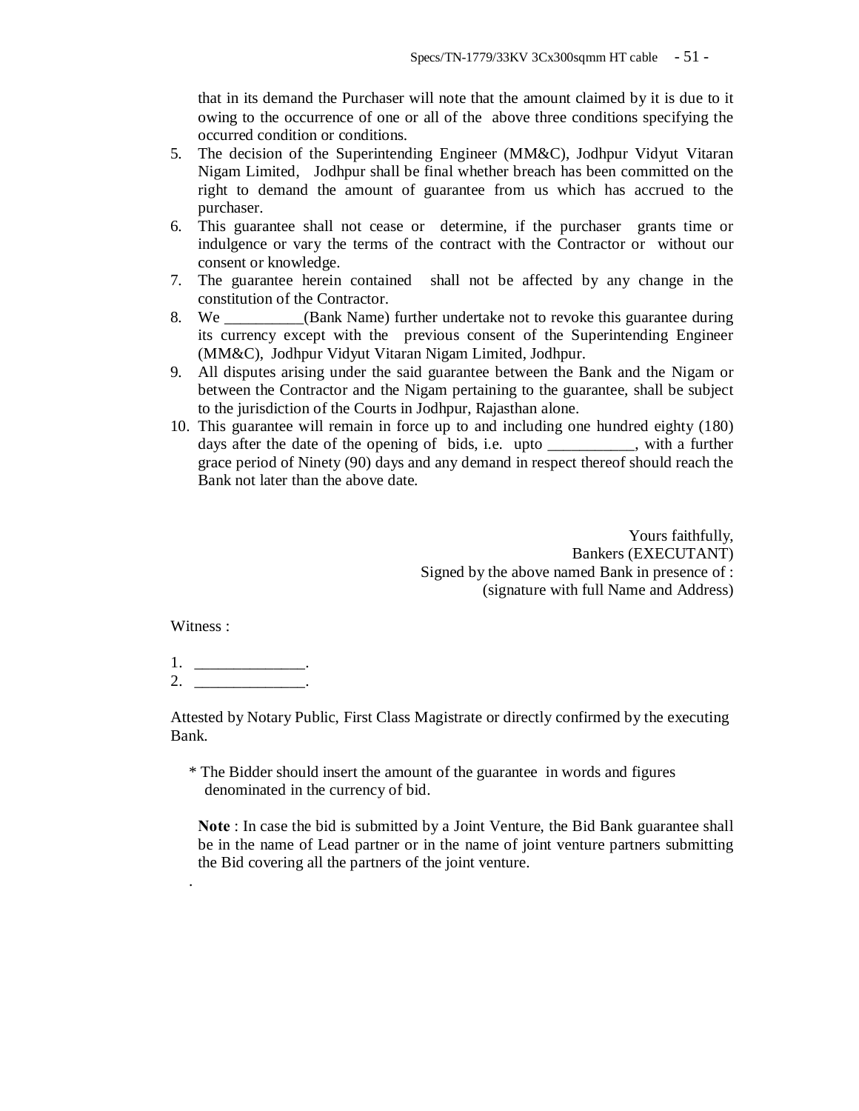that in its demand the Purchaser will note that the amount claimed by it is due to it owing to the occurrence of one or all of the above three conditions specifying the occurred condition or conditions.

- 5. The decision of the Superintending Engineer (MM&C), Jodhpur Vidyut Vitaran Nigam Limited, Jodhpur shall be final whether breach has been committed on the right to demand the amount of guarantee from us which has accrued to the purchaser.
- 6. This guarantee shall not cease or determine, if the purchaser grants time or indulgence or vary the terms of the contract with the Contractor or without our consent or knowledge.
- 7. The guarantee herein contained shall not be affected by any change in the constitution of the Contractor.
- 8. We \_\_\_\_\_\_\_\_\_\_(Bank Name) further undertake not to revoke this guarantee during its currency except with the previous consent of the Superintending Engineer (MM&C), Jodhpur Vidyut Vitaran Nigam Limited, Jodhpur.
- 9. All disputes arising under the said guarantee between the Bank and the Nigam or between the Contractor and the Nigam pertaining to the guarantee, shall be subject to the jurisdiction of the Courts in Jodhpur, Rajasthan alone.
- 10. This guarantee will remain in force up to and including one hundred eighty (180) days after the date of the opening of bids, i.e. upto \_\_\_\_\_\_\_\_\_\_\_, with a further grace period of Ninety (90) days and any demand in respect thereof should reach the Bank not later than the above date.

Yours faithfully, Bankers (EXECUTANT) Signed by the above named Bank in presence of : (signature with full Name and Address)

Witness :

.

1. \_\_\_\_\_\_\_\_\_\_\_\_\_\_\_\_\_\_\_\_.  $2.$ 

Attested by Notary Public, First Class Magistrate or directly confirmed by the executing Bank.

\* The Bidder should insert the amount of the guarantee in words and figures denominated in the currency of bid.

**Note** : In case the bid is submitted by a Joint Venture, the Bid Bank guarantee shall be in the name of Lead partner or in the name of joint venture partners submitting the Bid covering all the partners of the joint venture.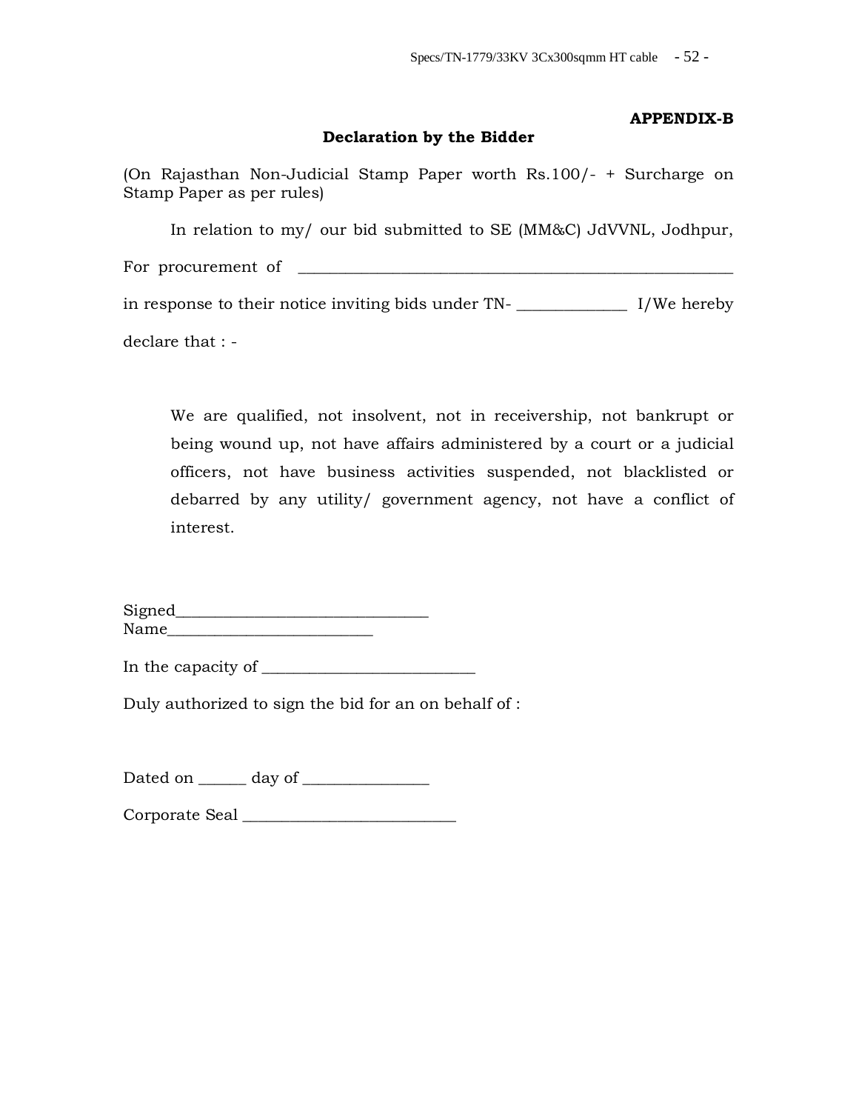# **Declaration by the Bidder**

**APPENDIX-B**

(On Rajasthan Non-Judicial Stamp Paper worth Rs.100/- + Surcharge on Stamp Paper as per rules)

In relation to my/ our bid submitted to SE (MM&C) JdVVNL, Jodhpur, For procurement of

in response to their notice inviting bids under TN- \_\_\_\_\_\_\_\_\_\_\_\_\_\_ I/We hereby

declare that : -

We are qualified, not insolvent, not in receivership, not bankrupt or being wound up, not have affairs administered by a court or a judicial officers, not have business activities suspended, not blacklisted or debarred by any utility/ government agency, not have a conflict of interest.

Signed\_\_\_\_\_\_\_\_\_\_\_\_\_\_\_\_\_\_\_\_\_\_\_\_\_\_\_\_\_\_\_\_ Name\_\_\_\_\_\_\_\_\_\_\_\_\_\_\_\_\_\_\_\_\_\_\_\_\_\_

In the capacity of  $\frac{1}{\sqrt{1-\frac{1}{2}}}\left\vert \frac{1}{\sqrt{1-\frac{1}{2}}}\right\vert$ 

Duly authorized to sign the bid for an on behalf of :

Dated on \_\_\_\_\_\_ day of \_\_\_\_\_\_\_\_\_\_\_\_\_\_\_\_

Corporate Seal \_\_\_\_\_\_\_\_\_\_\_\_\_\_\_\_\_\_\_\_\_\_\_\_\_\_\_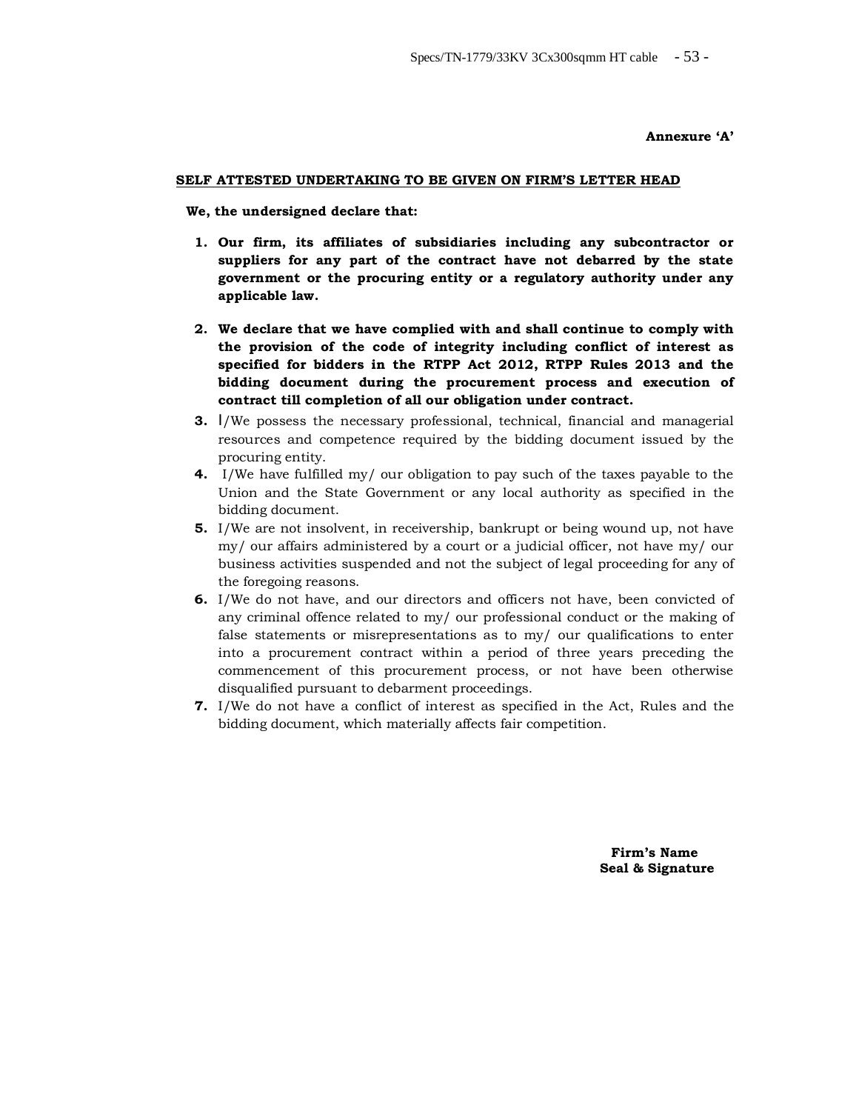**Annexure 'A'**

#### **SELF ATTESTED UNDERTAKING TO BE GIVEN ON FIRM'S LETTER HEAD**

 **We, the undersigned declare that:**

- **1. Our firm, its affiliates of subsidiaries including any subcontractor or suppliers for any part of the contract have not debarred by the state government or the procuring entity or a regulatory authority under any applicable law.**
- **2. We declare that we have complied with and shall continue to comply with the provision of the code of integrity including conflict of interest as specified for bidders in the RTPP Act 2012, RTPP Rules 2013 and the bidding document during the procurement process and execution of contract till completion of all our obligation under contract.**
- **3.** I/We possess the necessary professional, technical, financial and managerial resources and competence required by the bidding document issued by the procuring entity.
- **4.** I/We have fulfilled my/ our obligation to pay such of the taxes payable to the Union and the State Government or any local authority as specified in the bidding document.
- **5.** I/We are not insolvent, in receivership, bankrupt or being wound up, not have my/ our affairs administered by a court or a judicial officer, not have my/ our business activities suspended and not the subject of legal proceeding for any of the foregoing reasons.
- **6.** I/We do not have, and our directors and officers not have, been convicted of any criminal offence related to my/ our professional conduct or the making of false statements or misrepresentations as to my/ our qualifications to enter into a procurement contract within a period of three years preceding the commencement of this procurement process, or not have been otherwise disqualified pursuant to debarment proceedings.
- **7.** I/We do not have a conflict of interest as specified in the Act, Rules and the bidding document, which materially affects fair competition.

 **Firm's Name Seal & Signature**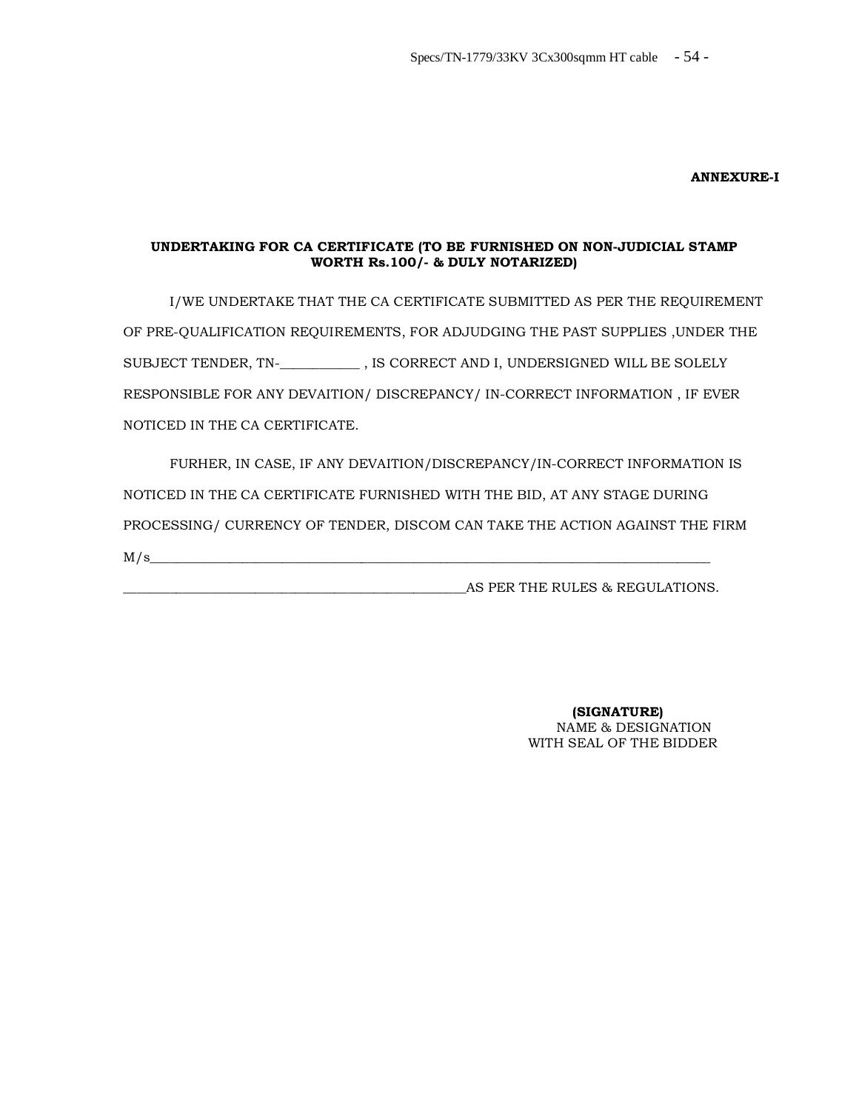#### **ANNEXURE-I**

#### **UNDERTAKING FOR CA CERTIFICATE (TO BE FURNISHED ON NON-JUDICIAL STAMP WORTH Rs.100/- & DULY NOTARIZED)**

 I/WE UNDERTAKE THAT THE CA CERTIFICATE SUBMITTED AS PER THE REQUIREMENT OF PRE-QUALIFICATION REQUIREMENTS, FOR ADJUDGING THE PAST SUPPLIES ,UNDER THE SUBJECT TENDER, TN-\_**\_\_\_\_\_\_\_\_\_\_\_** , IS CORRECT AND I, UNDERSIGNED WILL BE SOLELY RESPONSIBLE FOR ANY DEVAITION/ DISCREPANCY/ IN-CORRECT INFORMATION , IF EVER NOTICED IN THE CA CERTIFICATE.

 FURHER, IN CASE, IF ANY DEVAITION/DISCREPANCY/IN-CORRECT INFORMATION IS NOTICED IN THE CA CERTIFICATE FURNISHED WITH THE BID, AT ANY STAGE DURING PROCESSING/ CURRENCY OF TENDER, DISCOM CAN TAKE THE ACTION AGAINST THE FIRM  $M/s$ 

AS PER THE RULES & REGULATIONS.

 **(SIGNATURE)** NAME & DESIGNATION WITH SEAL OF THE BIDDER